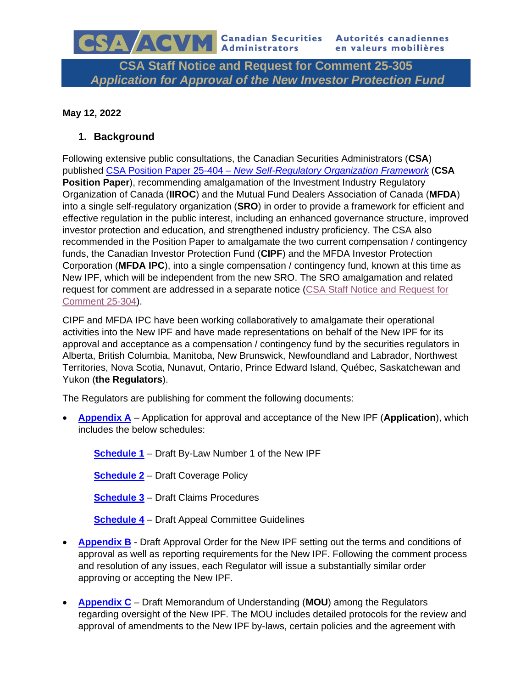# **CSA Staff Notice and Request for Comment 25-305** *Application for Approval of the New Investor Protection Fund*

### **May 12, 2022**

## **1. Background**

Following extensive public consultations, the Canadian Securities Administrators (**CSA**) published CSA Position Paper 25-404 – *[New Self-Regulatory Organization Framework](https://fcnb.ca/sites/default/files/2021-10/25-404-CSAPP-2021-08-03-E.pdf)* (**CSA Position Paper**), recommending amalgamation of the Investment Industry Regulatory Organization of Canada (**IIROC**) and the Mutual Fund Dealers Association of Canada (**MFDA**) into a single self-regulatory organization (**SRO**) in order to provide a framework for efficient and effective regulation in the public interest, including an enhanced governance structure, improved investor protection and education, and strengthened industry proficiency. The CSA also recommended in the Position Paper to amalgamate the two current compensation / contingency funds, the Canadian Investor Protection Fund (**CIPF**) and the MFDA Investor Protection Corporation (**MFDA IPC**), into a single compensation / contingency fund, known at this time as New IPF, which will be independent from the new SRO. The SRO amalgamation and related request for comment are addressed in a separate notice [\(CSA Staff Notice and Request for](https://fcnb.ca/sites/default/files/2022-05/SRO%20-%202022-05-12-CSAN-25-304-E.pdf)  [Comment 25-304\)](https://fcnb.ca/sites/default/files/2022-05/SRO%20-%202022-05-12-CSAN-25-304-E.pdf).

CIPF and MFDA IPC have been working collaboratively to amalgamate their operational activities into the New IPF and have made representations on behalf of the New IPF for its approval and acceptance as a compensation / contingency fund by the securities regulators in Alberta, British Columbia, Manitoba, New Brunswick, Newfoundland and Labrador, Northwest Territories, Nova Scotia, Nunavut, Ontario, Prince Edward Island, Québec, Saskatchewan and Yukon (**the Regulators**).

The Regulators are publishing for comment the following documents:

• **[Appendix A](https://fcnb.ca/sites/default/files/2022-05/IPF%2002.%20Appendix%20A%20-%20Application%20for%20approval%20and%20acceptance%20of%20the%20New%20IPF.pdf)** – Application for approval and acceptance of the New IPF (**Application**), which includes the below schedules:

**[Schedule 1](https://fcnb.ca/sites/default/files/2022-05/IPF%2003.%20Schedule%201%20-%20Draft%20By-Law%20Number%201%20of%20the%20New%20IPF.pdf)** – Draft By-Law Number 1 of the New IPF

**[Schedule 2](https://fcnb.ca/sites/default/files/2022-05/IPF%2004.%20Schedule%202%20-%20Draft%20Coverage%20Policy.pdf)** – Draft Coverage Policy

**[Schedule 3](https://fcnb.ca/sites/default/files/2022-05/IPF%2005.%20Schedule%203%20-%20Draft%20Claims%20Procedures.pdf)** – Draft Claims Procedures

**[Schedule 4](https://fcnb.ca/sites/default/files/2022-05/IPF%2006.%20Schedule%204%20-%20Draft%20Appeal%20Committee%20Guidelines.pdf)** – Draft Appeal Committee Guidelines

- **[Appendix B](https://fcnb.ca/sites/default/files/2022-05/IPF%20-%2007.%20Appendix%20B%20-%20Draft%20Approval%20Order%20for%20the%20New%20IPF%20%28NB%29.pdf)** Draft Approval Order for the New IPF setting out the terms and conditions of approval as well as reporting requirements for the New IPF. Following the comment process and resolution of any issues, each Regulator will issue a substantially similar order approving or accepting the New IPF.
- **[Appendix C](https://fcnb.ca/sites/default/files/2022-05/IPF%20-%2008.%20Appendix%20C%20-%20Draft%20MOU%20among%20the%20Regulators%20regarding%20oversight%20of%20the%20New%20IPF_clean.pdf)** Draft Memorandum of Understanding (**MOU**) among the Regulators regarding oversight of the New IPF. The MOU includes detailed protocols for the review and approval of amendments to the New IPF by-laws, certain policies and the agreement with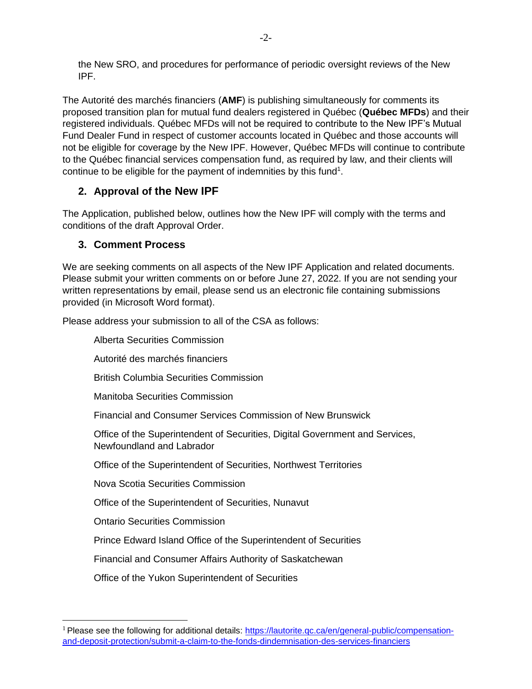the New SRO, and procedures for performance of periodic oversight reviews of the New IPF.

The Autorité des marchés financiers (**AMF**) is publishing simultaneously for comments its proposed transition plan for mutual fund dealers registered in Québec (**Québec MFDs**) and their registered individuals. Québec MFDs will not be required to contribute to the New IPF's Mutual Fund Dealer Fund in respect of customer accounts located in Québec and those accounts will not be eligible for coverage by the New IPF. However, Québec MFDs will continue to contribute to the Québec financial services compensation fund, as required by law, and their clients will continue to be eligible for the payment of indemnities by this fund<sup>1</sup>.

# **2. Approval of the New IPF**

The Application, published below, outlines how the New IPF will comply with the terms and conditions of the draft Approval Order.

## **3. Comment Process**

We are seeking comments on all aspects of the New IPF Application and related documents. Please submit your written comments on or before June 27, 2022. If you are not sending your written representations by email, please send us an electronic file containing submissions provided (in Microsoft Word format).

Please address your submission to all of the CSA as follows:

Alberta Securities Commission Autorité des marchés financiers British Columbia Securities Commission Manitoba Securities Commission Financial and Consumer Services Commission of New Brunswick Office of the Superintendent of Securities, Digital Government and Services, Newfoundland and Labrador Office of the Superintendent of Securities, Northwest Territories Nova Scotia Securities Commission Office of the Superintendent of Securities, Nunavut Ontario Securities Commission Prince Edward Island Office of the Superintendent of Securities Financial and Consumer Affairs Authority of Saskatchewan Office of the Yukon Superintendent of Securities

<sup>&</sup>lt;sup>1</sup> Please see the following for additional details: [https://lautorite.qc.ca/en/general-public/compensation](https://lautorite.qc.ca/en/general-public/compensation-and-deposit-protection/submit-a-claim-to-the-fonds-dindemnisation-des-services-financiers)[and-deposit-protection/submit-a-claim-to-the-fonds-dindemnisation-des-services-financiers](https://lautorite.qc.ca/en/general-public/compensation-and-deposit-protection/submit-a-claim-to-the-fonds-dindemnisation-des-services-financiers)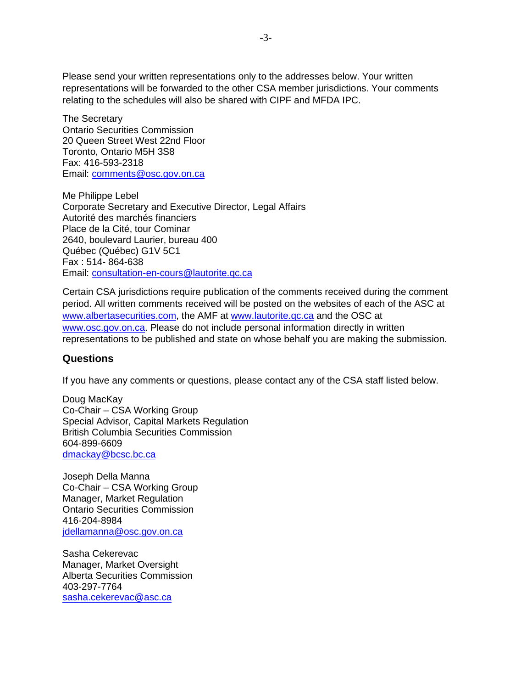Please send your written representations only to the addresses below. Your written representations will be forwarded to the other CSA member jurisdictions. Your comments relating to the schedules will also be shared with CIPF and MFDA IPC.

The Secretary Ontario Securities Commission 20 Queen Street West 22nd Floor Toronto, Ontario M5H 3S8 Fax: 416-593-2318 Email: [comments@osc.gov.on.ca](mailto:comments@osc.gov.on.ca)

Me Philippe Lebel Corporate Secretary and Executive Director, Legal Affairs Autorité des marchés financiers Place de la Cité, tour Cominar 2640, boulevard Laurier, bureau 400 Québec (Québec) G1V 5C1 Fax : 514- 864-638 Email: [consultation-en-cours@lautorite.qc.ca](mailto:consultation-en-cours@lautorite.qc.ca)

Certain CSA jurisdictions require publication of the comments received during the comment period. All written comments received will be posted on the websites of each of the ASC at [www.albertasecurities.com,](http://www.albertasecurities.com/) the AMF at [www.lautorite.qc.ca](http://www.lautorite.qc.ca/) and the OSC at [www.osc.gov.on.ca.](http://www.osc.gov.on.ca/) Please do not include personal information directly in written representations to be published and state on whose behalf you are making the submission.

### **Questions**

If you have any comments or questions, please contact any of the CSA staff listed below.

Doug MacKay Co-Chair – CSA Working Group Special Advisor, Capital Markets Regulation British Columbia Securities Commission 604-899-6609 [dmackay@bcsc.bc.ca](mailto:dmackay@bcsc.bc.ca)

Joseph Della Manna Co-Chair – CSA Working Group Manager, Market Regulation Ontario Securities Commission 416-204-8984 [jdellamanna@osc.gov.on.ca](mailto:jdellamanna@osc.gov.on.ca)

Sasha Cekerevac Manager, Market Oversight Alberta Securities Commission 403-297-7764 sasha.cekerevac@asc.ca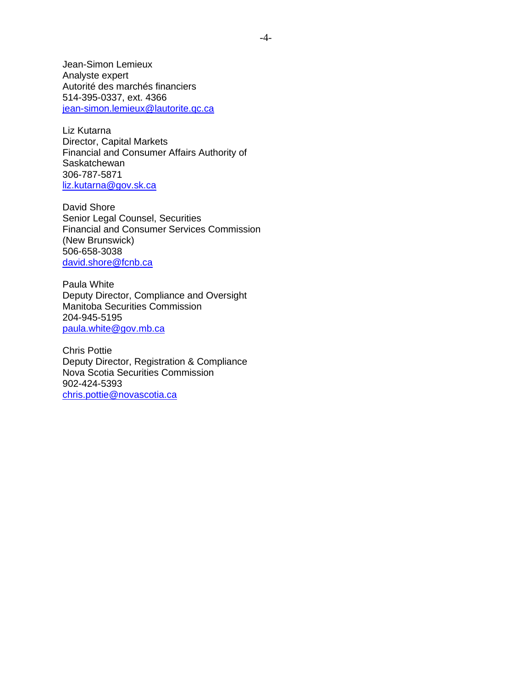Jean-Simon Lemieux Analyste expert Autorité des marchés financiers 514-395-0337, ext. 4366 [jean-simon.lemieux@lautorite.qc.ca](mailto:jean-simon.lemieux@lautorite.qc.ca)

Liz Kutarna Director, Capital Markets Financial and Consumer Affairs Authority of **Saskatchewan** 306-787-5871 [liz.kutarna@gov.sk.ca](mailto:liz.kutarna@gov.sk.ca)

David Shore Senior Legal Counsel, Securities Financial and Consumer Services Commission (New Brunswick) 506-658-3038 [david.shore@fcnb.ca](mailto:david.shore@fcnb.ca)

Paula White Deputy Director, Compliance and Oversight Manitoba Securities Commission 204-945-5195 [paula.white@gov.mb.ca](mailto:paula.white@gov.mb.ca)

Chris Pottie Deputy Director, Registration & Compliance Nova Scotia Securities Commission 902-424-5393 [chris.pottie@novascotia.ca](mailto:chris.pottie@novascotia.ca)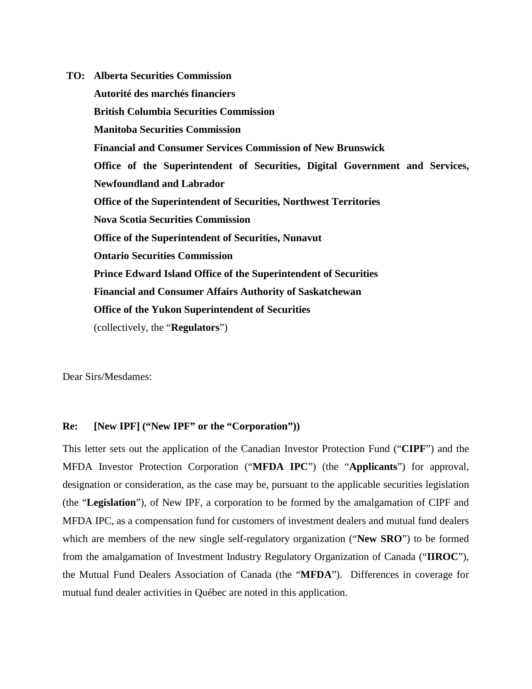**TO: Alberta Securities Commission Autorité des marchés financiers British Columbia Securities Commission Manitoba Securities Commission Financial and Consumer Services Commission of New Brunswick Office of the Superintendent of Securities, Digital Government and Services, Newfoundland and Labrador Office of the Superintendent of Securities, Northwest Territories Nova Scotia Securities Commission Office of the Superintendent of Securities, Nunavut Ontario Securities Commission Prince Edward Island Office of the Superintendent of Securities Financial and Consumer Affairs Authority of Saskatchewan Office of the Yukon Superintendent of Securities**  (collectively, the "**Regulators**")

Dear Sirs/Mesdames:

### **Re: [New IPF] ("New IPF" or the "Corporation"))**

This letter sets out the application of the Canadian Investor Protection Fund ("**CIPF**") and the MFDA Investor Protection Corporation ("**MFDA IPC**") (the "**Applicants**") for approval, designation or consideration, as the case may be, pursuant to the applicable securities legislation (the "**Legislation**"), of New IPF, a corporation to be formed by the amalgamation of CIPF and MFDA IPC, as a compensation fund for customers of investment dealers and mutual fund dealers which are members of the new single self-regulatory organization ("**New SRO**") to be formed from the amalgamation of Investment Industry Regulatory Organization of Canada ("**IIROC**"), the Mutual Fund Dealers Association of Canada (the "**MFDA**"). Differences in coverage for mutual fund dealer activities in Québec are noted in this application.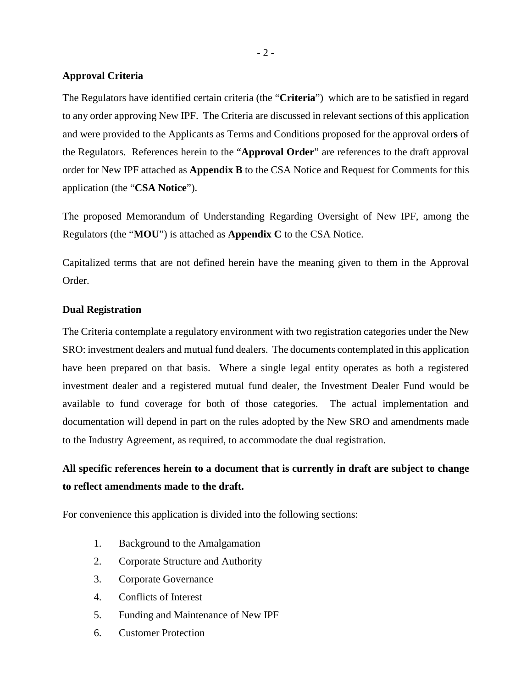### **Approval Criteria**

The Regulators have identified certain criteria (the "**Criteria**") which are to be satisfied in regard to any order approving New IPF. The Criteria are discussed in relevant sections of this application and were provided to the Applicants as Terms and Conditions proposed for the approval order**s** of the Regulators. References herein to the "**Approval Order**" are references to the draft approval order for New IPF attached as **Appendix B** to the CSA Notice and Request for Comments for this application (the "**CSA Notice**").

The proposed Memorandum of Understanding Regarding Oversight of New IPF, among the Regulators (the "**MOU**") is attached as **Appendix C** to the CSA Notice.

Capitalized terms that are not defined herein have the meaning given to them in the Approval Order.

#### **Dual Registration**

The Criteria contemplate a regulatory environment with two registration categories under the New SRO: investment dealers and mutual fund dealers. The documents contemplated in this application have been prepared on that basis. Where a single legal entity operates as both a registered investment dealer and a registered mutual fund dealer, the Investment Dealer Fund would be available to fund coverage for both of those categories. The actual implementation and documentation will depend in part on the rules adopted by the New SRO and amendments made to the Industry Agreement, as required, to accommodate the dual registration.

# **All specific references herein to a document that is currently in draft are subject to change to reflect amendments made to the draft.**

For convenience this application is divided into the following sections:

- 1. Background to the Amalgamation
- 2. Corporate Structure and Authority
- 3. Corporate Governance
- 4. Conflicts of Interest
- 5. Funding and Maintenance of New IPF
- 6. Customer Protection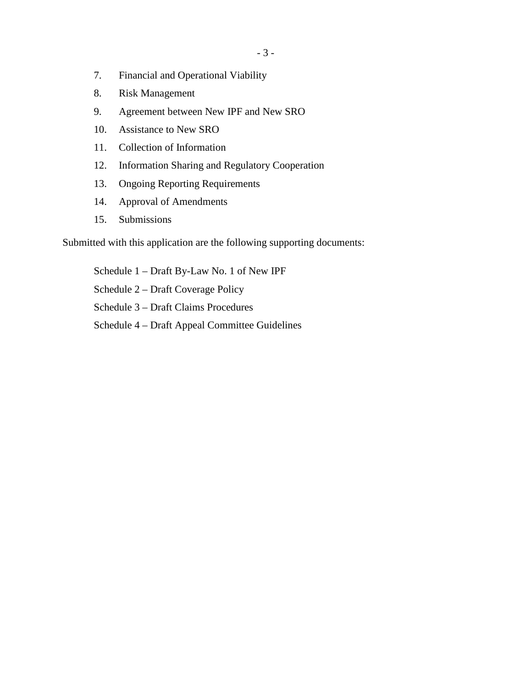- 7. Financial and Operational Viability
- 8. Risk Management
- 9. Agreement between New IPF and New SRO
- 10. Assistance to New SRO
- 11. Collection of Information
- 12. Information Sharing and Regulatory Cooperation
- 13. Ongoing Reporting Requirements
- 14. Approval of Amendments
- 15. Submissions

Submitted with this application are the following supporting documents:

Schedule 1 – Draft By-Law No. 1 of New IPF Schedule 2 – Draft Coverage Policy Schedule 3 – Draft Claims Procedures Schedule 4 – Draft Appeal Committee Guidelines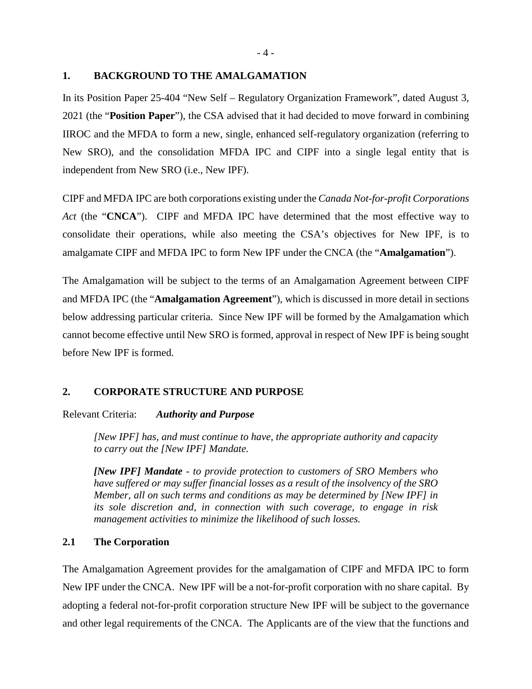#### **1. BACKGROUND TO THE AMALGAMATION**

In its Position Paper 25-404 "New Self – Regulatory Organization Framework", dated August 3, 2021 (the "**Position Paper**"), the CSA advised that it had decided to move forward in combining IIROC and the MFDA to form a new, single, enhanced self-regulatory organization (referring to New SRO), and the consolidation MFDA IPC and CIPF into a single legal entity that is independent from New SRO (i.e., New IPF).

CIPF and MFDA IPC are both corporations existing under the *Canada Not-for-profit Corporations Act* (the "**CNCA**"). CIPF and MFDA IPC have determined that the most effective way to consolidate their operations, while also meeting the CSA's objectives for New IPF, is to amalgamate CIPF and MFDA IPC to form New IPF under the CNCA (the "**Amalgamation**").

The Amalgamation will be subject to the terms of an Amalgamation Agreement between CIPF and MFDA IPC (the "**Amalgamation Agreement**"), which is discussed in more detail in sections below addressing particular criteria. Since New IPF will be formed by the Amalgamation which cannot become effective until New SRO is formed, approval in respect of New IPF is being sought before New IPF is formed.

### **2. CORPORATE STRUCTURE AND PURPOSE**

#### Relevant Criteria: *Authority and Purpose*

*[New IPF] has, and must continue to have, the appropriate authority and capacity to carry out the [New IPF] Mandate.*

*[New IPF] Mandate - to provide protection to customers of SRO Members who have suffered or may suffer financial losses as a result of the insolvency of the SRO Member, all on such terms and conditions as may be determined by [New IPF] in its sole discretion and, in connection with such coverage, to engage in risk management activities to minimize the likelihood of such losses.* 

### **2.1 The Corporation**

The Amalgamation Agreement provides for the amalgamation of CIPF and MFDA IPC to form New IPF under the CNCA. New IPF will be a not-for-profit corporation with no share capital. By adopting a federal not-for-profit corporation structure New IPF will be subject to the governance and other legal requirements of the CNCA. The Applicants are of the view that the functions and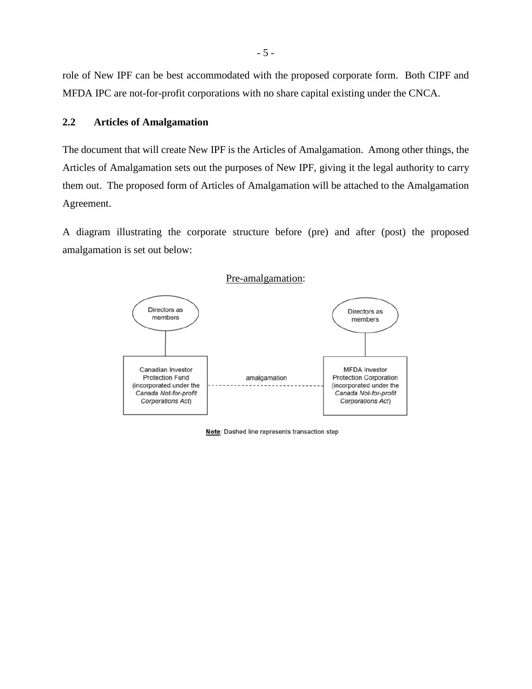role of New IPF can be best accommodated with the proposed corporate form. Both CIPF and MFDA IPC are not-for-profit corporations with no share capital existing under the CNCA.

### **2.2 Articles of Amalgamation**

The document that will create New IPF is the Articles of Amalgamation. Among other things, the Articles of Amalgamation sets out the purposes of New IPF, giving it the legal authority to carry them out. The proposed form of Articles of Amalgamation will be attached to the Amalgamation Agreement.

A diagram illustrating the corporate structure before (pre) and after (post) the proposed amalgamation is set out below:



Note: Dashed line represents transaction step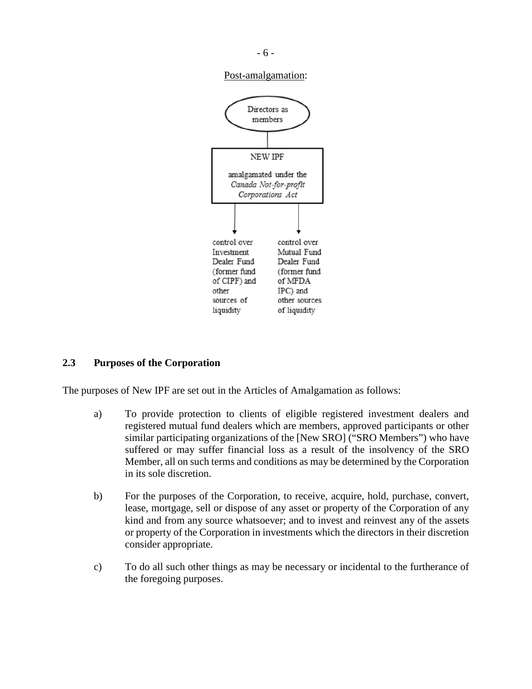

Post-amalgamation:



### **2.3 Purposes of the Corporation**

The purposes of New IPF are set out in the Articles of Amalgamation as follows:

- a) To provide protection to clients of eligible registered investment dealers and registered mutual fund dealers which are members, approved participants or other similar participating organizations of the [New SRO] ("SRO Members") who have suffered or may suffer financial loss as a result of the insolvency of the SRO Member, all on such terms and conditions as may be determined by the Corporation in its sole discretion.
- b) For the purposes of the Corporation, to receive, acquire, hold, purchase, convert, lease, mortgage, sell or dispose of any asset or property of the Corporation of any kind and from any source whatsoever; and to invest and reinvest any of the assets or property of the Corporation in investments which the directors in their discretion consider appropriate.
- c) To do all such other things as may be necessary or incidental to the furtherance of the foregoing purposes.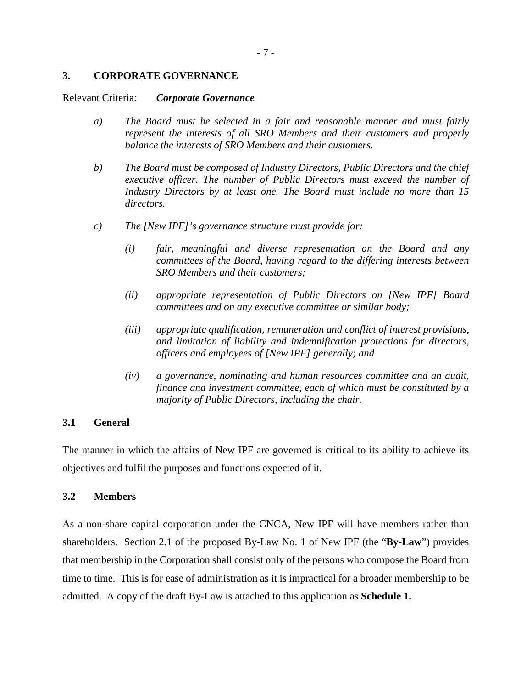### **3. CORPORATE GOVERNANCE**

#### Relevant Criteria: *Corporate Governance*

- *a) The Board must be selected in a fair and reasonable manner and must fairly represent the interests of all SRO Members and their customers and properly balance the interests of SRO Members and their customers.*
- *b) The Board must be composed of Industry Directors, Public Directors and the chief executive officer. The number of Public Directors must exceed the number of Industry Directors by at least one. The Board must include no more than 15 directors.*
- *c) The [New IPF]'s governance structure must provide for:* 
	- *(i) fair, meaningful and diverse representation on the Board and any committees of the Board, having regard to the differing interests between SRO Members and their customers;*
	- *(ii) appropriate representation of Public Directors on [New IPF] Board committees and on any executive committee or similar body;*
	- *(iii) appropriate qualification, remuneration and conflict of interest provisions, and limitation of liability and indemnification protections for directors, officers and employees of [New IPF] generally; and*
	- *(iv) a governance, nominating and human resources committee and an audit, finance and investment committee, each of which must be constituted by a majority of Public Directors, including the chair.*

### **3.1 General**

The manner in which the affairs of New IPF are governed is critical to its ability to achieve its objectives and fulfil the purposes and functions expected of it.

#### **3.2 Members**

As a non-share capital corporation under the CNCA, New IPF will have members rather than shareholders. Section 2.1 of the proposed By-Law No. 1 of New IPF (the "**By-Law**") provides that membership in the Corporation shall consist only of the persons who compose the Board from time to time. This is for ease of administration as it is impractical for a broader membership to be admitted. A copy of the draft By-Law is attached to this application as **Schedule 1.**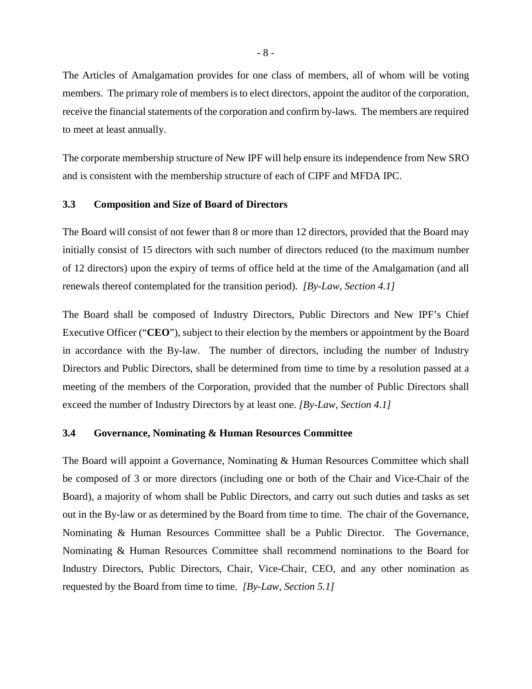The Articles of Amalgamation provides for one class of members, all of whom will be voting members. The primary role of members is to elect directors, appoint the auditor of the corporation, receive the financial statements of the corporation and confirm by-laws. The members are required to meet at least annually.

The corporate membership structure of New IPF will help ensure its independence from New SRO and is consistent with the membership structure of each of CIPF and MFDA IPC.

#### **3.3 Composition and Size of Board of Directors**

The Board will consist of not fewer than 8 or more than 12 directors, provided that the Board may initially consist of 15 directors with such number of directors reduced (to the maximum number of 12 directors) upon the expiry of terms of office held at the time of the Amalgamation (and all renewals thereof contemplated for the transition period). *[By-Law, Section 4.1]*

The Board shall be composed of Industry Directors, Public Directors and New IPF's Chief Executive Officer ("**CEO**"), subject to their election by the members or appointment by the Board in accordance with the By-law. The number of directors, including the number of Industry Directors and Public Directors, shall be determined from time to time by a resolution passed at a meeting of the members of the Corporation, provided that the number of Public Directors shall exceed the number of Industry Directors by at least one. *[By-Law, Section 4.1]*

#### **3.4 Governance, Nominating & Human Resources Committee**

The Board will appoint a Governance, Nominating & Human Resources Committee which shall be composed of 3 or more directors (including one or both of the Chair and Vice-Chair of the Board), a majority of whom shall be Public Directors, and carry out such duties and tasks as set out in the By-law or as determined by the Board from time to time. The chair of the Governance, Nominating & Human Resources Committee shall be a Public Director. The Governance, Nominating & Human Resources Committee shall recommend nominations to the Board for Industry Directors, Public Directors, Chair, Vice-Chair, CEO, and any other nomination as requested by the Board from time to time. *[By-Law, Section 5.1]*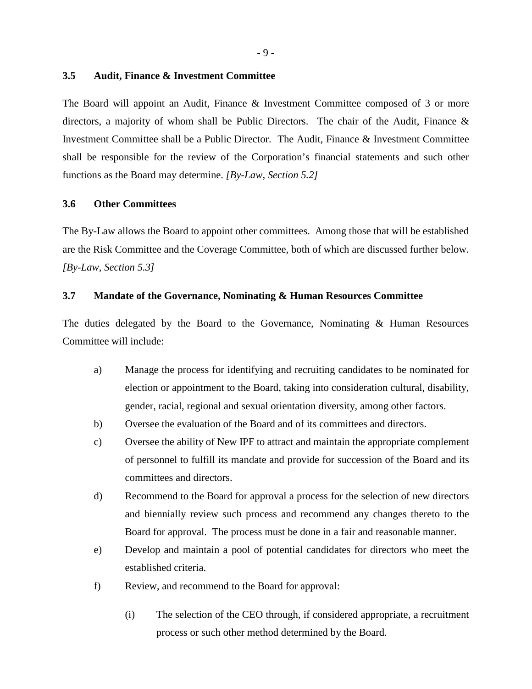#### **3.5 Audit, Finance & Investment Committee**

The Board will appoint an Audit, Finance & Investment Committee composed of 3 or more directors, a majority of whom shall be Public Directors. The chair of the Audit, Finance  $\&$ Investment Committee shall be a Public Director. The Audit, Finance & Investment Committee shall be responsible for the review of the Corporation's financial statements and such other functions as the Board may determine. *[By-Law, Section 5.2]*

#### **3.6 Other Committees**

The By-Law allows the Board to appoint other committees. Among those that will be established are the Risk Committee and the Coverage Committee, both of which are discussed further below. *[By-Law, Section 5.3]*

#### **3.7 Mandate of the Governance, Nominating & Human Resources Committee**

The duties delegated by the Board to the Governance, Nominating & Human Resources Committee will include:

- a) Manage the process for identifying and recruiting candidates to be nominated for election or appointment to the Board, taking into consideration cultural, disability, gender, racial, regional and sexual orientation diversity, among other factors.
- b) Oversee the evaluation of the Board and of its committees and directors.
- c) Oversee the ability of New IPF to attract and maintain the appropriate complement of personnel to fulfill its mandate and provide for succession of the Board and its committees and directors.
- d) Recommend to the Board for approval a process for the selection of new directors and biennially review such process and recommend any changes thereto to the Board for approval. The process must be done in a fair and reasonable manner.
- e) Develop and maintain a pool of potential candidates for directors who meet the established criteria.
- f) Review, and recommend to the Board for approval:
	- (i) The selection of the CEO through, if considered appropriate, a recruitment process or such other method determined by the Board.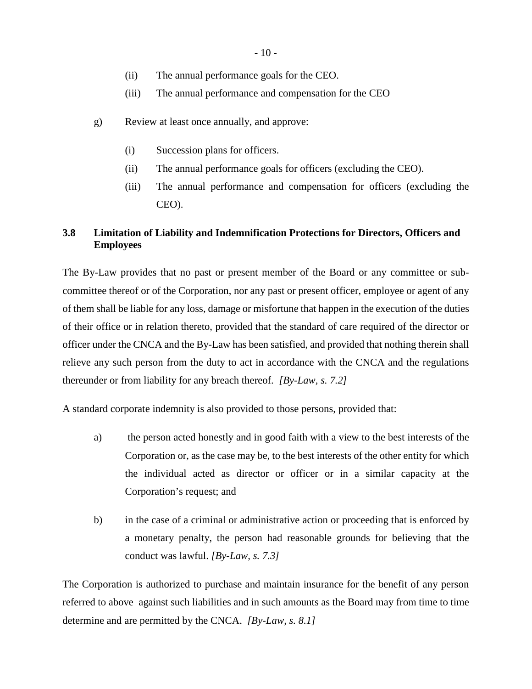- 10 -

- (ii) The annual performance goals for the CEO.
- (iii) The annual performance and compensation for the CEO
- g) Review at least once annually, and approve:
	- (i) Succession plans for officers.
	- (ii) The annual performance goals for officers (excluding the CEO).
	- (iii) The annual performance and compensation for officers (excluding the CEO).

# **3.8 Limitation of Liability and Indemnification Protections for Directors, Officers and Employees**

The By-Law provides that no past or present member of the Board or any committee or subcommittee thereof or of the Corporation, nor any past or present officer, employee or agent of any of them shall be liable for any loss, damage or misfortune that happen in the execution of the duties of their office or in relation thereto, provided that the standard of care required of the director or officer under the CNCA and the By-Law has been satisfied, and provided that nothing therein shall relieve any such person from the duty to act in accordance with the CNCA and the regulations thereunder or from liability for any breach thereof. *[By-Law, s. 7.2]*

A standard corporate indemnity is also provided to those persons, provided that:

- a) the person acted honestly and in good faith with a view to the best interests of the Corporation or, as the case may be, to the best interests of the other entity for which the individual acted as director or officer or in a similar capacity at the Corporation's request; and
- b) in the case of a criminal or administrative action or proceeding that is enforced by a monetary penalty, the person had reasonable grounds for believing that the conduct was lawful. *[By-Law, s. 7.3]*

The Corporation is authorized to purchase and maintain insurance for the benefit of any person referred to above against such liabilities and in such amounts as the Board may from time to time determine and are permitted by the CNCA. *[By-Law, s. 8.1]*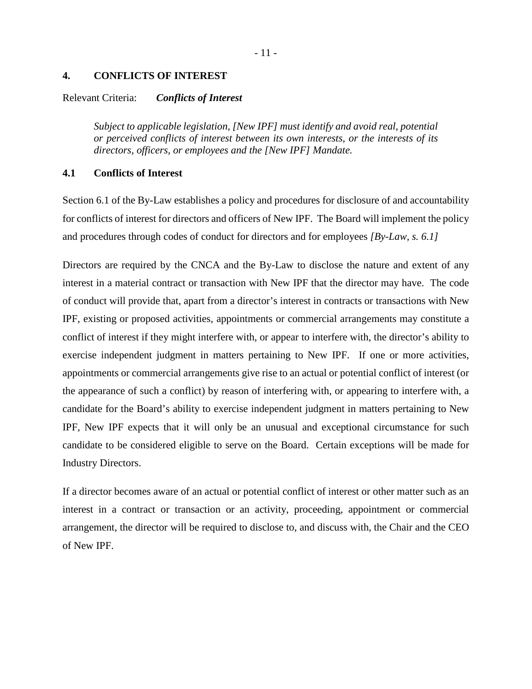#### **4. CONFLICTS OF INTEREST**

#### Relevant Criteria: *Conflicts of Interest*

*Subject to applicable legislation, [New IPF] must identify and avoid real, potential or perceived conflicts of interest between its own interests, or the interests of its directors, officers, or employees and the [New IPF] Mandate.* 

### **4.1 Conflicts of Interest**

Section 6.1 of the By-Law establishes a policy and procedures for disclosure of and accountability for conflicts of interest for directors and officers of New IPF. The Board will implement the policy and procedures through codes of conduct for directors and for employees *[By-Law, s. 6.1]*

Directors are required by the CNCA and the By-Law to disclose the nature and extent of any interest in a material contract or transaction with New IPF that the director may have. The code of conduct will provide that, apart from a director's interest in contracts or transactions with New IPF, existing or proposed activities, appointments or commercial arrangements may constitute a conflict of interest if they might interfere with, or appear to interfere with, the director's ability to exercise independent judgment in matters pertaining to New IPF. If one or more activities, appointments or commercial arrangements give rise to an actual or potential conflict of interest (or the appearance of such a conflict) by reason of interfering with, or appearing to interfere with, a candidate for the Board's ability to exercise independent judgment in matters pertaining to New IPF, New IPF expects that it will only be an unusual and exceptional circumstance for such candidate to be considered eligible to serve on the Board. Certain exceptions will be made for Industry Directors.

If a director becomes aware of an actual or potential conflict of interest or other matter such as an interest in a contract or transaction or an activity, proceeding, appointment or commercial arrangement, the director will be required to disclose to, and discuss with, the Chair and the CEO of New IPF.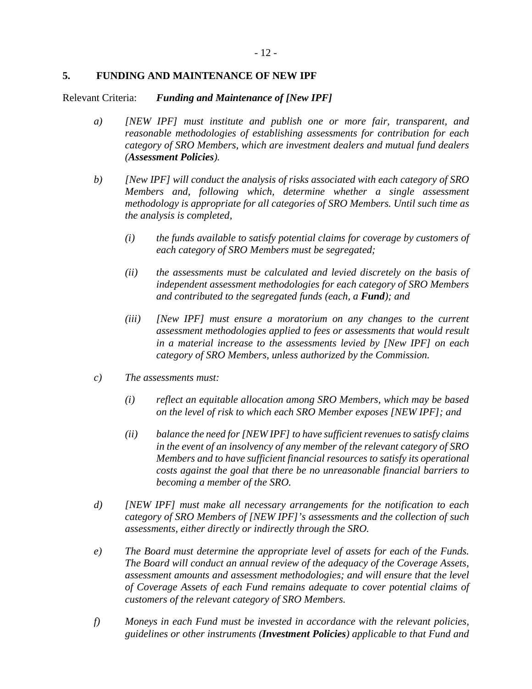### **5. FUNDING AND MAINTENANCE OF NEW IPF**

Relevant Criteria: *Funding and Maintenance of [New IPF]*

- *a) [NEW IPF] must institute and publish one or more fair, transparent, and reasonable methodologies of establishing assessments for contribution for each category of SRO Members, which are investment dealers and mutual fund dealers (Assessment Policies).*
- *b) [New IPF] will conduct the analysis of risks associated with each category of SRO Members and, following which, determine whether a single assessment methodology is appropriate for all categories of SRO Members. Until such time as the analysis is completed,* 
	- *(i) the funds available to satisfy potential claims for coverage by customers of each category of SRO Members must be segregated;*
	- *(ii) the assessments must be calculated and levied discretely on the basis of independent assessment methodologies for each category of SRO Members and contributed to the segregated funds (each, a Fund); and*
	- *(iii) [New IPF] must ensure a moratorium on any changes to the current assessment methodologies applied to fees or assessments that would result in a material increase to the assessments levied by [New IPF] on each category of SRO Members, unless authorized by the Commission.*
- *c) The assessments must:* 
	- *(i) reflect an equitable allocation among SRO Members, which may be based on the level of risk to which each SRO Member exposes [NEW IPF]; and*
	- *(ii) balance the need for [NEW IPF] to have sufficient revenues to satisfy claims in the event of an insolvency of any member of the relevant category of SRO Members and to have sufficient financial resources to satisfy its operational costs against the goal that there be no unreasonable financial barriers to becoming a member of the SRO.*
- *d) [NEW IPF] must make all necessary arrangements for the notification to each category of SRO Members of [NEW IPF]'s assessments and the collection of such assessments, either directly or indirectly through the SRO.*
- *e) The Board must determine the appropriate level of assets for each of the Funds. The Board will conduct an annual review of the adequacy of the Coverage Assets, assessment amounts and assessment methodologies; and will ensure that the level of Coverage Assets of each Fund remains adequate to cover potential claims of customers of the relevant category of SRO Members.*
- *f) Moneys in each Fund must be invested in accordance with the relevant policies, guidelines or other instruments (Investment Policies) applicable to that Fund and*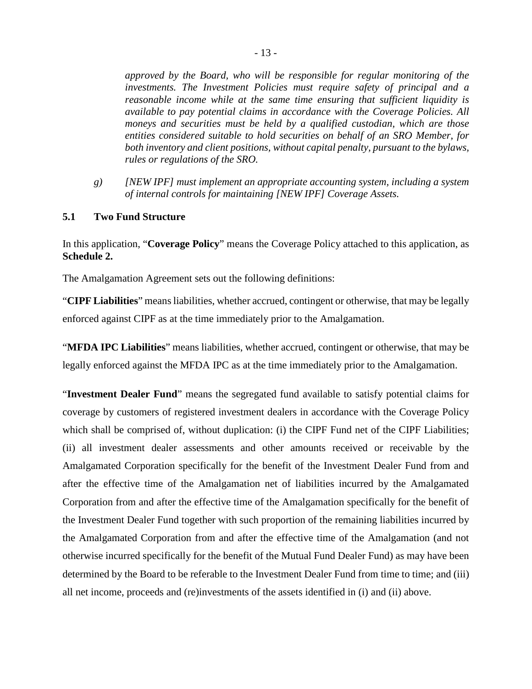*approved by the Board, who will be responsible for regular monitoring of the investments. The Investment Policies must require safety of principal and a reasonable income while at the same time ensuring that sufficient liquidity is available to pay potential claims in accordance with the Coverage Policies. All moneys and securities must be held by a qualified custodian, which are those entities considered suitable to hold securities on behalf of an SRO Member, for both inventory and client positions, without capital penalty, pursuant to the bylaws, rules or regulations of the SRO.* 

*g) [NEW IPF] must implement an appropriate accounting system, including a system of internal controls for maintaining [NEW IPF] Coverage Assets.* 

#### **5.1 Two Fund Structure**

In this application, "**Coverage Policy**" means the Coverage Policy attached to this application, as **Schedule 2.**

The Amalgamation Agreement sets out the following definitions:

"**CIPF Liabilities**" means liabilities, whether accrued, contingent or otherwise, that may be legally enforced against CIPF as at the time immediately prior to the Amalgamation.

"**MFDA IPC Liabilities**" means liabilities, whether accrued, contingent or otherwise, that may be legally enforced against the MFDA IPC as at the time immediately prior to the Amalgamation.

"**Investment Dealer Fund**" means the segregated fund available to satisfy potential claims for coverage by customers of registered investment dealers in accordance with the Coverage Policy which shall be comprised of, without duplication: (i) the CIPF Fund net of the CIPF Liabilities; (ii) all investment dealer assessments and other amounts received or receivable by the Amalgamated Corporation specifically for the benefit of the Investment Dealer Fund from and after the effective time of the Amalgamation net of liabilities incurred by the Amalgamated Corporation from and after the effective time of the Amalgamation specifically for the benefit of the Investment Dealer Fund together with such proportion of the remaining liabilities incurred by the Amalgamated Corporation from and after the effective time of the Amalgamation (and not otherwise incurred specifically for the benefit of the Mutual Fund Dealer Fund) as may have been determined by the Board to be referable to the Investment Dealer Fund from time to time; and (iii) all net income, proceeds and (re)investments of the assets identified in (i) and (ii) above.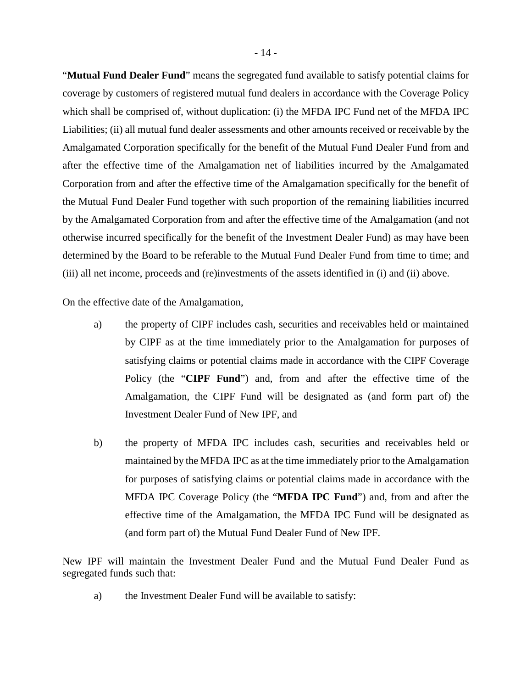"**Mutual Fund Dealer Fund**" means the segregated fund available to satisfy potential claims for coverage by customers of registered mutual fund dealers in accordance with the Coverage Policy which shall be comprised of, without duplication: (i) the MFDA IPC Fund net of the MFDA IPC Liabilities; (ii) all mutual fund dealer assessments and other amounts received or receivable by the Amalgamated Corporation specifically for the benefit of the Mutual Fund Dealer Fund from and after the effective time of the Amalgamation net of liabilities incurred by the Amalgamated Corporation from and after the effective time of the Amalgamation specifically for the benefit of the Mutual Fund Dealer Fund together with such proportion of the remaining liabilities incurred by the Amalgamated Corporation from and after the effective time of the Amalgamation (and not otherwise incurred specifically for the benefit of the Investment Dealer Fund) as may have been determined by the Board to be referable to the Mutual Fund Dealer Fund from time to time; and (iii) all net income, proceeds and (re)investments of the assets identified in (i) and (ii) above.

On the effective date of the Amalgamation,

- a) the property of CIPF includes cash, securities and receivables held or maintained by CIPF as at the time immediately prior to the Amalgamation for purposes of satisfying claims or potential claims made in accordance with the CIPF Coverage Policy (the "**CIPF Fund**") and, from and after the effective time of the Amalgamation, the CIPF Fund will be designated as (and form part of) the Investment Dealer Fund of New IPF, and
- b) the property of MFDA IPC includes cash, securities and receivables held or maintained by the MFDA IPC as at the time immediately prior to the Amalgamation for purposes of satisfying claims or potential claims made in accordance with the MFDA IPC Coverage Policy (the "**MFDA IPC Fund**") and, from and after the effective time of the Amalgamation, the MFDA IPC Fund will be designated as (and form part of) the Mutual Fund Dealer Fund of New IPF.

New IPF will maintain the Investment Dealer Fund and the Mutual Fund Dealer Fund as segregated funds such that:

a) the Investment Dealer Fund will be available to satisfy: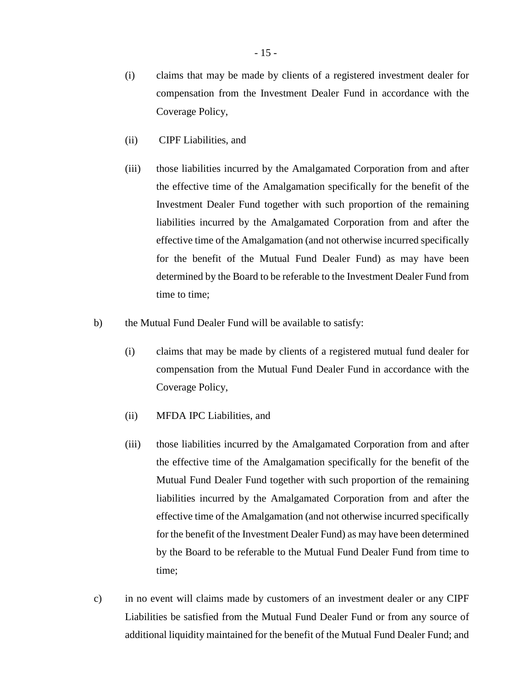(i) claims that may be made by clients of a registered investment dealer for compensation from the Investment Dealer Fund in accordance with the Coverage Policy,

- (ii) CIPF Liabilities, and
- (iii) those liabilities incurred by the Amalgamated Corporation from and after the effective time of the Amalgamation specifically for the benefit of the Investment Dealer Fund together with such proportion of the remaining liabilities incurred by the Amalgamated Corporation from and after the effective time of the Amalgamation (and not otherwise incurred specifically for the benefit of the Mutual Fund Dealer Fund) as may have been determined by the Board to be referable to the Investment Dealer Fund from time to time;
- b) the Mutual Fund Dealer Fund will be available to satisfy:
	- (i) claims that may be made by clients of a registered mutual fund dealer for compensation from the Mutual Fund Dealer Fund in accordance with the Coverage Policy,
	- (ii) MFDA IPC Liabilities, and
	- (iii) those liabilities incurred by the Amalgamated Corporation from and after the effective time of the Amalgamation specifically for the benefit of the Mutual Fund Dealer Fund together with such proportion of the remaining liabilities incurred by the Amalgamated Corporation from and after the effective time of the Amalgamation (and not otherwise incurred specifically for the benefit of the Investment Dealer Fund) as may have been determined by the Board to be referable to the Mutual Fund Dealer Fund from time to time;
- c) in no event will claims made by customers of an investment dealer or any CIPF Liabilities be satisfied from the Mutual Fund Dealer Fund or from any source of additional liquidity maintained for the benefit of the Mutual Fund Dealer Fund; and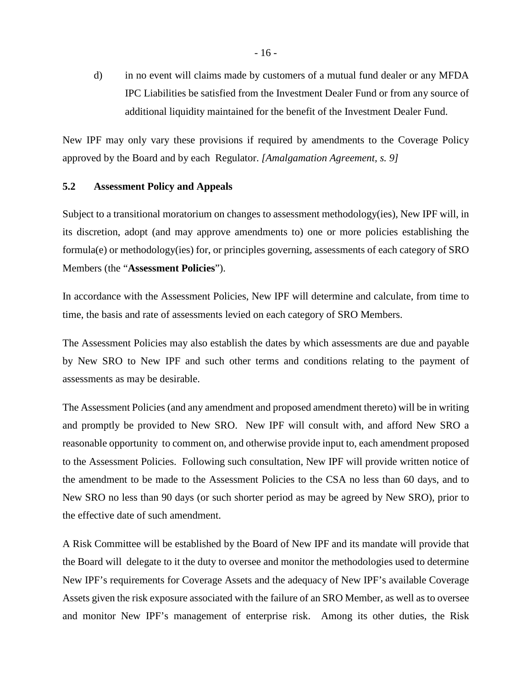d) in no event will claims made by customers of a mutual fund dealer or any MFDA IPC Liabilities be satisfied from the Investment Dealer Fund or from any source of additional liquidity maintained for the benefit of the Investment Dealer Fund.

New IPF may only vary these provisions if required by amendments to the Coverage Policy approved by the Board and by each Regulator. *[Amalgamation Agreement, s. 9]*

### **5.2 Assessment Policy and Appeals**

Subject to a transitional moratorium on changes to assessment methodology(ies), New IPF will, in its discretion, adopt (and may approve amendments to) one or more policies establishing the formula(e) or methodology(ies) for, or principles governing, assessments of each category of SRO Members (the "**Assessment Policies**").

In accordance with the Assessment Policies, New IPF will determine and calculate, from time to time, the basis and rate of assessments levied on each category of SRO Members.

The Assessment Policies may also establish the dates by which assessments are due and payable by New SRO to New IPF and such other terms and conditions relating to the payment of assessments as may be desirable.

The Assessment Policies (and any amendment and proposed amendment thereto) will be in writing and promptly be provided to New SRO. New IPF will consult with, and afford New SRO a reasonable opportunity to comment on, and otherwise provide input to, each amendment proposed to the Assessment Policies. Following such consultation, New IPF will provide written notice of the amendment to be made to the Assessment Policies to the CSA no less than 60 days, and to New SRO no less than 90 days (or such shorter period as may be agreed by New SRO), prior to the effective date of such amendment.

A Risk Committee will be established by the Board of New IPF and its mandate will provide that the Board will delegate to it the duty to oversee and monitor the methodologies used to determine New IPF's requirements for Coverage Assets and the adequacy of New IPF's available Coverage Assets given the risk exposure associated with the failure of an SRO Member, as well as to oversee and monitor New IPF's management of enterprise risk. Among its other duties, the Risk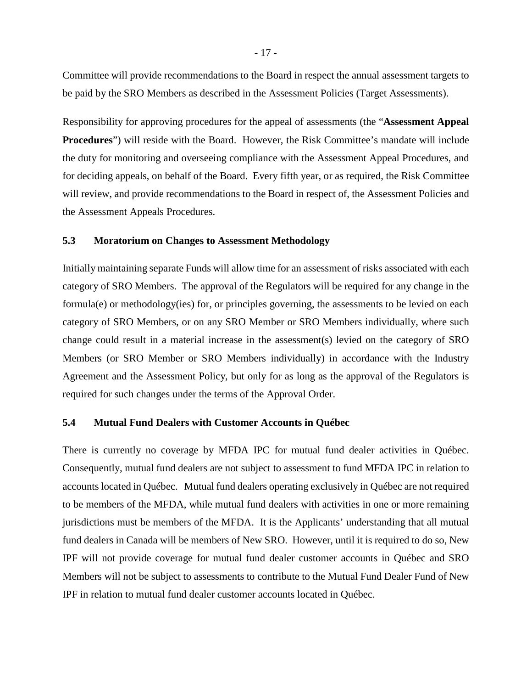Committee will provide recommendations to the Board in respect the annual assessment targets to be paid by the SRO Members as described in the Assessment Policies (Target Assessments).

Responsibility for approving procedures for the appeal of assessments (the "**Assessment Appeal Procedures**") will reside with the Board. However, the Risk Committee's mandate will include the duty for monitoring and overseeing compliance with the Assessment Appeal Procedures, and for deciding appeals, on behalf of the Board. Every fifth year, or as required, the Risk Committee will review, and provide recommendations to the Board in respect of, the Assessment Policies and the Assessment Appeals Procedures.

#### **5.3 Moratorium on Changes to Assessment Methodology**

Initially maintaining separate Funds will allow time for an assessment of risks associated with each category of SRO Members. The approval of the Regulators will be required for any change in the formula(e) or methodology(ies) for, or principles governing, the assessments to be levied on each category of SRO Members, or on any SRO Member or SRO Members individually, where such change could result in a material increase in the assessment(s) levied on the category of SRO Members (or SRO Member or SRO Members individually) in accordance with the Industry Agreement and the Assessment Policy, but only for as long as the approval of the Regulators is required for such changes under the terms of the Approval Order.

### **5.4 Mutual Fund Dealers with Customer Accounts in Québec**

There is currently no coverage by MFDA IPC for mutual fund dealer activities in Québec. Consequently, mutual fund dealers are not subject to assessment to fund MFDA IPC in relation to accounts located in Québec. Mutual fund dealers operating exclusively in Québec are not required to be members of the MFDA, while mutual fund dealers with activities in one or more remaining jurisdictions must be members of the MFDA. It is the Applicants' understanding that all mutual fund dealers in Canada will be members of New SRO. However, until it is required to do so, New IPF will not provide coverage for mutual fund dealer customer accounts in Québec and SRO Members will not be subject to assessments to contribute to the Mutual Fund Dealer Fund of New IPF in relation to mutual fund dealer customer accounts located in Québec.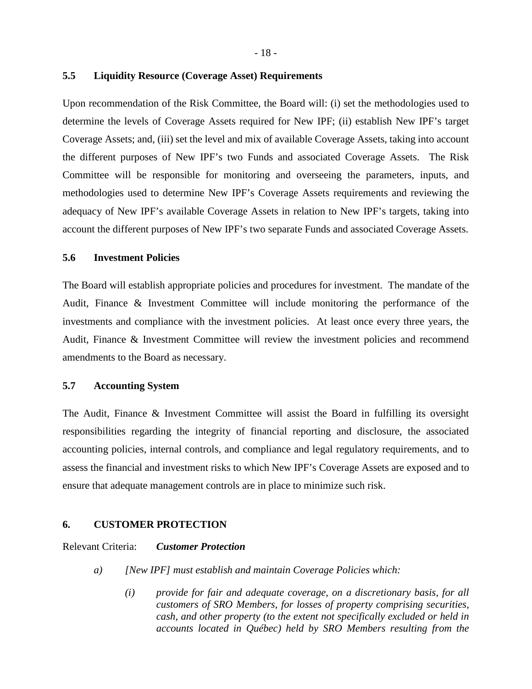- 18 -

#### **5.5 Liquidity Resource (Coverage Asset) Requirements**

Upon recommendation of the Risk Committee, the Board will: (i) set the methodologies used to determine the levels of Coverage Assets required for New IPF; (ii) establish New IPF's target Coverage Assets; and, (iii) set the level and mix of available Coverage Assets, taking into account the different purposes of New IPF's two Funds and associated Coverage Assets. The Risk Committee will be responsible for monitoring and overseeing the parameters, inputs, and methodologies used to determine New IPF's Coverage Assets requirements and reviewing the adequacy of New IPF's available Coverage Assets in relation to New IPF's targets, taking into account the different purposes of New IPF's two separate Funds and associated Coverage Assets.

#### **5.6 Investment Policies**

The Board will establish appropriate policies and procedures for investment. The mandate of the Audit, Finance & Investment Committee will include monitoring the performance of the investments and compliance with the investment policies. At least once every three years, the Audit, Finance & Investment Committee will review the investment policies and recommend amendments to the Board as necessary.

#### **5.7 Accounting System**

The Audit, Finance & Investment Committee will assist the Board in fulfilling its oversight responsibilities regarding the integrity of financial reporting and disclosure, the associated accounting policies, internal controls, and compliance and legal regulatory requirements, and to assess the financial and investment risks to which New IPF's Coverage Assets are exposed and to ensure that adequate management controls are in place to minimize such risk.

#### **6. CUSTOMER PROTECTION**

Relevant Criteria: *Customer Protection*

- *a) [New IPF] must establish and maintain Coverage Policies which:* 
	- *(i) provide for fair and adequate coverage, on a discretionary basis, for all customers of SRO Members, for losses of property comprising securities, cash, and other property (to the extent not specifically excluded or held in accounts located in Québec) held by SRO Members resulting from the*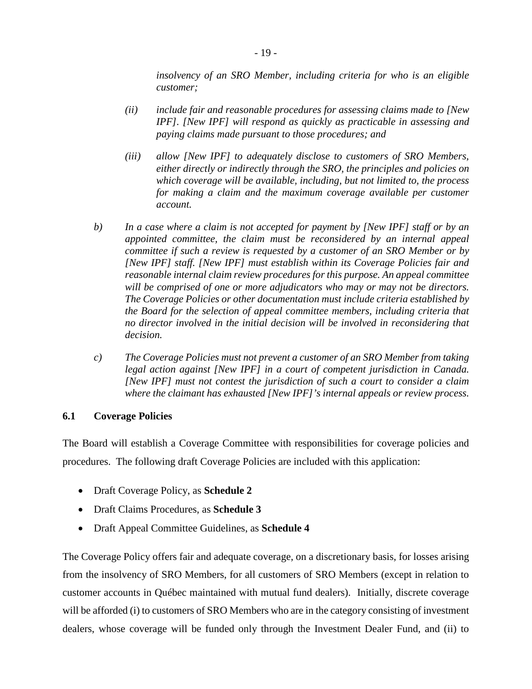*insolvency of an SRO Member, including criteria for who is an eligible customer;* 

- *(ii) include fair and reasonable procedures for assessing claims made to [New IPF]. [New IPF] will respond as quickly as practicable in assessing and paying claims made pursuant to those procedures; and*
- *(iii) allow [New IPF] to adequately disclose to customers of SRO Members, either directly or indirectly through the SRO, the principles and policies on which coverage will be available, including, but not limited to, the process for making a claim and the maximum coverage available per customer account.*
- *b) In a case where a claim is not accepted for payment by [New IPF] staff or by an appointed committee, the claim must be reconsidered by an internal appeal committee if such a review is requested by a customer of an SRO Member or by [New IPF] staff. [New IPF] must establish within its Coverage Policies fair and reasonable internal claim review procedures for this purpose. An appeal committee will be comprised of one or more adjudicators who may or may not be directors. The Coverage Policies or other documentation must include criteria established by the Board for the selection of appeal committee members, including criteria that no director involved in the initial decision will be involved in reconsidering that decision.*
- *c) The Coverage Policies must not prevent a customer of an SRO Member from taking legal action against [New IPF] in a court of competent jurisdiction in Canada. [New IPF] must not contest the jurisdiction of such a court to consider a claim where the claimant has exhausted [New IPF]'s internal appeals or review process.*

### **6.1 Coverage Policies**

The Board will establish a Coverage Committee with responsibilities for coverage policies and procedures. The following draft Coverage Policies are included with this application:

- Draft Coverage Policy, as **Schedule 2**
- Draft Claims Procedures, as **Schedule 3**
- Draft Appeal Committee Guidelines, as **Schedule 4**

The Coverage Policy offers fair and adequate coverage, on a discretionary basis, for losses arising from the insolvency of SRO Members, for all customers of SRO Members (except in relation to customer accounts in Québec maintained with mutual fund dealers). Initially, discrete coverage will be afforded (i) to customers of SRO Members who are in the category consisting of investment dealers, whose coverage will be funded only through the Investment Dealer Fund, and (ii) to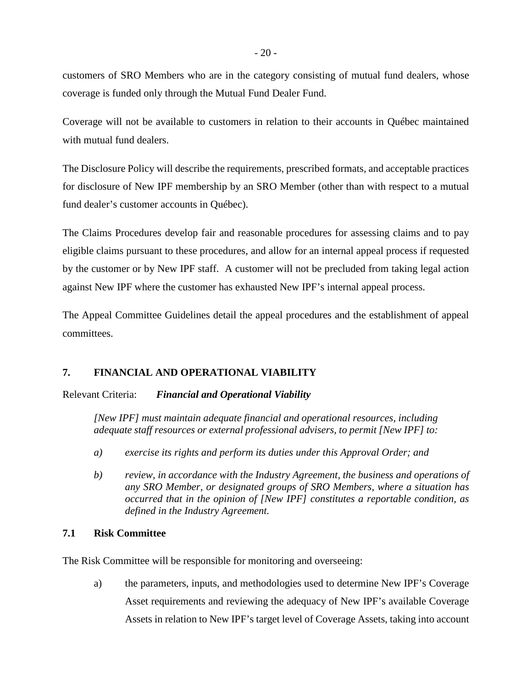customers of SRO Members who are in the category consisting of mutual fund dealers, whose coverage is funded only through the Mutual Fund Dealer Fund.

Coverage will not be available to customers in relation to their accounts in Québec maintained with mutual fund dealers.

The Disclosure Policy will describe the requirements, prescribed formats, and acceptable practices for disclosure of New IPF membership by an SRO Member (other than with respect to a mutual fund dealer's customer accounts in Québec).

The Claims Procedures develop fair and reasonable procedures for assessing claims and to pay eligible claims pursuant to these procedures, and allow for an internal appeal process if requested by the customer or by New IPF staff. A customer will not be precluded from taking legal action against New IPF where the customer has exhausted New IPF's internal appeal process.

The Appeal Committee Guidelines detail the appeal procedures and the establishment of appeal committees.

## **7. FINANCIAL AND OPERATIONAL VIABILITY**

Relevant Criteria: *Financial and Operational Viability*

*[New IPF] must maintain adequate financial and operational resources, including adequate staff resources or external professional advisers, to permit [New IPF] to:* 

- *a) exercise its rights and perform its duties under this Approval Order; and*
- *b) review, in accordance with the Industry Agreement, the business and operations of any SRO Member, or designated groups of SRO Members, where a situation has occurred that in the opinion of [New IPF] constitutes a reportable condition, as defined in the Industry Agreement.*

### **7.1 Risk Committee**

The Risk Committee will be responsible for monitoring and overseeing:

a) the parameters, inputs, and methodologies used to determine New IPF's Coverage Asset requirements and reviewing the adequacy of New IPF's available Coverage Assets in relation to New IPF's target level of Coverage Assets, taking into account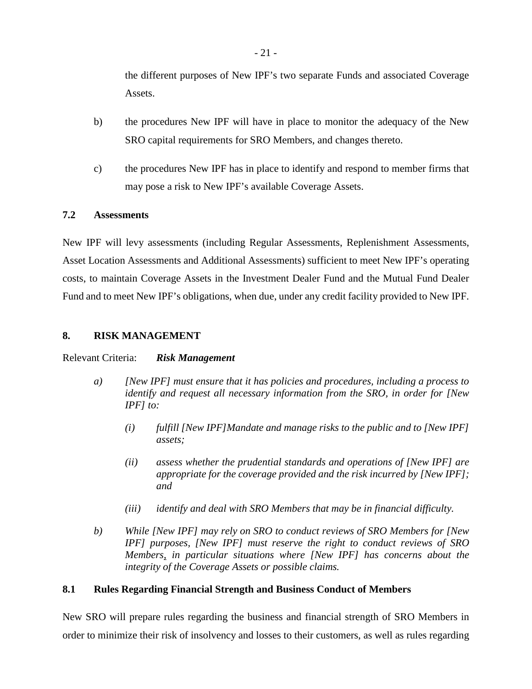the different purposes of New IPF's two separate Funds and associated Coverage Assets.

- b) the procedures New IPF will have in place to monitor the adequacy of the New SRO capital requirements for SRO Members, and changes thereto.
- c) the procedures New IPF has in place to identify and respond to member firms that may pose a risk to New IPF's available Coverage Assets.

### **7.2 Assessments**

New IPF will levy assessments (including Regular Assessments, Replenishment Assessments, Asset Location Assessments and Additional Assessments) sufficient to meet New IPF's operating costs, to maintain Coverage Assets in the Investment Dealer Fund and the Mutual Fund Dealer Fund and to meet New IPF's obligations, when due, under any credit facility provided to New IPF.

### **8. RISK MANAGEMENT**

#### Relevant Criteria: *Risk Management*

- *a) [New IPF] must ensure that it has policies and procedures, including a process to identify and request all necessary information from the SRO, in order for [New IPF] to:* 
	- *(i) fulfill [New IPF]Mandate and manage risks to the public and to [New IPF] assets;*
	- *(ii) assess whether the prudential standards and operations of [New IPF] are appropriate for the coverage provided and the risk incurred by [New IPF]; and*
	- *(iii) identify and deal with SRO Members that may be in financial difficulty.*
- *b) While [New IPF] may rely on SRO to conduct reviews of SRO Members for [New IPF] purposes, [New IPF] must reserve the right to conduct reviews of SRO Members, in particular situations where [New IPF] has concerns about the integrity of the Coverage Assets or possible claims.*

### **8.1 Rules Regarding Financial Strength and Business Conduct of Members**

New SRO will prepare rules regarding the business and financial strength of SRO Members in order to minimize their risk of insolvency and losses to their customers, as well as rules regarding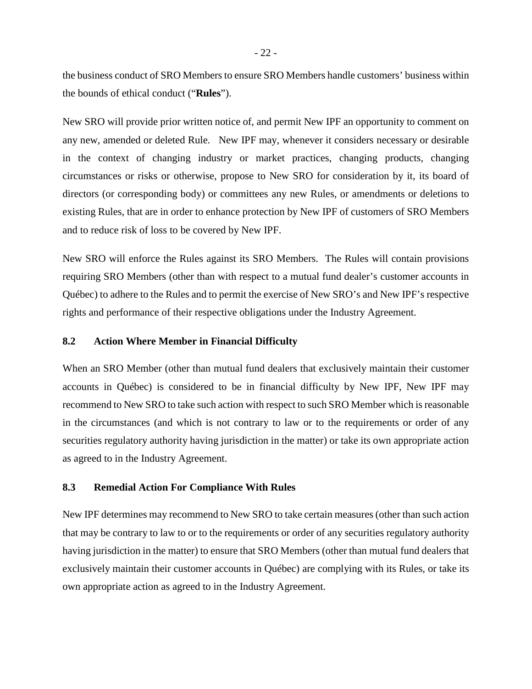the business conduct of SRO Members to ensure SRO Members handle customers' business within the bounds of ethical conduct ("**Rules**").

New SRO will provide prior written notice of, and permit New IPF an opportunity to comment on any new, amended or deleted Rule. New IPF may, whenever it considers necessary or desirable in the context of changing industry or market practices, changing products, changing circumstances or risks or otherwise, propose to New SRO for consideration by it, its board of directors (or corresponding body) or committees any new Rules, or amendments or deletions to existing Rules, that are in order to enhance protection by New IPF of customers of SRO Members and to reduce risk of loss to be covered by New IPF.

New SRO will enforce the Rules against its SRO Members. The Rules will contain provisions requiring SRO Members (other than with respect to a mutual fund dealer's customer accounts in Québec) to adhere to the Rules and to permit the exercise of New SRO's and New IPF's respective rights and performance of their respective obligations under the Industry Agreement.

### **8.2 Action Where Member in Financial Difficulty**

When an SRO Member (other than mutual fund dealers that exclusively maintain their customer accounts in Québec) is considered to be in financial difficulty by New IPF, New IPF may recommend to New SRO to take such action with respect to such SRO Member which is reasonable in the circumstances (and which is not contrary to law or to the requirements or order of any securities regulatory authority having jurisdiction in the matter) or take its own appropriate action as agreed to in the Industry Agreement.

#### **8.3 Remedial Action For Compliance With Rules**

New IPF determines may recommend to New SRO to take certain measures (other than such action that may be contrary to law to or to the requirements or order of any securities regulatory authority having jurisdiction in the matter) to ensure that SRO Members (other than mutual fund dealers that exclusively maintain their customer accounts in Québec) are complying with its Rules, or take its own appropriate action as agreed to in the Industry Agreement.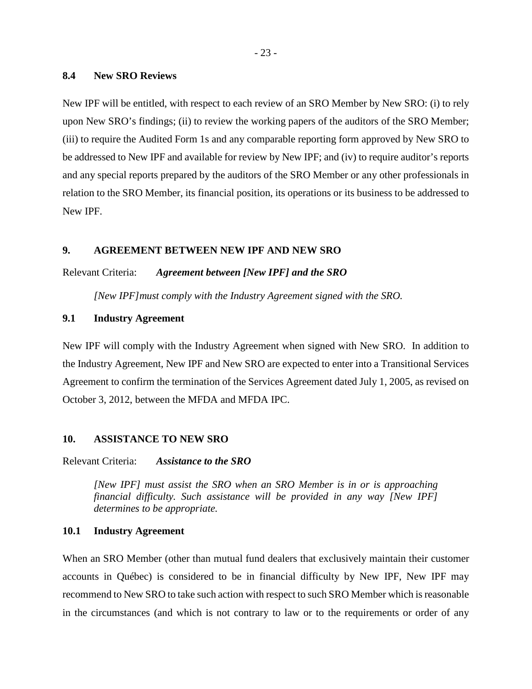#### **8.4 New SRO Reviews**

New IPF will be entitled, with respect to each review of an SRO Member by New SRO: (i) to rely upon New SRO's findings; (ii) to review the working papers of the auditors of the SRO Member; (iii) to require the Audited Form 1s and any comparable reporting form approved by New SRO to be addressed to New IPF and available for review by New IPF; and (iv) to require auditor's reports and any special reports prepared by the auditors of the SRO Member or any other professionals in relation to the SRO Member, its financial position, its operations or its business to be addressed to New IPF.

#### **9. AGREEMENT BETWEEN NEW IPF AND NEW SRO**

Relevant Criteria: *Agreement between [New IPF] and the SRO*

*[New IPF]must comply with the Industry Agreement signed with the SRO.* 

### **9.1 Industry Agreement**

New IPF will comply with the Industry Agreement when signed with New SRO. In addition to the Industry Agreement, New IPF and New SRO are expected to enter into a Transitional Services Agreement to confirm the termination of the Services Agreement dated July 1, 2005, as revised on October 3, 2012, between the MFDA and MFDA IPC.

#### **10. ASSISTANCE TO NEW SRO**

Relevant Criteria: *Assistance to the SRO*

*[New IPF] must assist the SRO when an SRO Member is in or is approaching financial difficulty. Such assistance will be provided in any way [New IPF] determines to be appropriate.* 

#### **10.1 Industry Agreement**

When an SRO Member (other than mutual fund dealers that exclusively maintain their customer accounts in Québec) is considered to be in financial difficulty by New IPF, New IPF may recommend to New SRO to take such action with respect to such SRO Member which is reasonable in the circumstances (and which is not contrary to law or to the requirements or order of any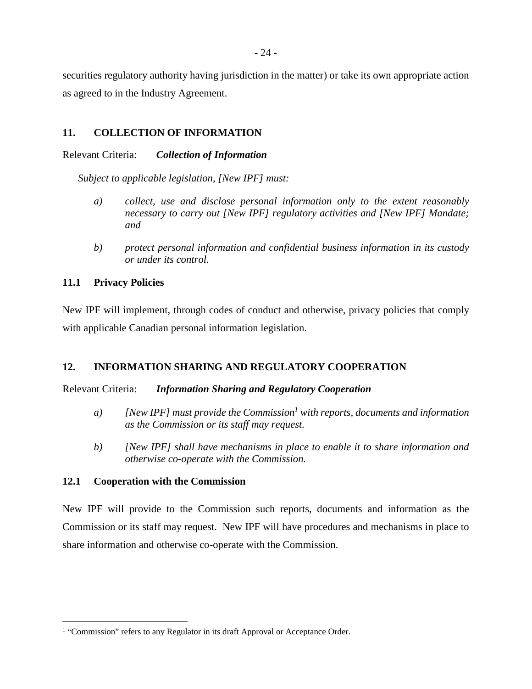securities regulatory authority having jurisdiction in the matter) or take its own appropriate action as agreed to in the Industry Agreement.

## **11. COLLECTION OF INFORMATION**

### Relevant Criteria: *Collection of Information*

*Subject to applicable legislation, [New IPF] must:* 

- *a) collect, use and disclose personal information only to the extent reasonably necessary to carry out [New IPF] regulatory activities and [New IPF] Mandate; and*
- *b) protect personal information and confidential business information in its custody or under its control.*

## **11.1 Privacy Policies**

New IPF will implement, through codes of conduct and otherwise, privacy policies that comply with applicable Canadian personal information legislation.

### **12. INFORMATION SHARING AND REGULATORY COOPERATION**

### Relevant Criteria: *Information Sharing and Regulatory Cooperation*

- *a) [New IPF] must provide the Commission<sup>1</sup> with reports, documents and information as the Commission or its staff may request.*
- *b) [New IPF] shall have mechanisms in place to enable it to share information and otherwise co-operate with the Commission.*

### **12.1 Cooperation with the Commission**

New IPF will provide to the Commission such reports, documents and information as the Commission or its staff may request. New IPF will have procedures and mechanisms in place to share information and otherwise co-operate with the Commission.

<sup>&</sup>lt;sup>1</sup> "Commission" refers to any Regulator in its draft Approval or Acceptance Order.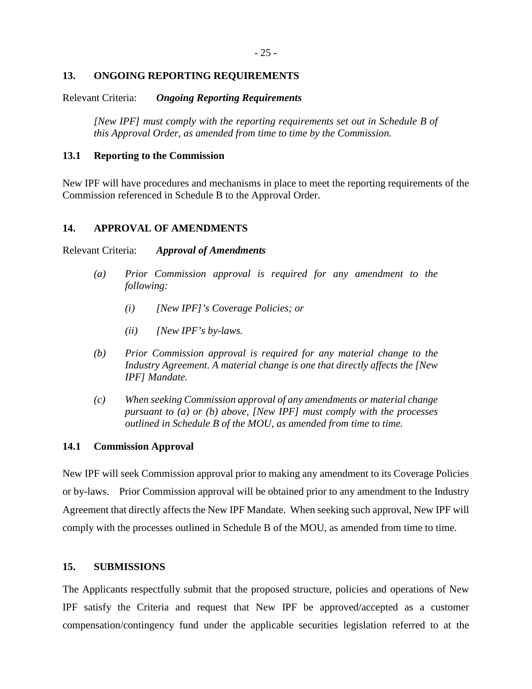### **13. ONGOING REPORTING REQUIREMENTS**

### Relevant Criteria: *Ongoing Reporting Requirements*

*[New IPF] must comply with the reporting requirements set out in Schedule B of this Approval Order, as amended from time to time by the Commission.* 

### **13.1 Reporting to the Commission**

New IPF will have procedures and mechanisms in place to meet the reporting requirements of the Commission referenced in Schedule B to the Approval Order.

### **14. APPROVAL OF AMENDMENTS**

#### Relevant Criteria: *Approval of Amendments*

- *(a) Prior Commission approval is required for any amendment to the following:* 
	- *(i) [New IPF]'s Coverage Policies; or*
	- *(ii) [New IPF's by-laws.*
- *(b) Prior Commission approval is required for any material change to the Industry Agreement. A material change is one that directly affects the [New IPF] Mandate.*
- *(c) When seeking Commission approval of any amendments or material change pursuant to (a) or (b) above, [New IPF] must comply with the processes outlined in Schedule B of the MOU, as amended from time to time.*

#### **14.1 Commission Approval**

New IPF will seek Commission approval prior to making any amendment to its Coverage Policies or by-laws. Prior Commission approval will be obtained prior to any amendment to the Industry Agreement that directly affects the New IPF Mandate. When seeking such approval, New IPF will comply with the processes outlined in Schedule B of the MOU, as amended from time to time.

## **15. SUBMISSIONS**

The Applicants respectfully submit that the proposed structure, policies and operations of New IPF satisfy the Criteria and request that New IPF be approved/accepted as a customer compensation/contingency fund under the applicable securities legislation referred to at the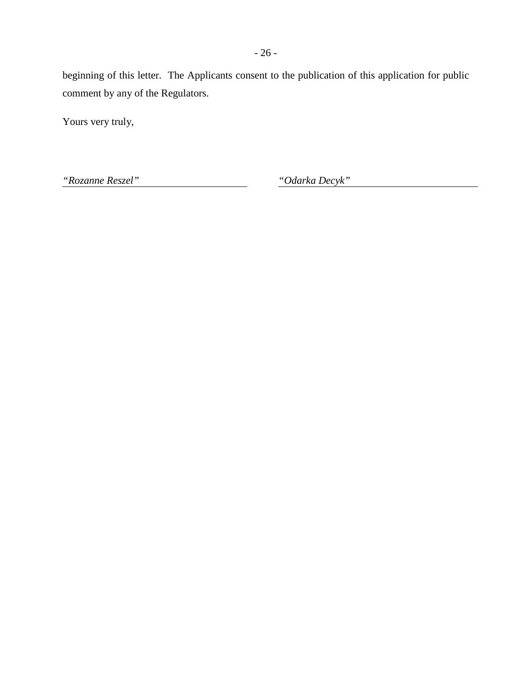beginning of this letter. The Applicants consent to the publication of this application for public comment by any of the Regulators.

Yours very truly,

*"Rozanne Reszel" "Odarka Decyk"*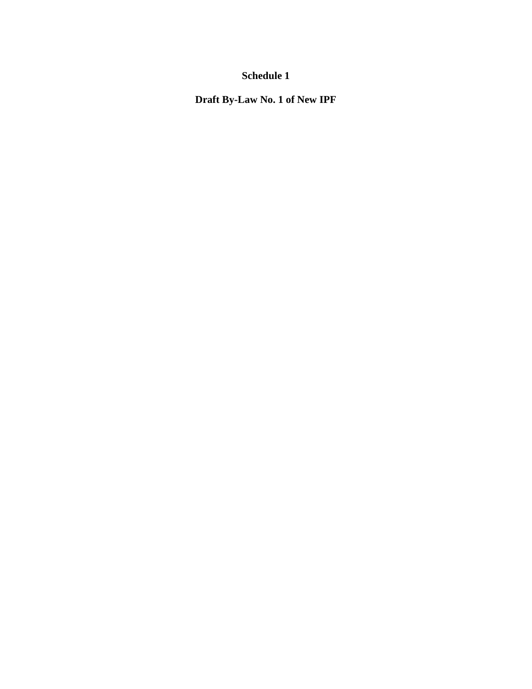**Draft By-Law No. 1 of New IPF**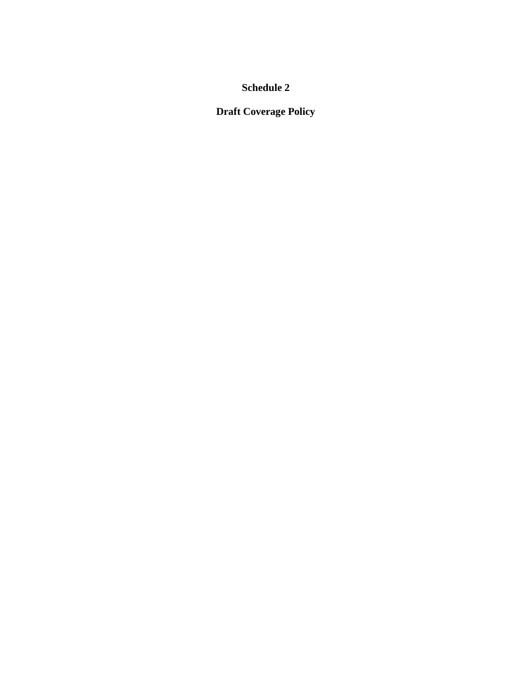**Draft Coverage Policy**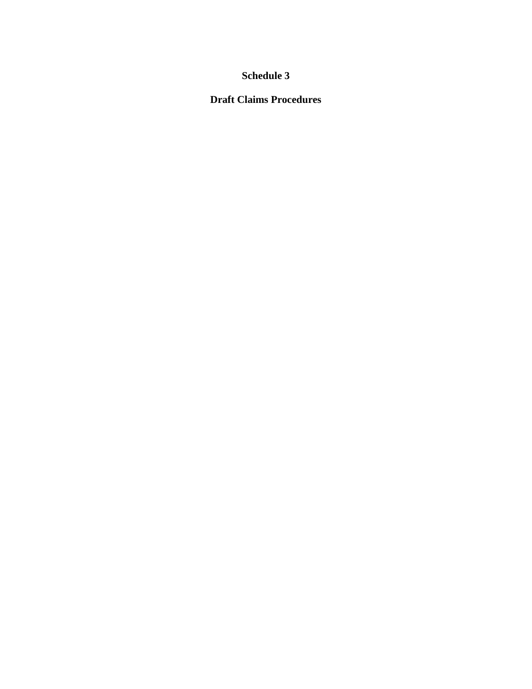# **Draft Claims Procedures**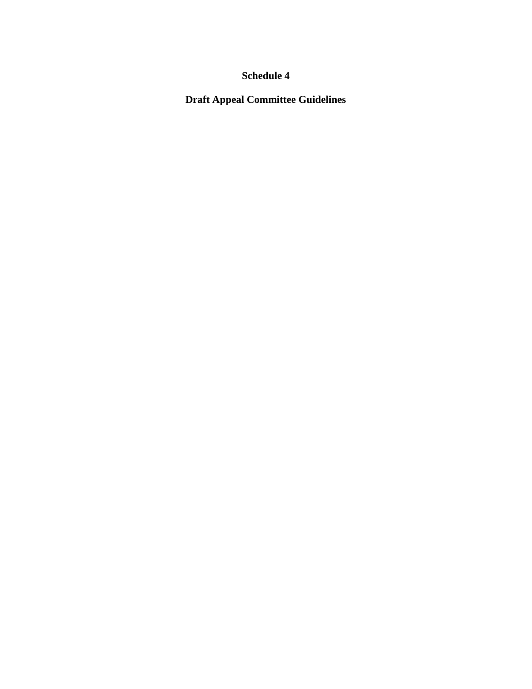**Draft Appeal Committee Guidelines**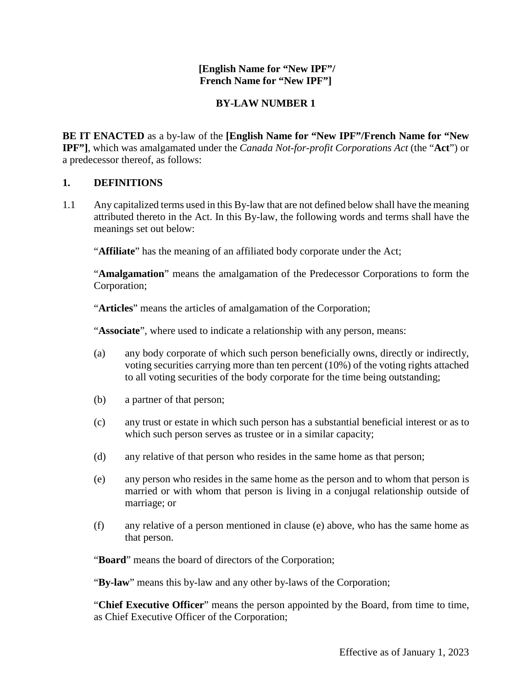### **[English Name for "New IPF"/ French Name for "New IPF"]**

## **BY-LAW NUMBER 1**

**BE IT ENACTED** as a by-law of the **[English Name for "New IPF"/French Name for "New IPF"]**, which was amalgamated under the *Canada Not-for-profit Corporations Act* (the "**Act**") or a predecessor thereof, as follows:

## **1. DEFINITIONS**

1.1 Any capitalized terms used in this By-law that are not defined below shall have the meaning attributed thereto in the Act. In this By-law, the following words and terms shall have the meanings set out below:

"**Affiliate**" has the meaning of an affiliated body corporate under the Act;

"**Amalgamation**" means the amalgamation of the Predecessor Corporations to form the Corporation;

"**Articles**" means the articles of amalgamation of the Corporation;

"**Associate**", where used to indicate a relationship with any person, means:

- (a) any body corporate of which such person beneficially owns, directly or indirectly, voting securities carrying more than ten percent (10%) of the voting rights attached to all voting securities of the body corporate for the time being outstanding;
- (b) a partner of that person;
- (c) any trust or estate in which such person has a substantial beneficial interest or as to which such person serves as trustee or in a similar capacity;
- (d) any relative of that person who resides in the same home as that person;
- (e) any person who resides in the same home as the person and to whom that person is married or with whom that person is living in a conjugal relationship outside of marriage; or
- (f) any relative of a person mentioned in clause (e) above, who has the same home as that person.

"**Board**" means the board of directors of the Corporation;

"**By-law**" means this by-law and any other by-laws of the Corporation;

"**Chief Executive Officer**" means the person appointed by the Board, from time to time, as Chief Executive Officer of the Corporation;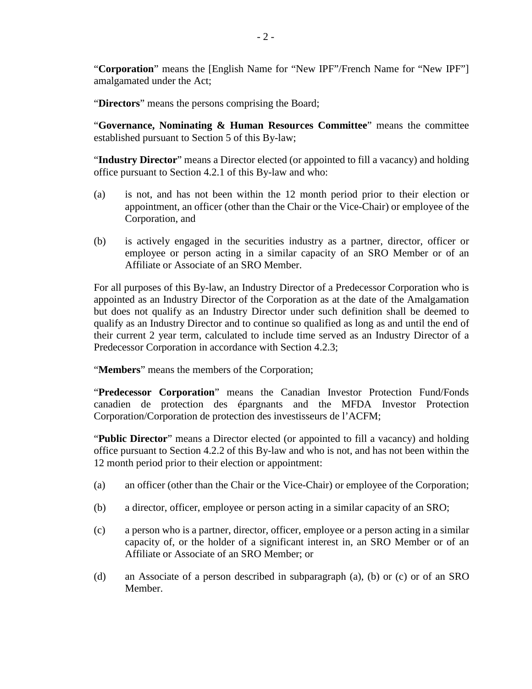"**Corporation**" means the [English Name for "New IPF"/French Name for "New IPF"] amalgamated under the Act;

"**Directors**" means the persons comprising the Board;

"**Governance, Nominating & Human Resources Committee**" means the committee established pursuant to Section 5 of this By-law;

"**Industry Director**" means a Director elected (or appointed to fill a vacancy) and holding office pursuant to Section 4.2.1 of this By-law and who:

- (a) is not, and has not been within the 12 month period prior to their election or appointment, an officer (other than the Chair or the Vice-Chair) or employee of the Corporation, and
- (b) is actively engaged in the securities industry as a partner, director, officer or employee or person acting in a similar capacity of an SRO Member or of an Affiliate or Associate of an SRO Member.

For all purposes of this By-law, an Industry Director of a Predecessor Corporation who is appointed as an Industry Director of the Corporation as at the date of the Amalgamation but does not qualify as an Industry Director under such definition shall be deemed to qualify as an Industry Director and to continue so qualified as long as and until the end of their current 2 year term, calculated to include time served as an Industry Director of a Predecessor Corporation in accordance with Section 4.2.3;

"**Members**" means the members of the Corporation;

"**Predecessor Corporation**" means the Canadian Investor Protection Fund/Fonds canadien de protection des épargnants and the MFDA Investor Protection Corporation/Corporation de protection des investisseurs de l'ACFM;

"**Public Director**" means a Director elected (or appointed to fill a vacancy) and holding office pursuant to Section 4.2.2 of this By-law and who is not, and has not been within the 12 month period prior to their election or appointment:

- (a) an officer (other than the Chair or the Vice-Chair) or employee of the Corporation;
- (b) a director, officer, employee or person acting in a similar capacity of an SRO;
- (c) a person who is a partner, director, officer, employee or a person acting in a similar capacity of, or the holder of a significant interest in, an SRO Member or of an Affiliate or Associate of an SRO Member; or
- (d) an Associate of a person described in subparagraph (a), (b) or (c) or of an SRO Member.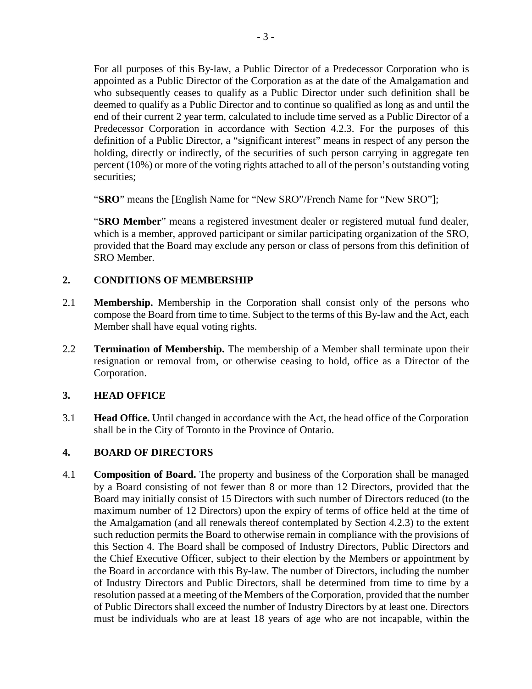For all purposes of this By-law, a Public Director of a Predecessor Corporation who is appointed as a Public Director of the Corporation as at the date of the Amalgamation and who subsequently ceases to qualify as a Public Director under such definition shall be deemed to qualify as a Public Director and to continue so qualified as long as and until the end of their current 2 year term, calculated to include time served as a Public Director of a Predecessor Corporation in accordance with Section 4.2.3. For the purposes of this definition of a Public Director, a "significant interest" means in respect of any person the holding, directly or indirectly, of the securities of such person carrying in aggregate ten percent (10%) or more of the voting rights attached to all of the person's outstanding voting securities;

"**SRO**" means the [English Name for "New SRO"/French Name for "New SRO"];

"**SRO Member**" means a registered investment dealer or registered mutual fund dealer, which is a member, approved participant or similar participating organization of the SRO, provided that the Board may exclude any person or class of persons from this definition of SRO Member.

### **2. CONDITIONS OF MEMBERSHIP**

- 2.1 **Membership.** Membership in the Corporation shall consist only of the persons who compose the Board from time to time. Subject to the terms of this By-law and the Act, each Member shall have equal voting rights.
- 2.2 **Termination of Membership.** The membership of a Member shall terminate upon their resignation or removal from, or otherwise ceasing to hold, office as a Director of the Corporation.

#### **3. HEAD OFFICE**

3.1 **Head Office.** Until changed in accordance with the Act, the head office of the Corporation shall be in the City of Toronto in the Province of Ontario.

#### **4. BOARD OF DIRECTORS**

4.1 **Composition of Board.** The property and business of the Corporation shall be managed by a Board consisting of not fewer than 8 or more than 12 Directors, provided that the Board may initially consist of 15 Directors with such number of Directors reduced (to the maximum number of 12 Directors) upon the expiry of terms of office held at the time of the Amalgamation (and all renewals thereof contemplated by Section 4.2.3) to the extent such reduction permits the Board to otherwise remain in compliance with the provisions of this Section 4. The Board shall be composed of Industry Directors, Public Directors and the Chief Executive Officer, subject to their election by the Members or appointment by the Board in accordance with this By-law. The number of Directors, including the number of Industry Directors and Public Directors, shall be determined from time to time by a resolution passed at a meeting of the Members of the Corporation, provided that the number of Public Directors shall exceed the number of Industry Directors by at least one. Directors must be individuals who are at least 18 years of age who are not incapable, within the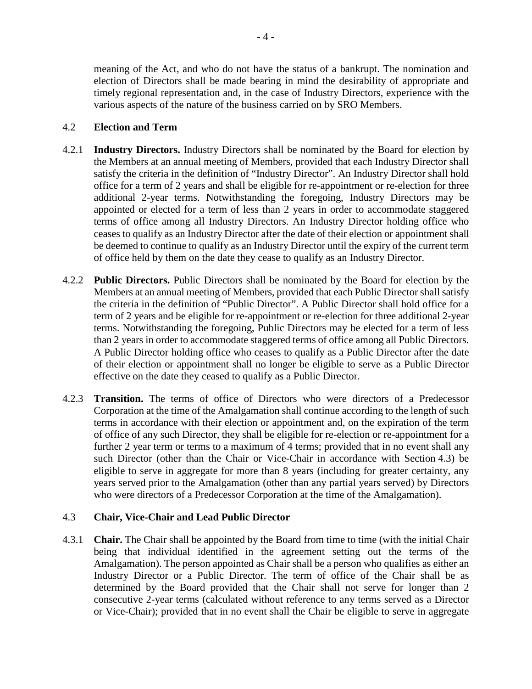meaning of the Act, and who do not have the status of a bankrupt. The nomination and election of Directors shall be made bearing in mind the desirability of appropriate and timely regional representation and, in the case of Industry Directors, experience with the various aspects of the nature of the business carried on by SRO Members.

### 4.2 **Election and Term**

- 4.2.1 **Industry Directors.** Industry Directors shall be nominated by the Board for election by the Members at an annual meeting of Members, provided that each Industry Director shall satisfy the criteria in the definition of "Industry Director". An Industry Director shall hold office for a term of 2 years and shall be eligible for re-appointment or re-election for three additional 2-year terms. Notwithstanding the foregoing, Industry Directors may be appointed or elected for a term of less than 2 years in order to accommodate staggered terms of office among all Industry Directors. An Industry Director holding office who ceases to qualify as an Industry Director after the date of their election or appointment shall be deemed to continue to qualify as an Industry Director until the expiry of the current term of office held by them on the date they cease to qualify as an Industry Director.
- 4.2.2 **Public Directors.** Public Directors shall be nominated by the Board for election by the Members at an annual meeting of Members, provided that each Public Director shall satisfy the criteria in the definition of "Public Director". A Public Director shall hold office for a term of 2 years and be eligible for re-appointment or re-election for three additional 2-year terms. Notwithstanding the foregoing, Public Directors may be elected for a term of less than 2 years in order to accommodate staggered terms of office among all Public Directors. A Public Director holding office who ceases to qualify as a Public Director after the date of their election or appointment shall no longer be eligible to serve as a Public Director effective on the date they ceased to qualify as a Public Director.
- 4.2.3 **Transition.** The terms of office of Directors who were directors of a Predecessor Corporation at the time of the Amalgamation shall continue according to the length of such terms in accordance with their election or appointment and, on the expiration of the term of office of any such Director, they shall be eligible for re-election or re-appointment for a further 2 year term or terms to a maximum of 4 terms; provided that in no event shall any such Director (other than the Chair or Vice-Chair in accordance with Section 4.3) be eligible to serve in aggregate for more than 8 years (including for greater certainty, any years served prior to the Amalgamation (other than any partial years served) by Directors who were directors of a Predecessor Corporation at the time of the Amalgamation).

### 4.3 **Chair, Vice-Chair and Lead Public Director**

4.3.1 **Chair.** The Chair shall be appointed by the Board from time to time (with the initial Chair being that individual identified in the agreement setting out the terms of the Amalgamation). The person appointed as Chair shall be a person who qualifies as either an Industry Director or a Public Director. The term of office of the Chair shall be as determined by the Board provided that the Chair shall not serve for longer than 2 consecutive 2-year terms (calculated without reference to any terms served as a Director or Vice-Chair); provided that in no event shall the Chair be eligible to serve in aggregate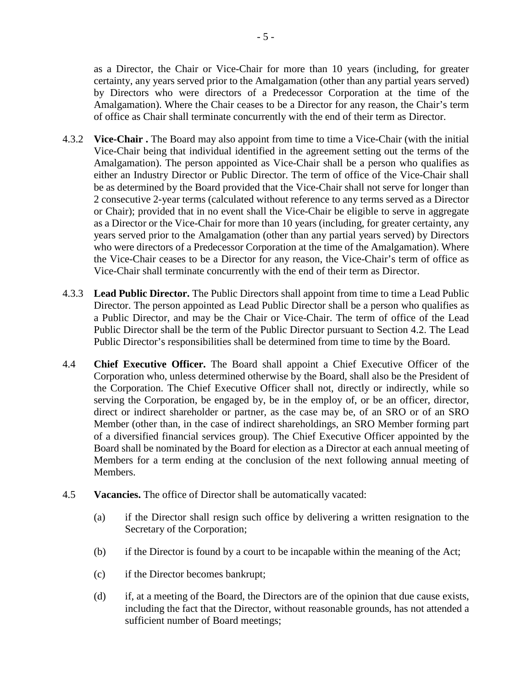as a Director, the Chair or Vice-Chair for more than 10 years (including, for greater certainty, any years served prior to the Amalgamation (other than any partial years served) by Directors who were directors of a Predecessor Corporation at the time of the Amalgamation). Where the Chair ceases to be a Director for any reason, the Chair's term of office as Chair shall terminate concurrently with the end of their term as Director.

- 4.3.2 **Vice-Chair .** The Board may also appoint from time to time a Vice-Chair (with the initial Vice-Chair being that individual identified in the agreement setting out the terms of the Amalgamation). The person appointed as Vice-Chair shall be a person who qualifies as either an Industry Director or Public Director. The term of office of the Vice-Chair shall be as determined by the Board provided that the Vice-Chair shall not serve for longer than 2 consecutive 2-year terms (calculated without reference to any terms served as a Director or Chair); provided that in no event shall the Vice-Chair be eligible to serve in aggregate as a Director or the Vice-Chair for more than 10 years (including, for greater certainty, any years served prior to the Amalgamation (other than any partial years served) by Directors who were directors of a Predecessor Corporation at the time of the Amalgamation). Where the Vice-Chair ceases to be a Director for any reason, the Vice-Chair's term of office as Vice-Chair shall terminate concurrently with the end of their term as Director.
- 4.3.3 **Lead Public Director.** The Public Directors shall appoint from time to time a Lead Public Director. The person appointed as Lead Public Director shall be a person who qualifies as a Public Director, and may be the Chair or Vice-Chair. The term of office of the Lead Public Director shall be the term of the Public Director pursuant to Section 4.2. The Lead Public Director's responsibilities shall be determined from time to time by the Board.
- 4.4 **Chief Executive Officer.** The Board shall appoint a Chief Executive Officer of the Corporation who, unless determined otherwise by the Board, shall also be the President of the Corporation. The Chief Executive Officer shall not, directly or indirectly, while so serving the Corporation, be engaged by, be in the employ of, or be an officer, director, direct or indirect shareholder or partner, as the case may be, of an SRO or of an SRO Member (other than, in the case of indirect shareholdings, an SRO Member forming part of a diversified financial services group). The Chief Executive Officer appointed by the Board shall be nominated by the Board for election as a Director at each annual meeting of Members for a term ending at the conclusion of the next following annual meeting of Members.
- 4.5 **Vacancies.** The office of Director shall be automatically vacated:
	- (a) if the Director shall resign such office by delivering a written resignation to the Secretary of the Corporation;
	- (b) if the Director is found by a court to be incapable within the meaning of the Act;
	- (c) if the Director becomes bankrupt;
	- (d) if, at a meeting of the Board, the Directors are of the opinion that due cause exists, including the fact that the Director, without reasonable grounds, has not attended a sufficient number of Board meetings;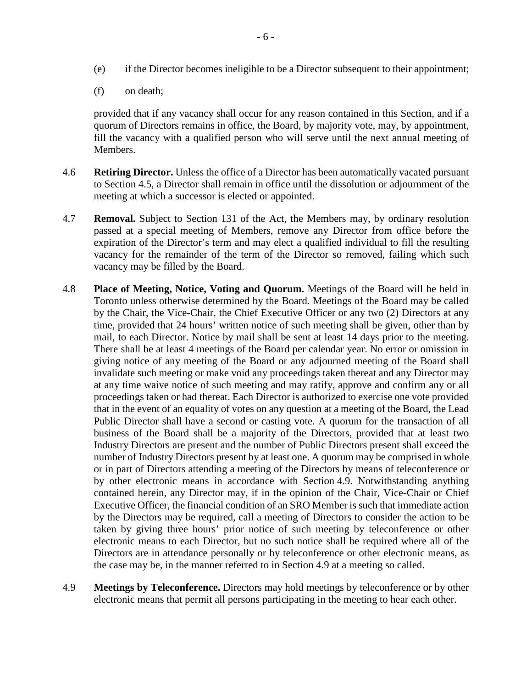- (e) if the Director becomes ineligible to be a Director subsequent to their appointment;
- (f) on death;

provided that if any vacancy shall occur for any reason contained in this Section, and if a quorum of Directors remains in office, the Board, by majority vote, may, by appointment, fill the vacancy with a qualified person who will serve until the next annual meeting of Members.

- 4.6 **Retiring Director.** Unless the office of a Director has been automatically vacated pursuant to Section 4.5, a Director shall remain in office until the dissolution or adjournment of the meeting at which a successor is elected or appointed.
- 4.7 **Removal.** Subject to Section 131 of the Act, the Members may, by ordinary resolution passed at a special meeting of Members, remove any Director from office before the expiration of the Director's term and may elect a qualified individual to fill the resulting vacancy for the remainder of the term of the Director so removed, failing which such vacancy may be filled by the Board.
- 4.8 **Place of Meeting, Notice, Voting and Quorum.** Meetings of the Board will be held in Toronto unless otherwise determined by the Board. Meetings of the Board may be called by the Chair, the Vice-Chair, the Chief Executive Officer or any two (2) Directors at any time, provided that 24 hours' written notice of such meeting shall be given, other than by mail, to each Director. Notice by mail shall be sent at least 14 days prior to the meeting. There shall be at least 4 meetings of the Board per calendar year. No error or omission in giving notice of any meeting of the Board or any adjourned meeting of the Board shall invalidate such meeting or make void any proceedings taken thereat and any Director may at any time waive notice of such meeting and may ratify, approve and confirm any or all proceedings taken or had thereat. Each Director is authorized to exercise one vote provided that in the event of an equality of votes on any question at a meeting of the Board, the Lead Public Director shall have a second or casting vote. A quorum for the transaction of all business of the Board shall be a majority of the Directors, provided that at least two Industry Directors are present and the number of Public Directors present shall exceed the number of Industry Directors present by at least one. A quorum may be comprised in whole or in part of Directors attending a meeting of the Directors by means of teleconference or by other electronic means in accordance with Section 4.9. Notwithstanding anything contained herein, any Director may, if in the opinion of the Chair, Vice-Chair or Chief Executive Officer, the financial condition of an SRO Member is such that immediate action by the Directors may be required, call a meeting of Directors to consider the action to be taken by giving three hours' prior notice of such meeting by teleconference or other electronic means to each Director, but no such notice shall be required where all of the Directors are in attendance personally or by teleconference or other electronic means, as the case may be, in the manner referred to in Section 4.9 at a meeting so called.
- 4.9 **Meetings by Teleconference.** Directors may hold meetings by teleconference or by other electronic means that permit all persons participating in the meeting to hear each other.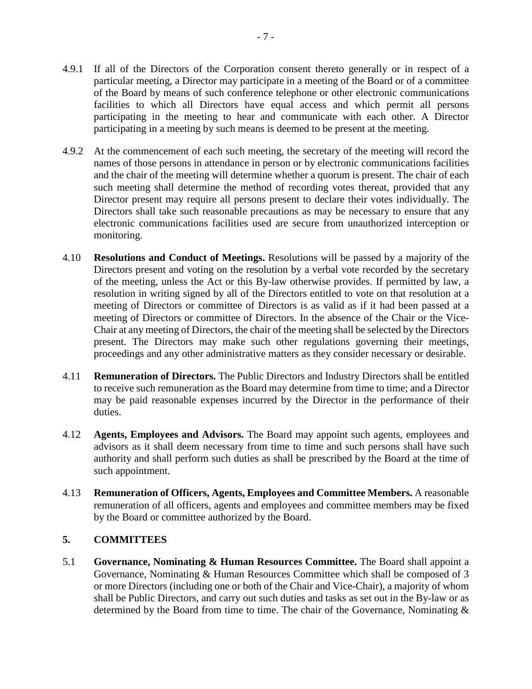- 4.9.1 If all of the Directors of the Corporation consent thereto generally or in respect of a particular meeting, a Director may participate in a meeting of the Board or of a committee of the Board by means of such conference telephone or other electronic communications facilities to which all Directors have equal access and which permit all persons participating in the meeting to hear and communicate with each other. A Director participating in a meeting by such means is deemed to be present at the meeting.
- 4.9.2 At the commencement of each such meeting, the secretary of the meeting will record the names of those persons in attendance in person or by electronic communications facilities and the chair of the meeting will determine whether a quorum is present. The chair of each such meeting shall determine the method of recording votes thereat, provided that any Director present may require all persons present to declare their votes individually. The Directors shall take such reasonable precautions as may be necessary to ensure that any electronic communications facilities used are secure from unauthorized interception or monitoring.
- 4.10 **Resolutions and Conduct of Meetings.** Resolutions will be passed by a majority of the Directors present and voting on the resolution by a verbal vote recorded by the secretary of the meeting, unless the Act or this By-law otherwise provides. If permitted by law, a resolution in writing signed by all of the Directors entitled to vote on that resolution at a meeting of Directors or committee of Directors is as valid as if it had been passed at a meeting of Directors or committee of Directors. In the absence of the Chair or the Vice-Chair at any meeting of Directors, the chair of the meeting shall be selected by the Directors present. The Directors may make such other regulations governing their meetings, proceedings and any other administrative matters as they consider necessary or desirable.
- 4.11 **Remuneration of Directors.** The Public Directors and Industry Directors shall be entitled to receive such remuneration as the Board may determine from time to time; and a Director may be paid reasonable expenses incurred by the Director in the performance of their duties.
- 4.12 **Agents, Employees and Advisors.** The Board may appoint such agents, employees and advisors as it shall deem necessary from time to time and such persons shall have such authority and shall perform such duties as shall be prescribed by the Board at the time of such appointment.
- 4.13 **Remuneration of Officers, Agents, Employees and Committee Members.** A reasonable remuneration of all officers, agents and employees and committee members may be fixed by the Board or committee authorized by the Board.

### **5. COMMITTEES**

5.1 **Governance, Nominating & Human Resources Committee.** The Board shall appoint a Governance, Nominating & Human Resources Committee which shall be composed of 3 or more Directors (including one or both of the Chair and Vice-Chair), a majority of whom shall be Public Directors, and carry out such duties and tasks as set out in the By-law or as determined by the Board from time to time. The chair of the Governance, Nominating &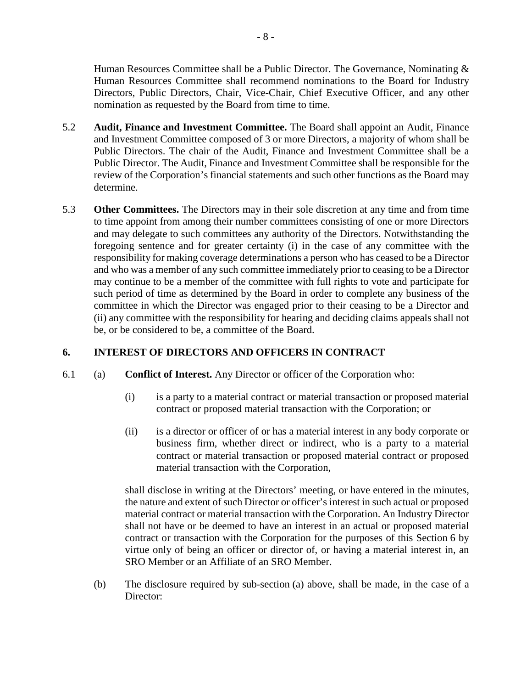Human Resources Committee shall be a Public Director. The Governance, Nominating & Human Resources Committee shall recommend nominations to the Board for Industry Directors, Public Directors, Chair, Vice-Chair, Chief Executive Officer, and any other nomination as requested by the Board from time to time.

- 5.2 **Audit, Finance and Investment Committee.** The Board shall appoint an Audit, Finance and Investment Committee composed of 3 or more Directors, a majority of whom shall be Public Directors. The chair of the Audit, Finance and Investment Committee shall be a Public Director. The Audit, Finance and Investment Committee shall be responsible for the review of the Corporation's financial statements and such other functions as the Board may determine.
- 5.3 **Other Committees.** The Directors may in their sole discretion at any time and from time to time appoint from among their number committees consisting of one or more Directors and may delegate to such committees any authority of the Directors. Notwithstanding the foregoing sentence and for greater certainty (i) in the case of any committee with the responsibility for making coverage determinations a person who has ceased to be a Director and who was a member of any such committee immediately prior to ceasing to be a Director may continue to be a member of the committee with full rights to vote and participate for such period of time as determined by the Board in order to complete any business of the committee in which the Director was engaged prior to their ceasing to be a Director and (ii) any committee with the responsibility for hearing and deciding claims appeals shall not be, or be considered to be, a committee of the Board.

## **6. INTEREST OF DIRECTORS AND OFFICERS IN CONTRACT**

- 6.1 (a) **Conflict of Interest.** Any Director or officer of the Corporation who:
	- (i) is a party to a material contract or material transaction or proposed material contract or proposed material transaction with the Corporation; or
	- (ii) is a director or officer of or has a material interest in any body corporate or business firm, whether direct or indirect, who is a party to a material contract or material transaction or proposed material contract or proposed material transaction with the Corporation,

shall disclose in writing at the Directors' meeting, or have entered in the minutes, the nature and extent of such Director or officer's interest in such actual or proposed material contract or material transaction with the Corporation. An Industry Director shall not have or be deemed to have an interest in an actual or proposed material contract or transaction with the Corporation for the purposes of this Section 6 by virtue only of being an officer or director of, or having a material interest in, an SRO Member or an Affiliate of an SRO Member.

(b) The disclosure required by sub-section (a) above, shall be made, in the case of a Director: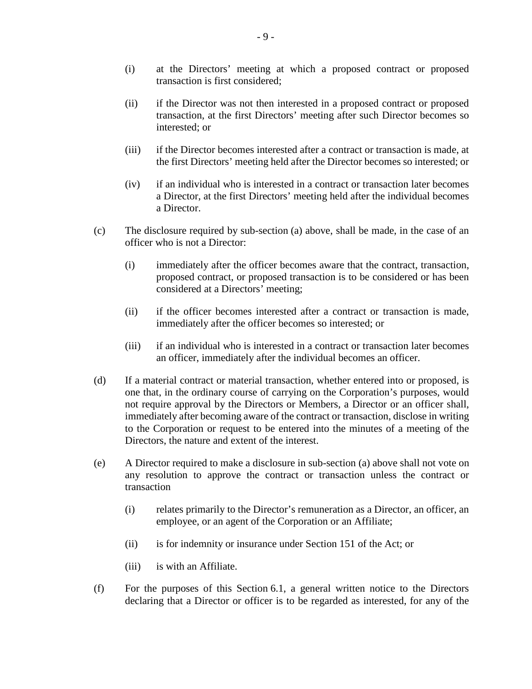- (i) at the Directors' meeting at which a proposed contract or proposed transaction is first considered;
- (ii) if the Director was not then interested in a proposed contract or proposed transaction, at the first Directors' meeting after such Director becomes so interested; or
- (iii) if the Director becomes interested after a contract or transaction is made, at the first Directors' meeting held after the Director becomes so interested; or
- (iv) if an individual who is interested in a contract or transaction later becomes a Director, at the first Directors' meeting held after the individual becomes a Director.
- (c) The disclosure required by sub-section (a) above, shall be made, in the case of an officer who is not a Director:
	- (i) immediately after the officer becomes aware that the contract, transaction, proposed contract, or proposed transaction is to be considered or has been considered at a Directors' meeting;
	- (ii) if the officer becomes interested after a contract or transaction is made, immediately after the officer becomes so interested; or
	- (iii) if an individual who is interested in a contract or transaction later becomes an officer, immediately after the individual becomes an officer.
- (d) If a material contract or material transaction, whether entered into or proposed, is one that, in the ordinary course of carrying on the Corporation's purposes, would not require approval by the Directors or Members, a Director or an officer shall, immediately after becoming aware of the contract or transaction, disclose in writing to the Corporation or request to be entered into the minutes of a meeting of the Directors, the nature and extent of the interest.
- (e) A Director required to make a disclosure in sub-section (a) above shall not vote on any resolution to approve the contract or transaction unless the contract or transaction
	- (i) relates primarily to the Director's remuneration as a Director, an officer, an employee, or an agent of the Corporation or an Affiliate;
	- (ii) is for indemnity or insurance under Section 151 of the Act; or
	- (iii) is with an Affiliate.
- (f) For the purposes of this Section 6.1, a general written notice to the Directors declaring that a Director or officer is to be regarded as interested, for any of the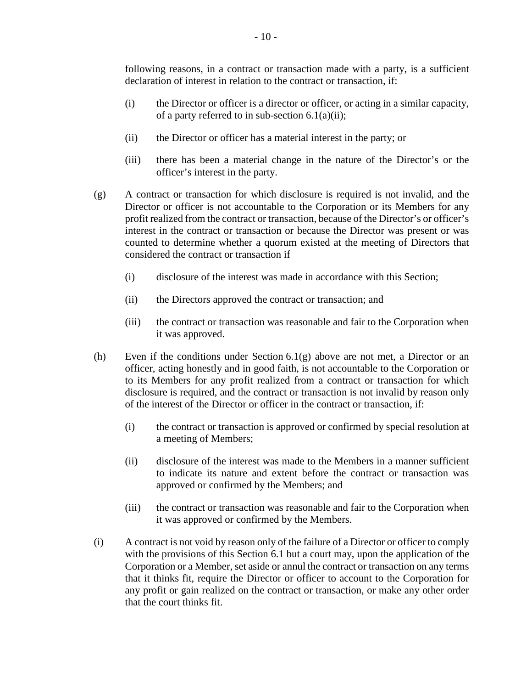following reasons, in a contract or transaction made with a party, is a sufficient declaration of interest in relation to the contract or transaction, if:

- (i) the Director or officer is a director or officer, or acting in a similar capacity, of a party referred to in sub-section  $6.1(a)(ii)$ ;
- (ii) the Director or officer has a material interest in the party; or
- (iii) there has been a material change in the nature of the Director's or the officer's interest in the party.
- (g) A contract or transaction for which disclosure is required is not invalid, and the Director or officer is not accountable to the Corporation or its Members for any profit realized from the contract or transaction, because of the Director's or officer's interest in the contract or transaction or because the Director was present or was counted to determine whether a quorum existed at the meeting of Directors that considered the contract or transaction if
	- (i) disclosure of the interest was made in accordance with this Section;
	- (ii) the Directors approved the contract or transaction; and
	- (iii) the contract or transaction was reasonable and fair to the Corporation when it was approved.
- (h) Even if the conditions under Section 6.1(g) above are not met, a Director or an officer, acting honestly and in good faith, is not accountable to the Corporation or to its Members for any profit realized from a contract or transaction for which disclosure is required, and the contract or transaction is not invalid by reason only of the interest of the Director or officer in the contract or transaction, if:
	- (i) the contract or transaction is approved or confirmed by special resolution at a meeting of Members;
	- (ii) disclosure of the interest was made to the Members in a manner sufficient to indicate its nature and extent before the contract or transaction was approved or confirmed by the Members; and
	- (iii) the contract or transaction was reasonable and fair to the Corporation when it was approved or confirmed by the Members.
- (i) A contract is not void by reason only of the failure of a Director or officer to comply with the provisions of this Section 6.1 but a court may, upon the application of the Corporation or a Member, set aside or annul the contract or transaction on any terms that it thinks fit, require the Director or officer to account to the Corporation for any profit or gain realized on the contract or transaction, or make any other order that the court thinks fit.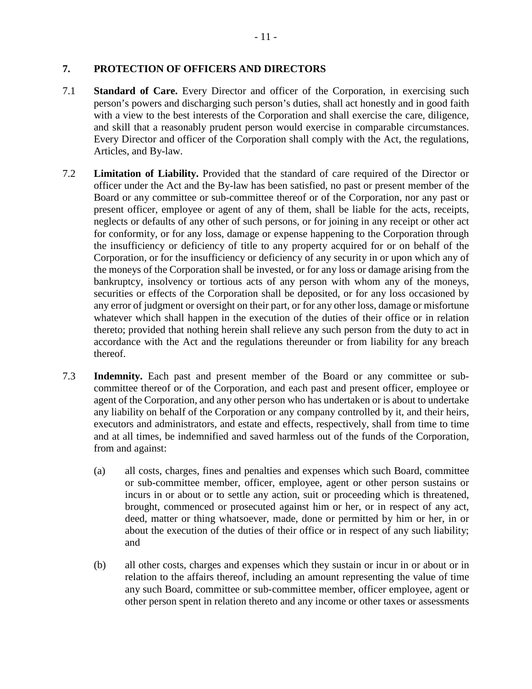### **7. PROTECTION OF OFFICERS AND DIRECTORS**

- 7.1 **Standard of Care.** Every Director and officer of the Corporation, in exercising such person's powers and discharging such person's duties, shall act honestly and in good faith with a view to the best interests of the Corporation and shall exercise the care, diligence, and skill that a reasonably prudent person would exercise in comparable circumstances. Every Director and officer of the Corporation shall comply with the Act, the regulations, Articles, and By-law.
- 7.2 **Limitation of Liability.** Provided that the standard of care required of the Director or officer under the Act and the By-law has been satisfied, no past or present member of the Board or any committee or sub-committee thereof or of the Corporation, nor any past or present officer, employee or agent of any of them, shall be liable for the acts, receipts, neglects or defaults of any other of such persons, or for joining in any receipt or other act for conformity, or for any loss, damage or expense happening to the Corporation through the insufficiency or deficiency of title to any property acquired for or on behalf of the Corporation, or for the insufficiency or deficiency of any security in or upon which any of the moneys of the Corporation shall be invested, or for any loss or damage arising from the bankruptcy, insolvency or tortious acts of any person with whom any of the moneys, securities or effects of the Corporation shall be deposited, or for any loss occasioned by any error of judgment or oversight on their part, or for any other loss, damage or misfortune whatever which shall happen in the execution of the duties of their office or in relation thereto; provided that nothing herein shall relieve any such person from the duty to act in accordance with the Act and the regulations thereunder or from liability for any breach thereof.
- 7.3 **Indemnity.** Each past and present member of the Board or any committee or subcommittee thereof or of the Corporation, and each past and present officer, employee or agent of the Corporation, and any other person who has undertaken or is about to undertake any liability on behalf of the Corporation or any company controlled by it, and their heirs, executors and administrators, and estate and effects, respectively, shall from time to time and at all times, be indemnified and saved harmless out of the funds of the Corporation, from and against:
	- (a) all costs, charges, fines and penalties and expenses which such Board, committee or sub-committee member, officer, employee, agent or other person sustains or incurs in or about or to settle any action, suit or proceeding which is threatened, brought, commenced or prosecuted against him or her, or in respect of any act, deed, matter or thing whatsoever, made, done or permitted by him or her, in or about the execution of the duties of their office or in respect of any such liability; and
	- (b) all other costs, charges and expenses which they sustain or incur in or about or in relation to the affairs thereof, including an amount representing the value of time any such Board, committee or sub-committee member, officer employee, agent or other person spent in relation thereto and any income or other taxes or assessments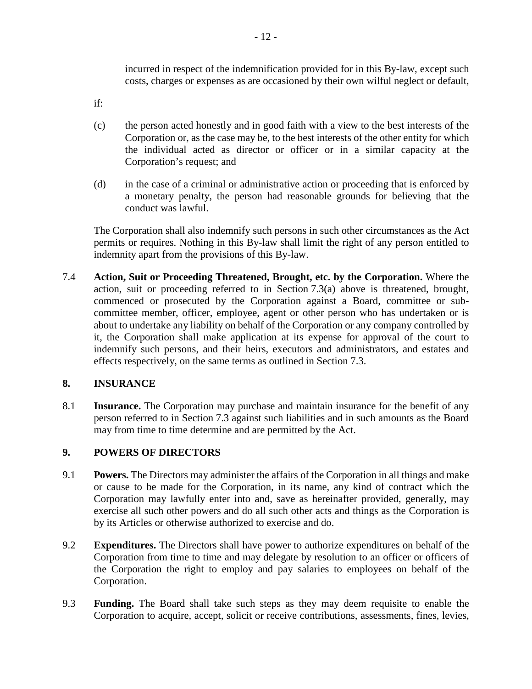incurred in respect of the indemnification provided for in this By-law, except such costs, charges or expenses as are occasioned by their own wilful neglect or default,

if:

- (c) the person acted honestly and in good faith with a view to the best interests of the Corporation or, as the case may be, to the best interests of the other entity for which the individual acted as director or officer or in a similar capacity at the Corporation's request; and
- (d) in the case of a criminal or administrative action or proceeding that is enforced by a monetary penalty, the person had reasonable grounds for believing that the conduct was lawful.

The Corporation shall also indemnify such persons in such other circumstances as the Act permits or requires. Nothing in this By-law shall limit the right of any person entitled to indemnity apart from the provisions of this By-law.

7.4 **Action, Suit or Proceeding Threatened, Brought, etc. by the Corporation.** Where the action, suit or proceeding referred to in Section 7.3(a) above is threatened, brought, commenced or prosecuted by the Corporation against a Board, committee or subcommittee member, officer, employee, agent or other person who has undertaken or is about to undertake any liability on behalf of the Corporation or any company controlled by it, the Corporation shall make application at its expense for approval of the court to indemnify such persons, and their heirs, executors and administrators, and estates and effects respectively, on the same terms as outlined in Section 7.3.

### **8. INSURANCE**

8.1 **Insurance.** The Corporation may purchase and maintain insurance for the benefit of any person referred to in Section 7.3 against such liabilities and in such amounts as the Board may from time to time determine and are permitted by the Act.

### **9. POWERS OF DIRECTORS**

- 9.1 **Powers.** The Directors may administer the affairs of the Corporation in all things and make or cause to be made for the Corporation, in its name, any kind of contract which the Corporation may lawfully enter into and, save as hereinafter provided, generally, may exercise all such other powers and do all such other acts and things as the Corporation is by its Articles or otherwise authorized to exercise and do.
- 9.2 **Expenditures.** The Directors shall have power to authorize expenditures on behalf of the Corporation from time to time and may delegate by resolution to an officer or officers of the Corporation the right to employ and pay salaries to employees on behalf of the Corporation.
- 9.3 **Funding.** The Board shall take such steps as they may deem requisite to enable the Corporation to acquire, accept, solicit or receive contributions, assessments, fines, levies,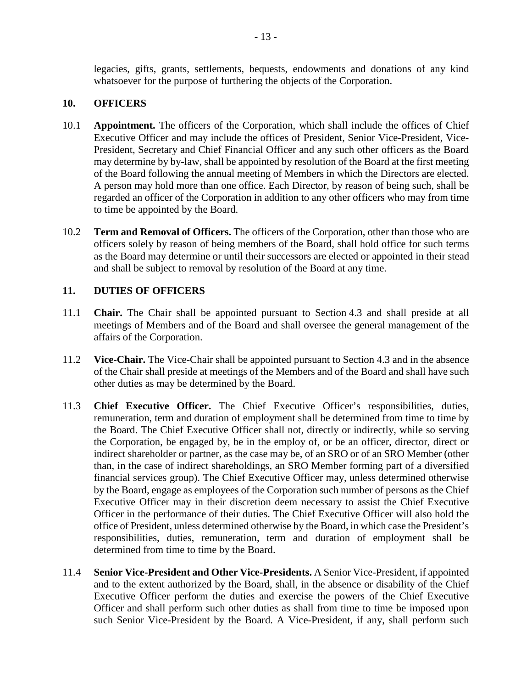legacies, gifts, grants, settlements, bequests, endowments and donations of any kind whatsoever for the purpose of furthering the objects of the Corporation.

### **10. OFFICERS**

- 10.1 **Appointment.** The officers of the Corporation, which shall include the offices of Chief Executive Officer and may include the offices of President, Senior Vice-President, Vice-President, Secretary and Chief Financial Officer and any such other officers as the Board may determine by by-law, shall be appointed by resolution of the Board at the first meeting of the Board following the annual meeting of Members in which the Directors are elected. A person may hold more than one office. Each Director, by reason of being such, shall be regarded an officer of the Corporation in addition to any other officers who may from time to time be appointed by the Board.
- 10.2 **Term and Removal of Officers.** The officers of the Corporation, other than those who are officers solely by reason of being members of the Board, shall hold office for such terms as the Board may determine or until their successors are elected or appointed in their stead and shall be subject to removal by resolution of the Board at any time.

#### **11. DUTIES OF OFFICERS**

- 11.1 **Chair.** The Chair shall be appointed pursuant to Section 4.3 and shall preside at all meetings of Members and of the Board and shall oversee the general management of the affairs of the Corporation.
- 11.2 **Vice-Chair.** The Vice-Chair shall be appointed pursuant to Section 4.3 and in the absence of the Chair shall preside at meetings of the Members and of the Board and shall have such other duties as may be determined by the Board.
- 11.3 **Chief Executive Officer.** The Chief Executive Officer's responsibilities, duties, remuneration, term and duration of employment shall be determined from time to time by the Board. The Chief Executive Officer shall not, directly or indirectly, while so serving the Corporation, be engaged by, be in the employ of, or be an officer, director, direct or indirect shareholder or partner, as the case may be, of an SRO or of an SRO Member (other than, in the case of indirect shareholdings, an SRO Member forming part of a diversified financial services group). The Chief Executive Officer may, unless determined otherwise by the Board, engage as employees of the Corporation such number of persons as the Chief Executive Officer may in their discretion deem necessary to assist the Chief Executive Officer in the performance of their duties. The Chief Executive Officer will also hold the office of President, unless determined otherwise by the Board, in which case the President's responsibilities, duties, remuneration, term and duration of employment shall be determined from time to time by the Board.
- 11.4 **Senior Vice-President and Other Vice-Presidents.** A Senior Vice-President, if appointed and to the extent authorized by the Board, shall, in the absence or disability of the Chief Executive Officer perform the duties and exercise the powers of the Chief Executive Officer and shall perform such other duties as shall from time to time be imposed upon such Senior Vice-President by the Board. A Vice-President, if any, shall perform such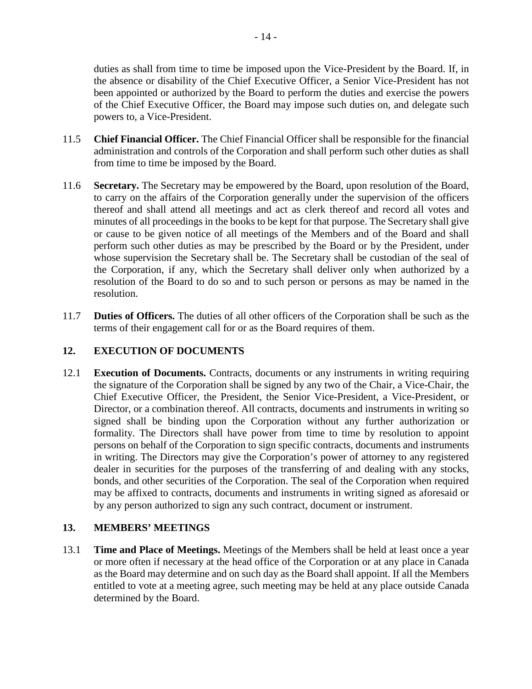duties as shall from time to time be imposed upon the Vice-President by the Board. If, in the absence or disability of the Chief Executive Officer, a Senior Vice-President has not been appointed or authorized by the Board to perform the duties and exercise the powers of the Chief Executive Officer, the Board may impose such duties on, and delegate such powers to, a Vice-President.

- 11.5 **Chief Financial Officer.** The Chief Financial Officer shall be responsible for the financial administration and controls of the Corporation and shall perform such other duties as shall from time to time be imposed by the Board.
- 11.6 **Secretary.** The Secretary may be empowered by the Board, upon resolution of the Board, to carry on the affairs of the Corporation generally under the supervision of the officers thereof and shall attend all meetings and act as clerk thereof and record all votes and minutes of all proceedings in the books to be kept for that purpose. The Secretary shall give or cause to be given notice of all meetings of the Members and of the Board and shall perform such other duties as may be prescribed by the Board or by the President, under whose supervision the Secretary shall be. The Secretary shall be custodian of the seal of the Corporation, if any, which the Secretary shall deliver only when authorized by a resolution of the Board to do so and to such person or persons as may be named in the resolution.
- 11.7 **Duties of Officers.** The duties of all other officers of the Corporation shall be such as the terms of their engagement call for or as the Board requires of them.

### **12. EXECUTION OF DOCUMENTS**

12.1 **Execution of Documents.** Contracts, documents or any instruments in writing requiring the signature of the Corporation shall be signed by any two of the Chair, a Vice-Chair, the Chief Executive Officer, the President, the Senior Vice-President, a Vice-President, or Director, or a combination thereof. All contracts, documents and instruments in writing so signed shall be binding upon the Corporation without any further authorization or formality. The Directors shall have power from time to time by resolution to appoint persons on behalf of the Corporation to sign specific contracts, documents and instruments in writing. The Directors may give the Corporation's power of attorney to any registered dealer in securities for the purposes of the transferring of and dealing with any stocks, bonds, and other securities of the Corporation. The seal of the Corporation when required may be affixed to contracts, documents and instruments in writing signed as aforesaid or by any person authorized to sign any such contract, document or instrument.

### **13. MEMBERS' MEETINGS**

13.1 **Time and Place of Meetings.** Meetings of the Members shall be held at least once a year or more often if necessary at the head office of the Corporation or at any place in Canada as the Board may determine and on such day as the Board shall appoint. If all the Members entitled to vote at a meeting agree, such meeting may be held at any place outside Canada determined by the Board.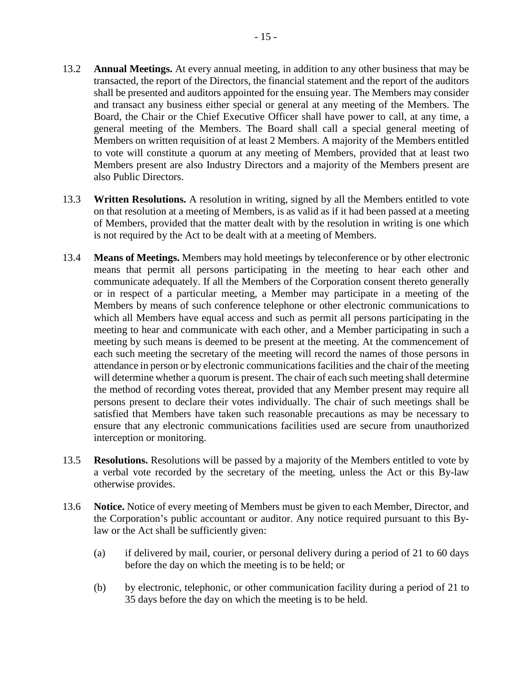- 13.2 **Annual Meetings.** At every annual meeting, in addition to any other business that may be transacted, the report of the Directors, the financial statement and the report of the auditors shall be presented and auditors appointed for the ensuing year. The Members may consider and transact any business either special or general at any meeting of the Members. The Board, the Chair or the Chief Executive Officer shall have power to call, at any time, a general meeting of the Members. The Board shall call a special general meeting of Members on written requisition of at least 2 Members. A majority of the Members entitled to vote will constitute a quorum at any meeting of Members, provided that at least two Members present are also Industry Directors and a majority of the Members present are also Public Directors.
- 13.3 **Written Resolutions.** A resolution in writing, signed by all the Members entitled to vote on that resolution at a meeting of Members, is as valid as if it had been passed at a meeting of Members, provided that the matter dealt with by the resolution in writing is one which is not required by the Act to be dealt with at a meeting of Members.
- 13.4 **Means of Meetings.** Members may hold meetings by teleconference or by other electronic means that permit all persons participating in the meeting to hear each other and communicate adequately. If all the Members of the Corporation consent thereto generally or in respect of a particular meeting, a Member may participate in a meeting of the Members by means of such conference telephone or other electronic communications to which all Members have equal access and such as permit all persons participating in the meeting to hear and communicate with each other, and a Member participating in such a meeting by such means is deemed to be present at the meeting. At the commencement of each such meeting the secretary of the meeting will record the names of those persons in attendance in person or by electronic communications facilities and the chair of the meeting will determine whether a quorum is present. The chair of each such meeting shall determine the method of recording votes thereat, provided that any Member present may require all persons present to declare their votes individually. The chair of such meetings shall be satisfied that Members have taken such reasonable precautions as may be necessary to ensure that any electronic communications facilities used are secure from unauthorized interception or monitoring.
- 13.5 **Resolutions.** Resolutions will be passed by a majority of the Members entitled to vote by a verbal vote recorded by the secretary of the meeting, unless the Act or this By-law otherwise provides.
- 13.6 **Notice.** Notice of every meeting of Members must be given to each Member, Director, and the Corporation's public accountant or auditor. Any notice required pursuant to this Bylaw or the Act shall be sufficiently given:
	- (a) if delivered by mail, courier, or personal delivery during a period of 21 to 60 days before the day on which the meeting is to be held; or
	- (b) by electronic, telephonic, or other communication facility during a period of 21 to 35 days before the day on which the meeting is to be held.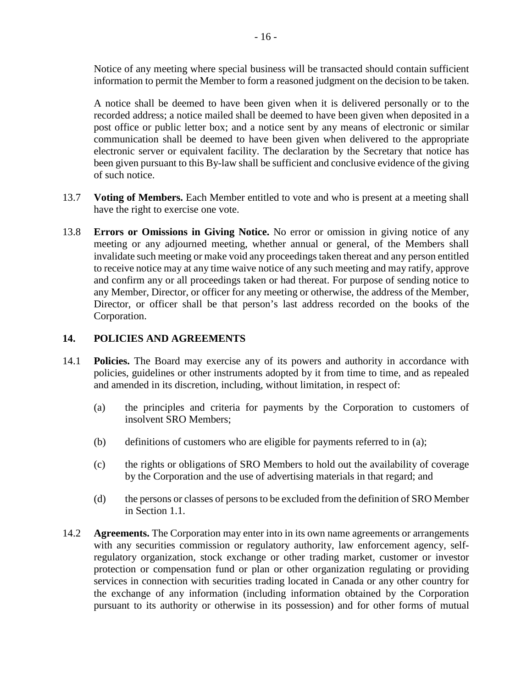Notice of any meeting where special business will be transacted should contain sufficient information to permit the Member to form a reasoned judgment on the decision to be taken.

A notice shall be deemed to have been given when it is delivered personally or to the recorded address; a notice mailed shall be deemed to have been given when deposited in a post office or public letter box; and a notice sent by any means of electronic or similar communication shall be deemed to have been given when delivered to the appropriate electronic server or equivalent facility. The declaration by the Secretary that notice has been given pursuant to this By-law shall be sufficient and conclusive evidence of the giving of such notice.

- 13.7 **Voting of Members.** Each Member entitled to vote and who is present at a meeting shall have the right to exercise one vote.
- 13.8 **Errors or Omissions in Giving Notice.** No error or omission in giving notice of any meeting or any adjourned meeting, whether annual or general, of the Members shall invalidate such meeting or make void any proceedings taken thereat and any person entitled to receive notice may at any time waive notice of any such meeting and may ratify, approve and confirm any or all proceedings taken or had thereat. For purpose of sending notice to any Member, Director, or officer for any meeting or otherwise, the address of the Member, Director, or officer shall be that person's last address recorded on the books of the Corporation.

### **14. POLICIES AND AGREEMENTS**

- 14.1 **Policies.** The Board may exercise any of its powers and authority in accordance with policies, guidelines or other instruments adopted by it from time to time, and as repealed and amended in its discretion, including, without limitation, in respect of:
	- (a) the principles and criteria for payments by the Corporation to customers of insolvent SRO Members;
	- (b) definitions of customers who are eligible for payments referred to in (a);
	- (c) the rights or obligations of SRO Members to hold out the availability of coverage by the Corporation and the use of advertising materials in that regard; and
	- (d) the persons or classes of persons to be excluded from the definition of SRO Member in Section 1.1.
- 14.2 **Agreements.** The Corporation may enter into in its own name agreements or arrangements with any securities commission or regulatory authority, law enforcement agency, selfregulatory organization, stock exchange or other trading market, customer or investor protection or compensation fund or plan or other organization regulating or providing services in connection with securities trading located in Canada or any other country for the exchange of any information (including information obtained by the Corporation pursuant to its authority or otherwise in its possession) and for other forms of mutual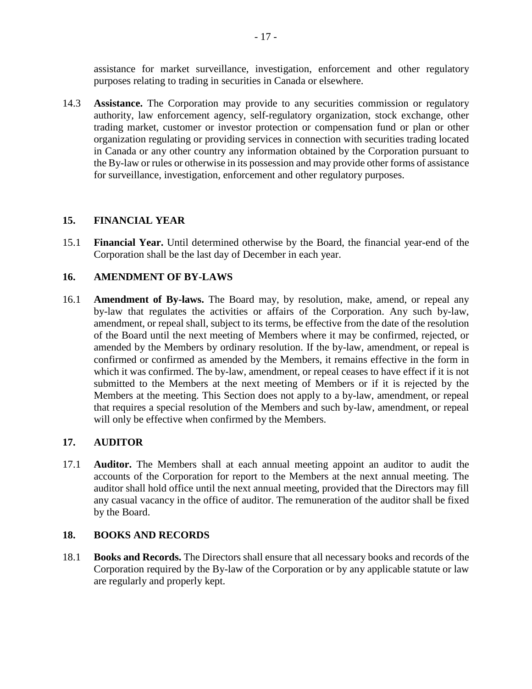assistance for market surveillance, investigation, enforcement and other regulatory purposes relating to trading in securities in Canada or elsewhere.

14.3 **Assistance.** The Corporation may provide to any securities commission or regulatory authority, law enforcement agency, self-regulatory organization, stock exchange, other trading market, customer or investor protection or compensation fund or plan or other organization regulating or providing services in connection with securities trading located in Canada or any other country any information obtained by the Corporation pursuant to the By-law or rules or otherwise in its possession and may provide other forms of assistance for surveillance, investigation, enforcement and other regulatory purposes.

### **15. FINANCIAL YEAR**

15.1 **Financial Year.** Until determined otherwise by the Board, the financial year-end of the Corporation shall be the last day of December in each year.

### **16. AMENDMENT OF BY-LAWS**

16.1 **Amendment of By-laws.** The Board may, by resolution, make, amend, or repeal any by-law that regulates the activities or affairs of the Corporation. Any such by-law, amendment, or repeal shall, subject to its terms, be effective from the date of the resolution of the Board until the next meeting of Members where it may be confirmed, rejected, or amended by the Members by ordinary resolution. If the by-law, amendment, or repeal is confirmed or confirmed as amended by the Members, it remains effective in the form in which it was confirmed. The by-law, amendment, or repeal ceases to have effect if it is not submitted to the Members at the next meeting of Members or if it is rejected by the Members at the meeting. This Section does not apply to a by-law, amendment, or repeal that requires a special resolution of the Members and such by-law, amendment, or repeal will only be effective when confirmed by the Members.

### **17. AUDITOR**

17.1 **Auditor.** The Members shall at each annual meeting appoint an auditor to audit the accounts of the Corporation for report to the Members at the next annual meeting. The auditor shall hold office until the next annual meeting, provided that the Directors may fill any casual vacancy in the office of auditor. The remuneration of the auditor shall be fixed by the Board.

#### **18. BOOKS AND RECORDS**

18.1 **Books and Records.** The Directors shall ensure that all necessary books and records of the Corporation required by the By-law of the Corporation or by any applicable statute or law are regularly and properly kept.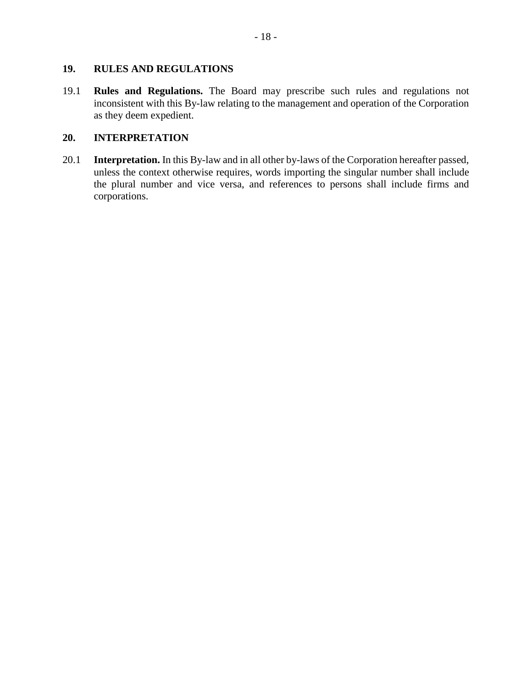### **19. RULES AND REGULATIONS**

19.1 **Rules and Regulations.** The Board may prescribe such rules and regulations not inconsistent with this By-law relating to the management and operation of the Corporation as they deem expedient.

### **20. INTERPRETATION**

20.1 **Interpretation.** In this By-law and in all other by-laws of the Corporation hereafter passed, unless the context otherwise requires, words importing the singular number shall include the plural number and vice versa, and references to persons shall include firms and corporations.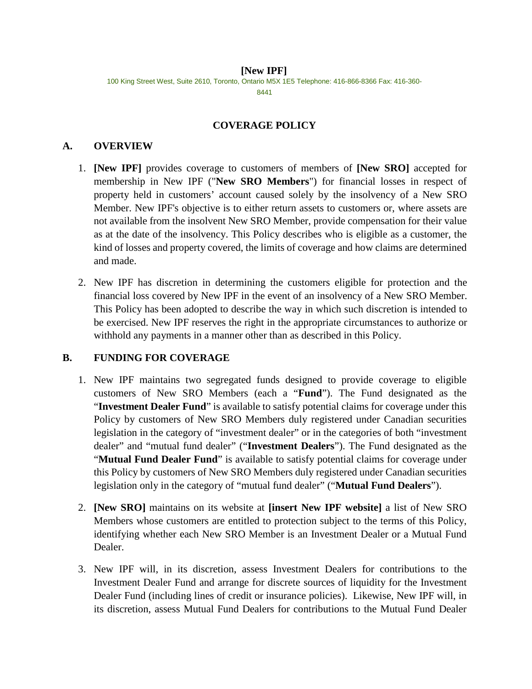#### **[New IPF]** 100 King Street West, Suite 2610, Toronto, Ontario M5X 1E5 Telephone: 416-866-8366 Fax: 416-360- 8441

### **COVERAGE POLICY**

### **A. OVERVIEW**

- 1. **[New IPF]** provides coverage to customers of members of **[New SRO]** accepted for membership in New IPF ("**New SRO Members**") for financial losses in respect of property held in customers' account caused solely by the insolvency of a New SRO Member. New IPF's objective is to either return assets to customers or, where assets are not available from the insolvent New SRO Member, provide compensation for their value as at the date of the insolvency. This Policy describes who is eligible as a customer, the kind of losses and property covered, the limits of coverage and how claims are determined and made.
- 2. New IPF has discretion in determining the customers eligible for protection and the financial loss covered by New IPF in the event of an insolvency of a New SRO Member. This Policy has been adopted to describe the way in which such discretion is intended to be exercised. New IPF reserves the right in the appropriate circumstances to authorize or withhold any payments in a manner other than as described in this Policy.

### **B. FUNDING FOR COVERAGE**

- 1. New IPF maintains two segregated funds designed to provide coverage to eligible customers of New SRO Members (each a "**Fund**"). The Fund designated as the "**Investment Dealer Fund**" is available to satisfy potential claims for coverage under this Policy by customers of New SRO Members duly registered under Canadian securities legislation in the category of "investment dealer" or in the categories of both "investment dealer" and "mutual fund dealer" ("**Investment Dealers**"). The Fund designated as the "Mutual Fund Dealer Fund" is available to satisfy potential claims for coverage under this Policy by customers of New SRO Members duly registered under Canadian securities legislation only in the category of "mutual fund dealer" ("**Mutual Fund Dealers**").
- 2. **[New SRO]** maintains on its website at **[insert New IPF website]** a list of New SRO Members whose customers are entitled to protection subject to the terms of this Policy, identifying whether each New SRO Member is an Investment Dealer or a Mutual Fund Dealer.
- 3. New IPF will, in its discretion, assess Investment Dealers for contributions to the Investment Dealer Fund and arrange for discrete sources of liquidity for the Investment Dealer Fund (including lines of credit or insurance policies). Likewise, New IPF will, in its discretion, assess Mutual Fund Dealers for contributions to the Mutual Fund Dealer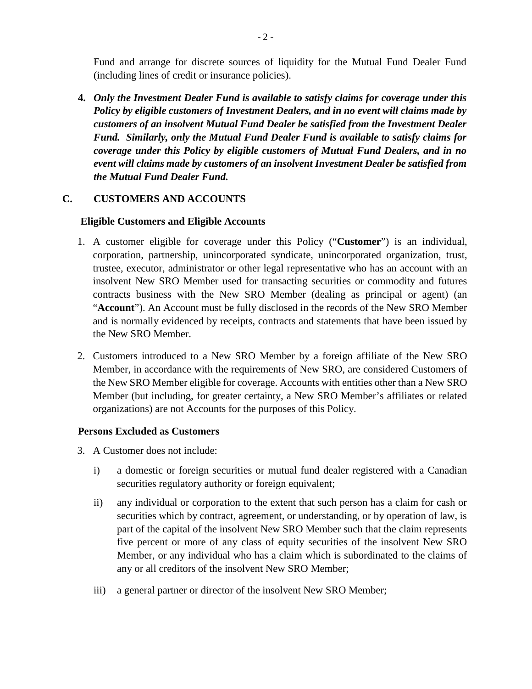Fund and arrange for discrete sources of liquidity for the Mutual Fund Dealer Fund (including lines of credit or insurance policies).

**4.** *Only the Investment Dealer Fund is available to satisfy claims for coverage under this Policy by eligible customers of Investment Dealers, and in no event will claims made by customers of an insolvent Mutual Fund Dealer be satisfied from the Investment Dealer Fund. Similarly, only the Mutual Fund Dealer Fund is available to satisfy claims for coverage under this Policy by eligible customers of Mutual Fund Dealers, and in no event will claims made by customers of an insolvent Investment Dealer be satisfied from the Mutual Fund Dealer Fund.*

### **C. CUSTOMERS AND ACCOUNTS**

#### **Eligible Customers and Eligible Accounts**

- 1. A customer eligible for coverage under this Policy ("**Customer**") is an individual, corporation, partnership, unincorporated syndicate, unincorporated organization, trust, trustee, executor, administrator or other legal representative who has an account with an insolvent New SRO Member used for transacting securities or commodity and futures contracts business with the New SRO Member (dealing as principal or agent) (an "**Account**"). An Account must be fully disclosed in the records of the New SRO Member and is normally evidenced by receipts, contracts and statements that have been issued by the New SRO Member.
- 2. Customers introduced to a New SRO Member by a foreign affiliate of the New SRO Member, in accordance with the requirements of New SRO, are considered Customers of the New SRO Member eligible for coverage. Accounts with entities other than a New SRO Member (but including, for greater certainty, a New SRO Member's affiliates or related organizations) are not Accounts for the purposes of this Policy.

#### **Persons Excluded as Customers**

- 3. A Customer does not include:
	- i) a domestic or foreign securities or mutual fund dealer registered with a Canadian securities regulatory authority or foreign equivalent;
	- ii) any individual or corporation to the extent that such person has a claim for cash or securities which by contract, agreement, or understanding, or by operation of law, is part of the capital of the insolvent New SRO Member such that the claim represents five percent or more of any class of equity securities of the insolvent New SRO Member, or any individual who has a claim which is subordinated to the claims of any or all creditors of the insolvent New SRO Member;
	- iii) a general partner or director of the insolvent New SRO Member;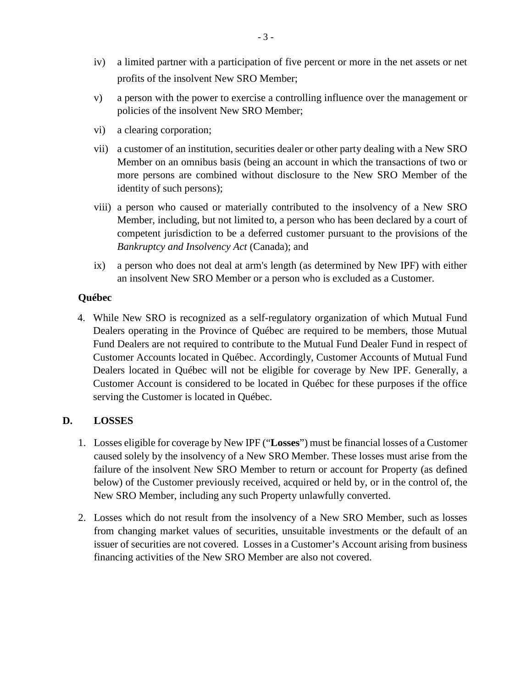- iv) a limited partner with a participation of five percent or more in the net assets or net profits of the insolvent New SRO Member;
- v) a person with the power to exercise a controlling influence over the management or policies of the insolvent New SRO Member;
- vi) a clearing corporation;
- vii) a customer of an institution, securities dealer or other party dealing with a New SRO Member on an omnibus basis (being an account in which the transactions of two or more persons are combined without disclosure to the New SRO Member of the identity of such persons);
- viii) a person who caused or materially contributed to the insolvency of a New SRO Member, including, but not limited to, a person who has been declared by a court of competent jurisdiction to be a deferred customer pursuant to the provisions of the *Bankruptcy and Insolvency Act* (Canada); and
- ix) a person who does not deal at arm's length (as determined by New IPF) with either an insolvent New SRO Member or a person who is excluded as a Customer.

#### **Québec**

4. While New SRO is recognized as a self-regulatory organization of which Mutual Fund Dealers operating in the Province of Québec are required to be members, those Mutual Fund Dealers are not required to contribute to the Mutual Fund Dealer Fund in respect of Customer Accounts located in Québec. Accordingly, Customer Accounts of Mutual Fund Dealers located in Québec will not be eligible for coverage by New IPF. Generally, a Customer Account is considered to be located in Québec for these purposes if the office serving the Customer is located in Québec.

#### **D. LOSSES**

- 1. Losses eligible for coverage by New IPF ("**Losses**") must be financial losses of a Customer caused solely by the insolvency of a New SRO Member. These losses must arise from the failure of the insolvent New SRO Member to return or account for Property (as defined below) of the Customer previously received, acquired or held by, or in the control of, the New SRO Member, including any such Property unlawfully converted.
- 2. Losses which do not result from the insolvency of a New SRO Member, such as losses from changing market values of securities, unsuitable investments or the default of an issuer of securities are not covered. Losses in a Customer's Account arising from business financing activities of the New SRO Member are also not covered.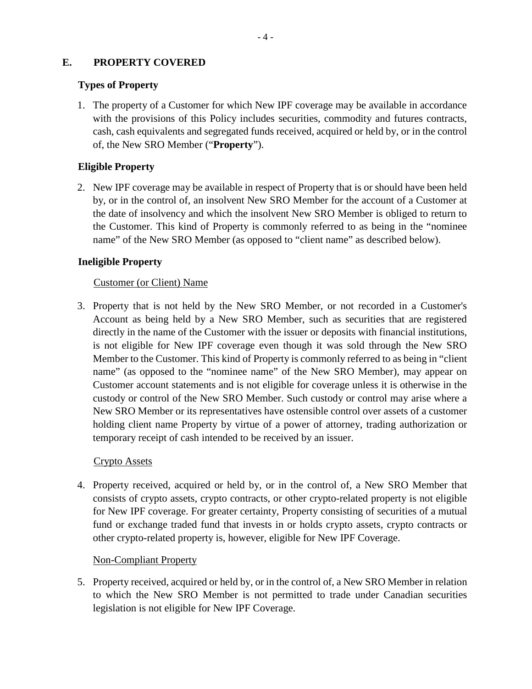### **E. PROPERTY COVERED**

### **Types of Property**

1. The property of a Customer for which New IPF coverage may be available in accordance with the provisions of this Policy includes securities, commodity and futures contracts, cash, cash equivalents and segregated funds received, acquired or held by, or in the control of, the New SRO Member ("**Property**").

### **Eligible Property**

2. New IPF coverage may be available in respect of Property that is or should have been held by, or in the control of, an insolvent New SRO Member for the account of a Customer at the date of insolvency and which the insolvent New SRO Member is obliged to return to the Customer. This kind of Property is commonly referred to as being in the "nominee name" of the New SRO Member (as opposed to "client name" as described below).

## **Ineligible Property**

### Customer (or Client) Name

3. Property that is not held by the New SRO Member, or not recorded in a Customer's Account as being held by a New SRO Member, such as securities that are registered directly in the name of the Customer with the issuer or deposits with financial institutions, is not eligible for New IPF coverage even though it was sold through the New SRO Member to the Customer. This kind of Property is commonly referred to as being in "client name" (as opposed to the "nominee name" of the New SRO Member), may appear on Customer account statements and is not eligible for coverage unless it is otherwise in the custody or control of the New SRO Member. Such custody or control may arise where a New SRO Member or its representatives have ostensible control over assets of a customer holding client name Property by virtue of a power of attorney, trading authorization or temporary receipt of cash intended to be received by an issuer.

### Crypto Assets

4. Property received, acquired or held by, or in the control of, a New SRO Member that consists of crypto assets, crypto contracts, or other crypto-related property is not eligible for New IPF coverage. For greater certainty, Property consisting of securities of a mutual fund or exchange traded fund that invests in or holds crypto assets, crypto contracts or other crypto-related property is, however, eligible for New IPF Coverage.

### Non-Compliant Property

5. Property received, acquired or held by, or in the control of, a New SRO Member in relation to which the New SRO Member is not permitted to trade under Canadian securities legislation is not eligible for New IPF Coverage.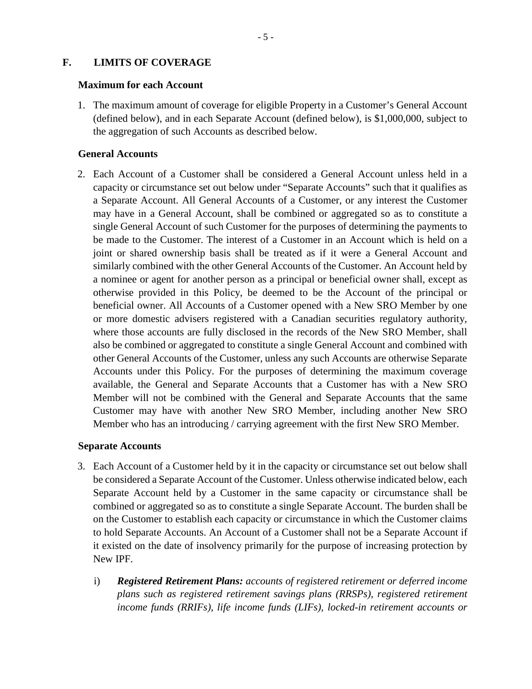### **F. LIMITS OF COVERAGE**

#### **Maximum for each Account**

1. The maximum amount of coverage for eligible Property in a Customer's General Account (defined below), and in each Separate Account (defined below), is \$1,000,000, subject to the aggregation of such Accounts as described below.

### **General Accounts**

2. Each Account of a Customer shall be considered a General Account unless held in a capacity or circumstance set out below under "Separate Accounts" such that it qualifies as a Separate Account. All General Accounts of a Customer, or any interest the Customer may have in a General Account, shall be combined or aggregated so as to constitute a single General Account of such Customer for the purposes of determining the payments to be made to the Customer. The interest of a Customer in an Account which is held on a joint or shared ownership basis shall be treated as if it were a General Account and similarly combined with the other General Accounts of the Customer. An Account held by a nominee or agent for another person as a principal or beneficial owner shall, except as otherwise provided in this Policy, be deemed to be the Account of the principal or beneficial owner. All Accounts of a Customer opened with a New SRO Member by one or more domestic advisers registered with a Canadian securities regulatory authority, where those accounts are fully disclosed in the records of the New SRO Member, shall also be combined or aggregated to constitute a single General Account and combined with other General Accounts of the Customer, unless any such Accounts are otherwise Separate Accounts under this Policy. For the purposes of determining the maximum coverage available, the General and Separate Accounts that a Customer has with a New SRO Member will not be combined with the General and Separate Accounts that the same Customer may have with another New SRO Member, including another New SRO Member who has an introducing / carrying agreement with the first New SRO Member.

#### **Separate Accounts**

- 3. Each Account of a Customer held by it in the capacity or circumstance set out below shall be considered a Separate Account of the Customer. Unless otherwise indicated below, each Separate Account held by a Customer in the same capacity or circumstance shall be combined or aggregated so as to constitute a single Separate Account. The burden shall be on the Customer to establish each capacity or circumstance in which the Customer claims to hold Separate Accounts. An Account of a Customer shall not be a Separate Account if it existed on the date of insolvency primarily for the purpose of increasing protection by New IPF.
	- i) *Registered Retirement Plans: accounts of registered retirement or deferred income plans such as registered retirement savings plans (RRSPs), registered retirement income funds (RRIFs), life income funds (LIFs), locked-in retirement accounts or*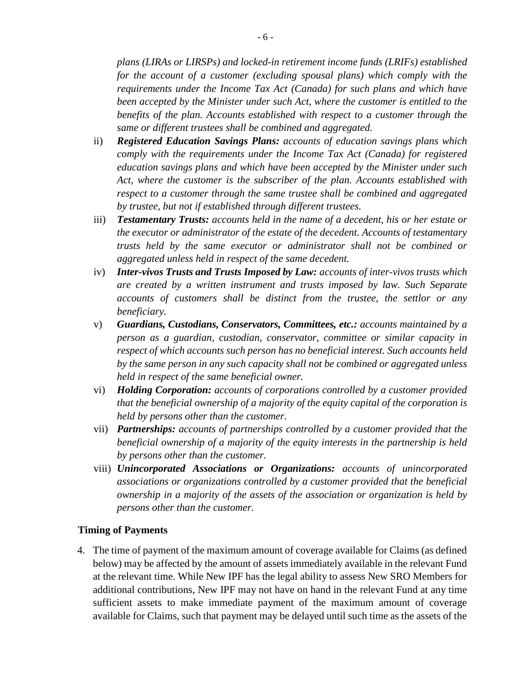*plans (LIRAs or LIRSPs) and locked-in retirement income funds (LRIFs) established for the account of a customer (excluding spousal plans) which comply with the requirements under the Income Tax Act (Canada) for such plans and which have been accepted by the Minister under such Act, where the customer is entitled to the benefits of the plan. Accounts established with respect to a customer through the same or different trustees shall be combined and aggregated.*

- ii) *Registered Education Savings Plans: accounts of education savings plans which comply with the requirements under the Income Tax Act (Canada) for registered education savings plans and which have been accepted by the Minister under such Act, where the customer is the subscriber of the plan. Accounts established with respect to a customer through the same trustee shall be combined and aggregated by trustee, but not if established through different trustees.*
- iii) *Testamentary Trusts: accounts held in the name of a decedent, his or her estate or the executor or administrator of the estate of the decedent. Accounts of testamentary trusts held by the same executor or administrator shall not be combined or aggregated unless held in respect of the same decedent.*
- iv) *Inter-vivos Trusts and Trusts Imposed by Law: accounts of inter-vivos trusts which are created by a written instrument and trusts imposed by law. Such Separate accounts of customers shall be distinct from the trustee, the settlor or any beneficiary.*
- v) *Guardians, Custodians, Conservators, Committees, etc.: accounts maintained by a person as a guardian, custodian, conservator, committee or similar capacity in respect of which accounts such person has no beneficial interest. Such accounts held by the same person in any such capacity shall not be combined or aggregated unless held in respect of the same beneficial owner.*
- vi) *Holding Corporation: accounts of corporations controlled by a customer provided that the beneficial ownership of a majority of the equity capital of the corporation is held by persons other than the customer.*
- vii) *Partnerships: accounts of partnerships controlled by a customer provided that the beneficial ownership of a majority of the equity interests in the partnership is held by persons other than the customer.*
- viii) *Unincorporated Associations or Organizations: accounts of unincorporated associations or organizations controlled by a customer provided that the beneficial ownership in a majority of the assets of the association or organization is held by persons other than the customer.*

#### **Timing of Payments**

4. The time of payment of the maximum amount of coverage available for Claims (as defined below) may be affected by the amount of assets immediately available in the relevant Fund at the relevant time. While New IPF has the legal ability to assess New SRO Members for additional contributions, New IPF may not have on hand in the relevant Fund at any time sufficient assets to make immediate payment of the maximum amount of coverage available for Claims, such that payment may be delayed until such time as the assets of the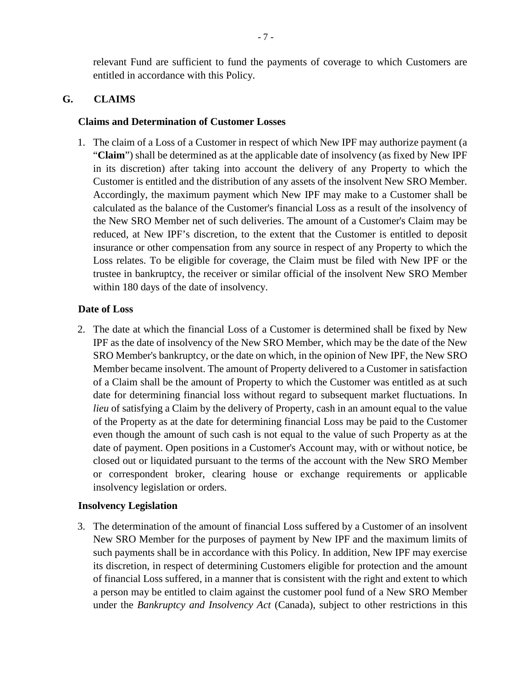relevant Fund are sufficient to fund the payments of coverage to which Customers are entitled in accordance with this Policy.

### **G. CLAIMS**

#### **Claims and Determination of Customer Losses**

1. The claim of a Loss of a Customer in respect of which New IPF may authorize payment (a "**Claim**") shall be determined as at the applicable date of insolvency (as fixed by New IPF in its discretion) after taking into account the delivery of any Property to which the Customer is entitled and the distribution of any assets of the insolvent New SRO Member. Accordingly, the maximum payment which New IPF may make to a Customer shall be calculated as the balance of the Customer's financial Loss as a result of the insolvency of the New SRO Member net of such deliveries. The amount of a Customer's Claim may be reduced, at New IPF's discretion, to the extent that the Customer is entitled to deposit insurance or other compensation from any source in respect of any Property to which the Loss relates. To be eligible for coverage, the Claim must be filed with New IPF or the trustee in bankruptcy, the receiver or similar official of the insolvent New SRO Member within 180 days of the date of insolvency.

#### **Date of Loss**

2. The date at which the financial Loss of a Customer is determined shall be fixed by New IPF as the date of insolvency of the New SRO Member, which may be the date of the New SRO Member's bankruptcy, or the date on which, in the opinion of New IPF, the New SRO Member became insolvent. The amount of Property delivered to a Customer in satisfaction of a Claim shall be the amount of Property to which the Customer was entitled as at such date for determining financial loss without regard to subsequent market fluctuations. In *lieu* of satisfying a Claim by the delivery of Property, cash in an amount equal to the value of the Property as at the date for determining financial Loss may be paid to the Customer even though the amount of such cash is not equal to the value of such Property as at the date of payment. Open positions in a Customer's Account may, with or without notice, be closed out or liquidated pursuant to the terms of the account with the New SRO Member or correspondent broker, clearing house or exchange requirements or applicable insolvency legislation or orders.

#### **Insolvency Legislation**

3. The determination of the amount of financial Loss suffered by a Customer of an insolvent New SRO Member for the purposes of payment by New IPF and the maximum limits of such payments shall be in accordance with this Policy. In addition, New IPF may exercise its discretion, in respect of determining Customers eligible for protection and the amount of financial Loss suffered, in a manner that is consistent with the right and extent to which a person may be entitled to claim against the customer pool fund of a New SRO Member under the *Bankruptcy and Insolvency Act* (Canada), subject to other restrictions in this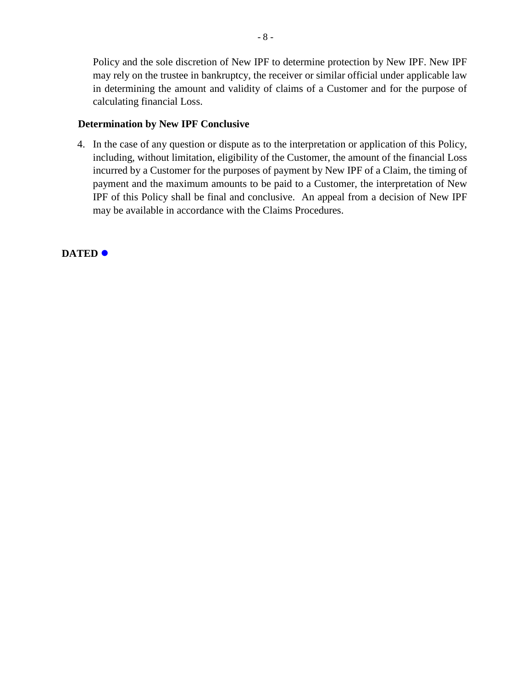Policy and the sole discretion of New IPF to determine protection by New IPF. New IPF may rely on the trustee in bankruptcy, the receiver or similar official under applicable law in determining the amount and validity of claims of a Customer and for the purpose of calculating financial Loss.

### **Determination by New IPF Conclusive**

4. In the case of any question or dispute as to the interpretation or application of this Policy, including, without limitation, eligibility of the Customer, the amount of the financial Loss incurred by a Customer for the purposes of payment by New IPF of a Claim, the timing of payment and the maximum amounts to be paid to a Customer, the interpretation of New IPF of this Policy shall be final and conclusive. An appeal from a decision of New IPF may be available in accordance with the Claims Procedures.

**DATED**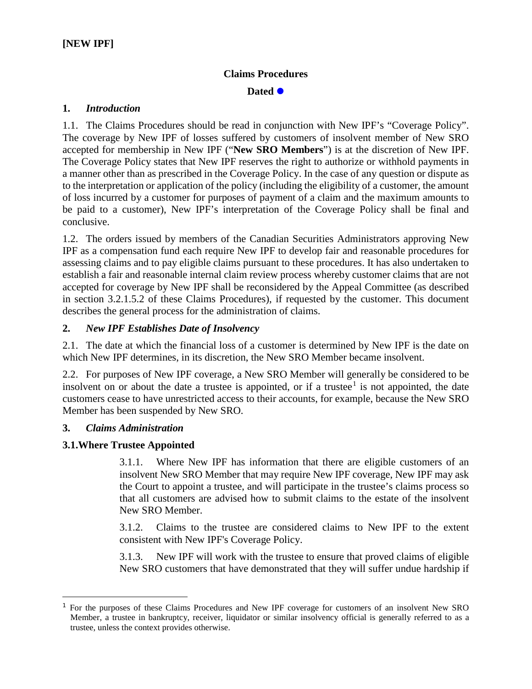### **Claims Procedures**

Dated  $\bullet$ 

#### **1.** *Introduction*

1.1. The Claims Procedures should be read in conjunction with New IPF's "Coverage Policy". The coverage by New IPF of losses suffered by customers of insolvent member of New SRO accepted for membership in New IPF ("**New SRO Members**") is at the discretion of New IPF. The Coverage Policy states that New IPF reserves the right to authorize or withhold payments in a manner other than as prescribed in the Coverage Policy. In the case of any question or dispute as to the interpretation or application of the policy (including the eligibility of a customer, the amount of loss incurred by a customer for purposes of payment of a claim and the maximum amounts to be paid to a customer), New IPF's interpretation of the Coverage Policy shall be final and conclusive.

1.2. The orders issued by members of the Canadian Securities Administrators approving New IPF as a compensation fund each require New IPF to develop fair and reasonable procedures for assessing claims and to pay eligible claims pursuant to these procedures. It has also undertaken to establish a fair and reasonable internal claim review process whereby customer claims that are not accepted for coverage by New IPF shall be reconsidered by the Appeal Committee (as described in section 3.2.1.5.2 of these Claims Procedures), if requested by the customer. This document describes the general process for the administration of claims.

### **2.** *New IPF Establishes Date of Insolvency*

2.1. The date at which the financial loss of a customer is determined by New IPF is the date on which New IPF determines, in its discretion, the New SRO Member became insolvent.

2.2. For purposes of New IPF coverage, a New SRO Member will generally be considered to be insolvent on or about the date a trustee is appointed, or if a trustee<sup>1</sup> is not appointed, the date customers cease to have unrestricted access to their accounts, for example, because the New SRO Member has been suspended by New SRO.

#### **3.** *Claims Administration*

 $\overline{a}$ 

### **3.1.Where Trustee Appointed**

3.1.1. Where New IPF has information that there are eligible customers of an insolvent New SRO Member that may require New IPF coverage, New IPF may ask the Court to appoint a trustee, and will participate in the trustee's claims process so that all customers are advised how to submit claims to the estate of the insolvent New SRO Member.

3.1.2. Claims to the trustee are considered claims to New IPF to the extent consistent with New IPF's Coverage Policy.

3.1.3. New IPF will work with the trustee to ensure that proved claims of eligible New SRO customers that have demonstrated that they will suffer undue hardship if

<sup>1</sup> For the purposes of these Claims Procedures and New IPF coverage for customers of an insolvent New SRO Member, a trustee in bankruptcy, receiver, liquidator or similar insolvency official is generally referred to as a trustee, unless the context provides otherwise.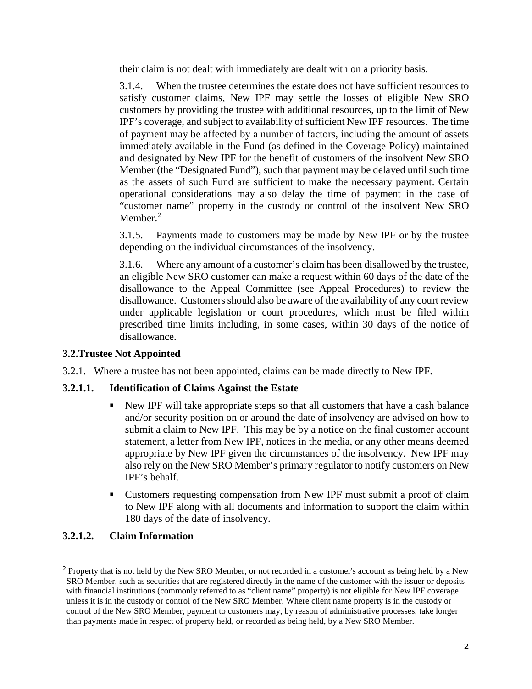their claim is not dealt with immediately are dealt with on a priority basis.

3.1.4. When the trustee determines the estate does not have sufficient resources to satisfy customer claims, New IPF may settle the losses of eligible New SRO customers by providing the trustee with additional resources, up to the limit of New IPF's coverage, and subject to availability of sufficient New IPF resources. The time of payment may be affected by a number of factors, including the amount of assets immediately available in the Fund (as defined in the Coverage Policy) maintained and designated by New IPF for the benefit of customers of the insolvent New SRO Member (the "Designated Fund"), such that payment may be delayed until such time as the assets of such Fund are sufficient to make the necessary payment. Certain operational considerations may also delay the time of payment in the case of "customer name" property in the custody or control of the insolvent New SRO Member.<sup>2</sup>

3.1.5. Payments made to customers may be made by New IPF or by the trustee depending on the individual circumstances of the insolvency.

3.1.6. Where any amount of a customer's claim has been disallowed by the trustee, an eligible New SRO customer can make a request within 60 days of the date of the disallowance to the Appeal Committee (see Appeal Procedures) to review the disallowance. Customers should also be aware of the availability of any court review under applicable legislation or court procedures, which must be filed within prescribed time limits including, in some cases, within 30 days of the notice of disallowance.

### **3.2.Trustee Not Appointed**

3.2.1. Where a trustee has not been appointed, claims can be made directly to New IPF.

### **3.2.1.1. Identification of Claims Against the Estate**

- New IPF will take appropriate steps so that all customers that have a cash balance and/or security position on or around the date of insolvency are advised on how to submit a claim to New IPF. This may be by a notice on the final customer account statement, a letter from New IPF, notices in the media, or any other means deemed appropriate by New IPF given the circumstances of the insolvency. New IPF may also rely on the New SRO Member's primary regulator to notify customers on New IPF's behalf.
- Customers requesting compensation from New IPF must submit a proof of claim to New IPF along with all documents and information to support the claim within 180 days of the date of insolvency.

## **3.2.1.2. Claim Information**

 $\overline{a}$ 

<sup>&</sup>lt;sup>2</sup> Property that is not held by the New SRO Member, or not recorded in a customer's account as being held by a New SRO Member, such as securities that are registered directly in the name of the customer with the issuer or deposits with financial institutions (commonly referred to as "client name" property) is not eligible for New IPF coverage unless it is in the custody or control of the New SRO Member. Where client name property is in the custody or control of the New SRO Member, payment to customers may, by reason of administrative processes, take longer than payments made in respect of property held, or recorded as being held, by a New SRO Member.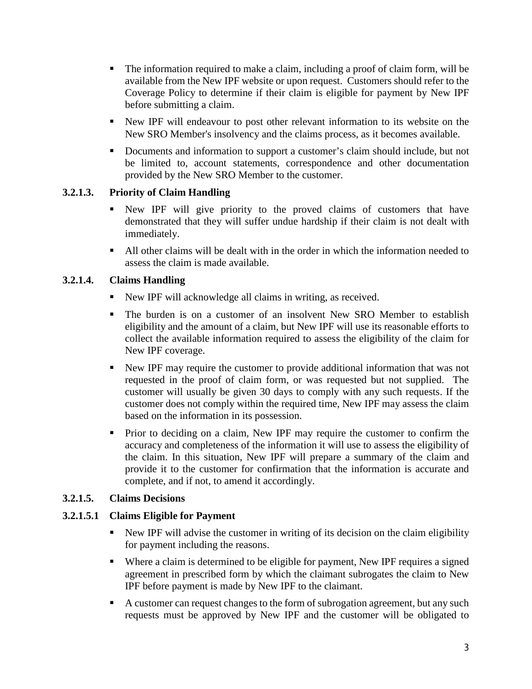- The information required to make a claim, including a proof of claim form, will be available from the New IPF website or upon request. Customers should refer to the Coverage Policy to determine if their claim is eligible for payment by New IPF before submitting a claim.
- New IPF will endeavour to post other relevant information to its website on the New SRO Member's insolvency and the claims process, as it becomes available.
- Documents and information to support a customer's claim should include, but not be limited to, account statements, correspondence and other documentation provided by the New SRO Member to the customer.

## **3.2.1.3. Priority of Claim Handling**

- New IPF will give priority to the proved claims of customers that have demonstrated that they will suffer undue hardship if their claim is not dealt with immediately.
- All other claims will be dealt with in the order in which the information needed to assess the claim is made available.

## **3.2.1.4. Claims Handling**

- New IPF will acknowledge all claims in writing, as received.
- The burden is on a customer of an insolvent New SRO Member to establish eligibility and the amount of a claim, but New IPF will use its reasonable efforts to collect the available information required to assess the eligibility of the claim for New IPF coverage.
- New IPF may require the customer to provide additional information that was not requested in the proof of claim form, or was requested but not supplied. The customer will usually be given 30 days to comply with any such requests. If the customer does not comply within the required time, New IPF may assess the claim based on the information in its possession.
- Prior to deciding on a claim, New IPF may require the customer to confirm the accuracy and completeness of the information it will use to assess the eligibility of the claim. In this situation, New IPF will prepare a summary of the claim and provide it to the customer for confirmation that the information is accurate and complete, and if not, to amend it accordingly.

### **3.2.1.5. Claims Decisions**

### **3.2.1.5.1 Claims Eligible for Payment**

- New IPF will advise the customer in writing of its decision on the claim eligibility for payment including the reasons.
- Where a claim is determined to be eligible for payment, New IPF requires a signed agreement in prescribed form by which the claimant subrogates the claim to New IPF before payment is made by New IPF to the claimant.
- A customer can request changes to the form of subrogation agreement, but any such requests must be approved by New IPF and the customer will be obligated to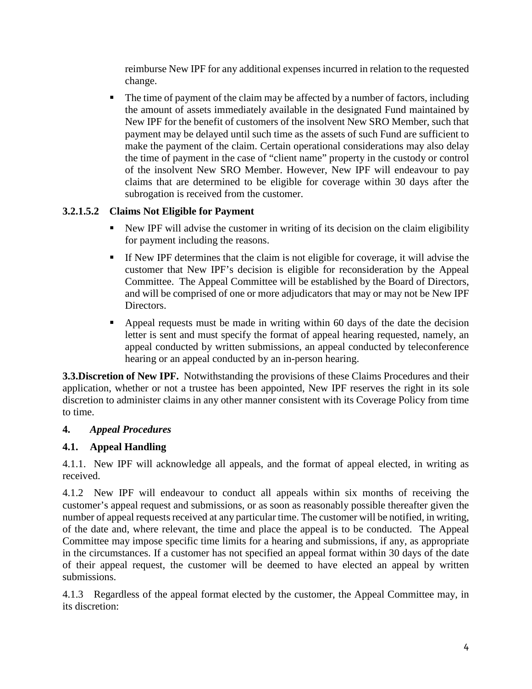reimburse New IPF for any additional expenses incurred in relation to the requested change.

• The time of payment of the claim may be affected by a number of factors, including the amount of assets immediately available in the designated Fund maintained by New IPF for the benefit of customers of the insolvent New SRO Member, such that payment may be delayed until such time as the assets of such Fund are sufficient to make the payment of the claim. Certain operational considerations may also delay the time of payment in the case of "client name" property in the custody or control of the insolvent New SRO Member. However, New IPF will endeavour to pay claims that are determined to be eligible for coverage within 30 days after the subrogation is received from the customer.

## **3.2.1.5.2 Claims Not Eligible for Payment**

- New IPF will advise the customer in writing of its decision on the claim eligibility for payment including the reasons.
- If New IPF determines that the claim is not eligible for coverage, it will advise the customer that New IPF's decision is eligible for reconsideration by the Appeal Committee. The Appeal Committee will be established by the Board of Directors, and will be comprised of one or more adjudicators that may or may not be New IPF Directors.
- Appeal requests must be made in writing within 60 days of the date the decision letter is sent and must specify the format of appeal hearing requested, namely, an appeal conducted by written submissions, an appeal conducted by teleconference hearing or an appeal conducted by an in-person hearing.

**3.3.Discretion of New IPF.**Notwithstanding the provisions of these Claims Procedures and their application, whether or not a trustee has been appointed, New IPF reserves the right in its sole discretion to administer claims in any other manner consistent with its Coverage Policy from time to time.

## **4.** *Appeal Procedures*

# **4.1. Appeal Handling**

4.1.1. New IPF will acknowledge all appeals, and the format of appeal elected, in writing as received.

4.1.2 New IPF will endeavour to conduct all appeals within six months of receiving the customer's appeal request and submissions, or as soon as reasonably possible thereafter given the number of appeal requests received at any particular time. The customer will be notified, in writing, of the date and, where relevant, the time and place the appeal is to be conducted. The Appeal Committee may impose specific time limits for a hearing and submissions, if any, as appropriate in the circumstances. If a customer has not specified an appeal format within 30 days of the date of their appeal request, the customer will be deemed to have elected an appeal by written submissions.

4.1.3 Regardless of the appeal format elected by the customer, the Appeal Committee may, in its discretion: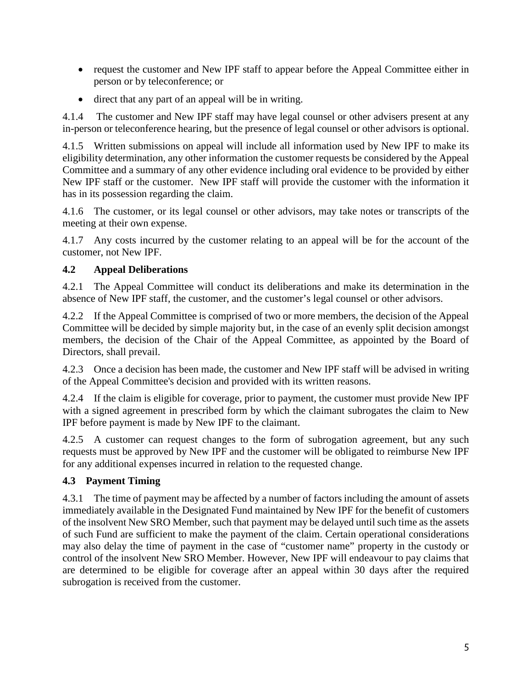- request the customer and New IPF staff to appear before the Appeal Committee either in person or by teleconference; or
- direct that any part of an appeal will be in writing.

4.1.4 The customer and New IPF staff may have legal counsel or other advisers present at any in-person or teleconference hearing, but the presence of legal counsel or other advisors is optional.

4.1.5 Written submissions on appeal will include all information used by New IPF to make its eligibility determination, any other information the customer requests be considered by the Appeal Committee and a summary of any other evidence including oral evidence to be provided by either New IPF staff or the customer. New IPF staff will provide the customer with the information it has in its possession regarding the claim.

4.1.6 The customer, or its legal counsel or other advisors, may take notes or transcripts of the meeting at their own expense.

4.1.7 Any costs incurred by the customer relating to an appeal will be for the account of the customer, not New IPF.

## **4.2 Appeal Deliberations**

4.2.1 The Appeal Committee will conduct its deliberations and make its determination in the absence of New IPF staff, the customer, and the customer's legal counsel or other advisors.

4.2.2 If the Appeal Committee is comprised of two or more members, the decision of the Appeal Committee will be decided by simple majority but, in the case of an evenly split decision amongst members, the decision of the Chair of the Appeal Committee, as appointed by the Board of Directors, shall prevail.

4.2.3 Once a decision has been made, the customer and New IPF staff will be advised in writing of the Appeal Committee's decision and provided with its written reasons.

4.2.4 If the claim is eligible for coverage, prior to payment, the customer must provide New IPF with a signed agreement in prescribed form by which the claimant subrogates the claim to New IPF before payment is made by New IPF to the claimant.

4.2.5 A customer can request changes to the form of subrogation agreement, but any such requests must be approved by New IPF and the customer will be obligated to reimburse New IPF for any additional expenses incurred in relation to the requested change.

# **4.3 Payment Timing**

4.3.1 The time of payment may be affected by a number of factors including the amount of assets immediately available in the Designated Fund maintained by New IPF for the benefit of customers of the insolvent New SRO Member, such that payment may be delayed until such time as the assets of such Fund are sufficient to make the payment of the claim. Certain operational considerations may also delay the time of payment in the case of "customer name" property in the custody or control of the insolvent New SRO Member. However, New IPF will endeavour to pay claims that are determined to be eligible for coverage after an appeal within 30 days after the required subrogation is received from the customer.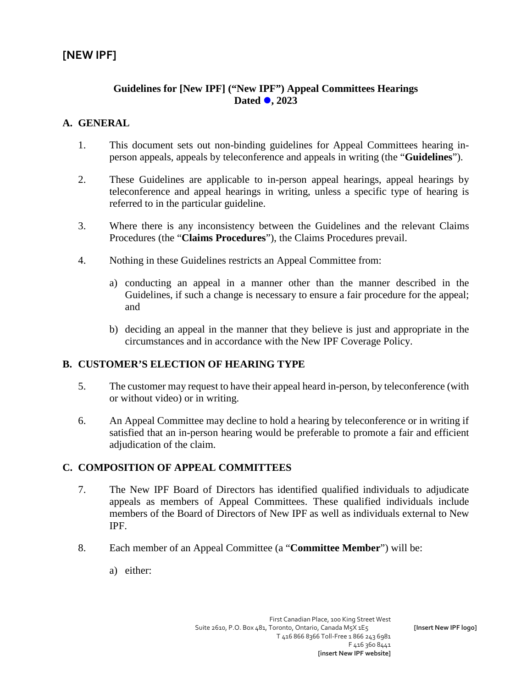### **Guidelines for [New IPF] ("New IPF") Appeal Committees Hearings Dated , 2023**

### **A. GENERAL**

- 1. This document sets out non-binding guidelines for Appeal Committees hearing inperson appeals, appeals by teleconference and appeals in writing (the "**Guidelines**").
- 2. These Guidelines are applicable to in-person appeal hearings, appeal hearings by teleconference and appeal hearings in writing, unless a specific type of hearing is referred to in the particular guideline.
- 3. Where there is any inconsistency between the Guidelines and the relevant Claims Procedures (the "**Claims Procedures**"), the Claims Procedures prevail.
- 4. Nothing in these Guidelines restricts an Appeal Committee from:
	- a) conducting an appeal in a manner other than the manner described in the Guidelines, if such a change is necessary to ensure a fair procedure for the appeal; and
	- b) deciding an appeal in the manner that they believe is just and appropriate in the circumstances and in accordance with the New IPF Coverage Policy.

### **B. CUSTOMER'S ELECTION OF HEARING TYPE**

- 5. The customer may request to have their appeal heard in-person, by teleconference (with or without video) or in writing.
- 6. An Appeal Committee may decline to hold a hearing by teleconference or in writing if satisfied that an in-person hearing would be preferable to promote a fair and efficient adjudication of the claim.

### **C. COMPOSITION OF APPEAL COMMITTEES**

- 7. The New IPF Board of Directors has identified qualified individuals to adjudicate appeals as members of Appeal Committees. These qualified individuals include members of the Board of Directors of New IPF as well as individuals external to New IPF.
- 8. Each member of an Appeal Committee (a "**Committee Member**") will be:
	- a) either: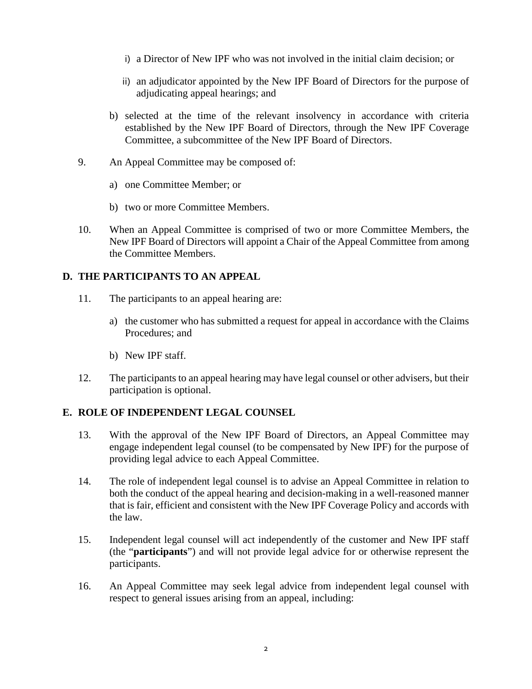- i) a Director of New IPF who was not involved in the initial claim decision; or
- ii) an adjudicator appointed by the New IPF Board of Directors for the purpose of adjudicating appeal hearings; and
- b) selected at the time of the relevant insolvency in accordance with criteria established by the New IPF Board of Directors, through the New IPF Coverage Committee, a subcommittee of the New IPF Board of Directors.
- 9. An Appeal Committee may be composed of:
	- a) one Committee Member; or
	- b) two or more Committee Members.
- 10. When an Appeal Committee is comprised of two or more Committee Members, the New IPF Board of Directors will appoint a Chair of the Appeal Committee from among the Committee Members.

### **D. THE PARTICIPANTS TO AN APPEAL**

- 11. The participants to an appeal hearing are:
	- a) the customer who has submitted a request for appeal in accordance with the Claims Procedures; and
	- b) New IPF staff.
- 12. The participants to an appeal hearing may have legal counsel or other advisers, but their participation is optional.

### **E. ROLE OF INDEPENDENT LEGAL COUNSEL**

- 13. With the approval of the New IPF Board of Directors, an Appeal Committee may engage independent legal counsel (to be compensated by New IPF) for the purpose of providing legal advice to each Appeal Committee.
- 14. The role of independent legal counsel is to advise an Appeal Committee in relation to both the conduct of the appeal hearing and decision-making in a well-reasoned manner that is fair, efficient and consistent with the New IPF Coverage Policy and accords with the law.
- 15. Independent legal counsel will act independently of the customer and New IPF staff (the "**participants**") and will not provide legal advice for or otherwise represent the participants.
- 16. An Appeal Committee may seek legal advice from independent legal counsel with respect to general issues arising from an appeal, including: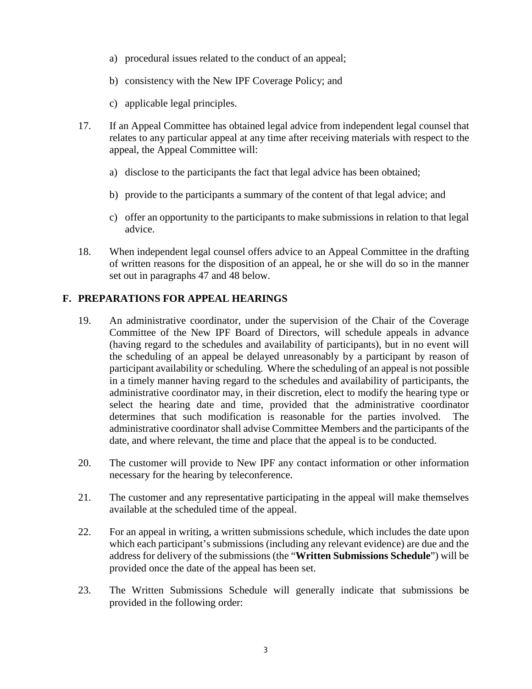- a) procedural issues related to the conduct of an appeal;
- b) consistency with the New IPF Coverage Policy; and
- c) applicable legal principles.
- 17. If an Appeal Committee has obtained legal advice from independent legal counsel that relates to any particular appeal at any time after receiving materials with respect to the appeal, the Appeal Committee will:
	- a) disclose to the participants the fact that legal advice has been obtained;
	- b) provide to the participants a summary of the content of that legal advice; and
	- c) offer an opportunity to the participants to make submissions in relation to that legal advice.
- 18. When independent legal counsel offers advice to an Appeal Committee in the drafting of written reasons for the disposition of an appeal, he or she will do so in the manner set out in paragraphs 47 and 48 below.

## **F. PREPARATIONS FOR APPEAL HEARINGS**

- 19. An administrative coordinator, under the supervision of the Chair of the Coverage Committee of the New IPF Board of Directors, will schedule appeals in advance (having regard to the schedules and availability of participants), but in no event will the scheduling of an appeal be delayed unreasonably by a participant by reason of participant availability or scheduling. Where the scheduling of an appeal is not possible in a timely manner having regard to the schedules and availability of participants, the administrative coordinator may, in their discretion, elect to modify the hearing type or select the hearing date and time, provided that the administrative coordinator determines that such modification is reasonable for the parties involved. The administrative coordinator shall advise Committee Members and the participants of the date, and where relevant, the time and place that the appeal is to be conducted.
- 20. The customer will provide to New IPF any contact information or other information necessary for the hearing by teleconference.
- 21. The customer and any representative participating in the appeal will make themselves available at the scheduled time of the appeal.
- 22. For an appeal in writing, a written submissions schedule, which includes the date upon which each participant's submissions (including any relevant evidence) are due and the address for delivery of the submissions (the "**Written Submissions Schedule**") will be provided once the date of the appeal has been set.
- 23. The Written Submissions Schedule will generally indicate that submissions be provided in the following order: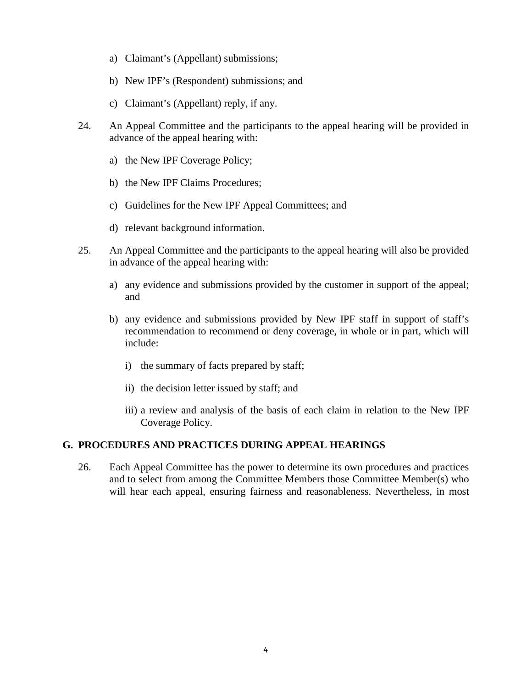- a) Claimant's (Appellant) submissions;
- b) New IPF's (Respondent) submissions; and
- c) Claimant's (Appellant) reply, if any.
- 24. An Appeal Committee and the participants to the appeal hearing will be provided in advance of the appeal hearing with:
	- a) the New IPF Coverage Policy;
	- b) the New IPF Claims Procedures;
	- c) Guidelines for the New IPF Appeal Committees; and
	- d) relevant background information.
- 25. An Appeal Committee and the participants to the appeal hearing will also be provided in advance of the appeal hearing with:
	- a) any evidence and submissions provided by the customer in support of the appeal; and
	- b) any evidence and submissions provided by New IPF staff in support of staff's recommendation to recommend or deny coverage, in whole or in part, which will include:
		- i) the summary of facts prepared by staff;
		- ii) the decision letter issued by staff; and
		- iii) a review and analysis of the basis of each claim in relation to the New IPF Coverage Policy.

## **G. PROCEDURES AND PRACTICES DURING APPEAL HEARINGS**

26. Each Appeal Committee has the power to determine its own procedures and practices and to select from among the Committee Members those Committee Member(s) who will hear each appeal, ensuring fairness and reasonableness. Nevertheless, in most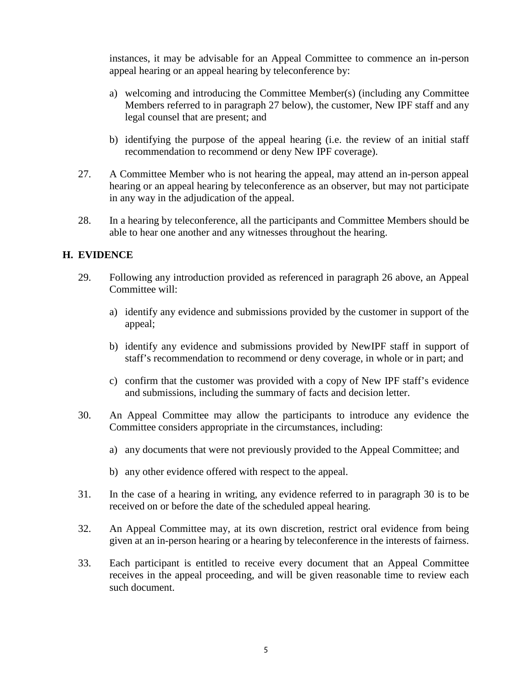instances, it may be advisable for an Appeal Committee to commence an in-person appeal hearing or an appeal hearing by teleconference by:

- a) welcoming and introducing the Committee Member(s) (including any Committee Members referred to in paragraph 27 below), the customer, New IPF staff and any legal counsel that are present; and
- b) identifying the purpose of the appeal hearing (i.e. the review of an initial staff recommendation to recommend or deny New IPF coverage).
- 27. A Committee Member who is not hearing the appeal, may attend an in-person appeal hearing or an appeal hearing by teleconference as an observer, but may not participate in any way in the adjudication of the appeal.
- 28. In a hearing by teleconference, all the participants and Committee Members should be able to hear one another and any witnesses throughout the hearing.

### **H. EVIDENCE**

- 29. Following any introduction provided as referenced in paragraph 26 above, an Appeal Committee will:
	- a) identify any evidence and submissions provided by the customer in support of the appeal;
	- b) identify any evidence and submissions provided by NewIPF staff in support of staff's recommendation to recommend or deny coverage, in whole or in part; and
	- c) confirm that the customer was provided with a copy of New IPF staff's evidence and submissions, including the summary of facts and decision letter.
- 30. An Appeal Committee may allow the participants to introduce any evidence the Committee considers appropriate in the circumstances, including:
	- a) any documents that were not previously provided to the Appeal Committee; and
	- b) any other evidence offered with respect to the appeal.
- 31. In the case of a hearing in writing, any evidence referred to in paragraph 30 is to be received on or before the date of the scheduled appeal hearing.
- 32. An Appeal Committee may, at its own discretion, restrict oral evidence from being given at an in-person hearing or a hearing by teleconference in the interests of fairness.
- 33. Each participant is entitled to receive every document that an Appeal Committee receives in the appeal proceeding, and will be given reasonable time to review each such document.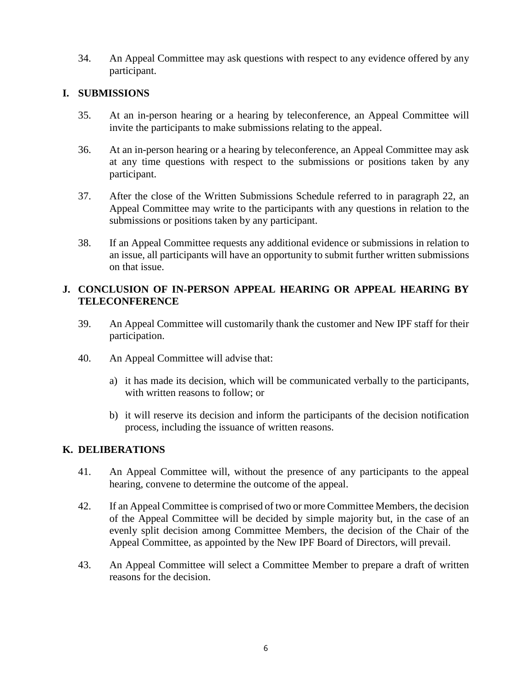34. An Appeal Committee may ask questions with respect to any evidence offered by any participant.

### **I. SUBMISSIONS**

- 35. At an in-person hearing or a hearing by teleconference, an Appeal Committee will invite the participants to make submissions relating to the appeal.
- 36. At an in-person hearing or a hearing by teleconference, an Appeal Committee may ask at any time questions with respect to the submissions or positions taken by any participant.
- 37. After the close of the Written Submissions Schedule referred to in paragraph 22, an Appeal Committee may write to the participants with any questions in relation to the submissions or positions taken by any participant.
- 38. If an Appeal Committee requests any additional evidence or submissions in relation to an issue, all participants will have an opportunity to submit further written submissions on that issue.

### **J. CONCLUSION OF IN-PERSON APPEAL HEARING OR APPEAL HEARING BY TELECONFERENCE**

- 39. An Appeal Committee will customarily thank the customer and New IPF staff for their participation.
- 40. An Appeal Committee will advise that:
	- a) it has made its decision, which will be communicated verbally to the participants, with written reasons to follow; or
	- b) it will reserve its decision and inform the participants of the decision notification process, including the issuance of written reasons.

### **K. DELIBERATIONS**

- 41. An Appeal Committee will, without the presence of any participants to the appeal hearing, convene to determine the outcome of the appeal.
- 42. If an Appeal Committee is comprised of two or more Committee Members, the decision of the Appeal Committee will be decided by simple majority but, in the case of an evenly split decision among Committee Members, the decision of the Chair of the Appeal Committee, as appointed by the New IPF Board of Directors, will prevail.
- 43. An Appeal Committee will select a Committee Member to prepare a draft of written reasons for the decision.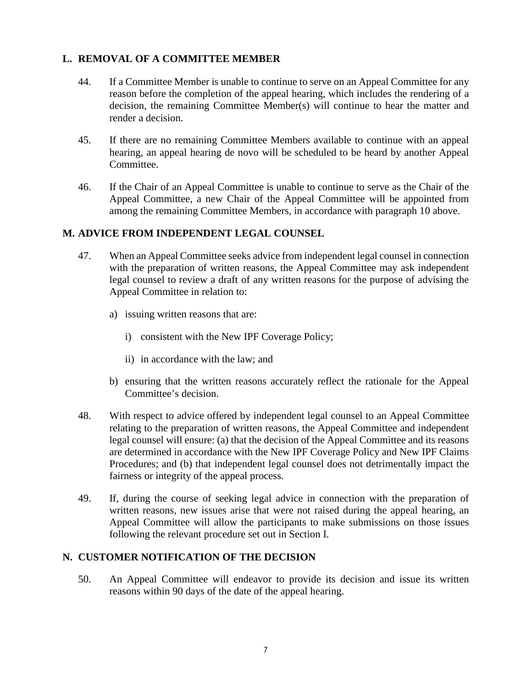### **L. REMOVAL OF A COMMITTEE MEMBER**

- 44. If a Committee Member is unable to continue to serve on an Appeal Committee for any reason before the completion of the appeal hearing, which includes the rendering of a decision, the remaining Committee Member(s) will continue to hear the matter and render a decision.
- 45. If there are no remaining Committee Members available to continue with an appeal hearing, an appeal hearing de novo will be scheduled to be heard by another Appeal Committee.
- 46. If the Chair of an Appeal Committee is unable to continue to serve as the Chair of the Appeal Committee, a new Chair of the Appeal Committee will be appointed from among the remaining Committee Members, in accordance with paragraph 10 above.

#### **M. ADVICE FROM INDEPENDENT LEGAL COUNSEL**

- 47. When an Appeal Committee seeks advice from independent legal counsel in connection with the preparation of written reasons, the Appeal Committee may ask independent legal counsel to review a draft of any written reasons for the purpose of advising the Appeal Committee in relation to:
	- a) issuing written reasons that are:
		- i) consistent with the New IPF Coverage Policy;
		- ii) in accordance with the law; and
	- b) ensuring that the written reasons accurately reflect the rationale for the Appeal Committee's decision.
- 48. With respect to advice offered by independent legal counsel to an Appeal Committee relating to the preparation of written reasons, the Appeal Committee and independent legal counsel will ensure: (a) that the decision of the Appeal Committee and its reasons are determined in accordance with the New IPF Coverage Policy and New IPF Claims Procedures; and (b) that independent legal counsel does not detrimentally impact the fairness or integrity of the appeal process.
- 49. If, during the course of seeking legal advice in connection with the preparation of written reasons, new issues arise that were not raised during the appeal hearing, an Appeal Committee will allow the participants to make submissions on those issues following the relevant procedure set out in Section I.

### **N. CUSTOMER NOTIFICATION OF THE DECISION**

50. An Appeal Committee will endeavor to provide its decision and issue its written reasons within 90 days of the date of the appeal hearing.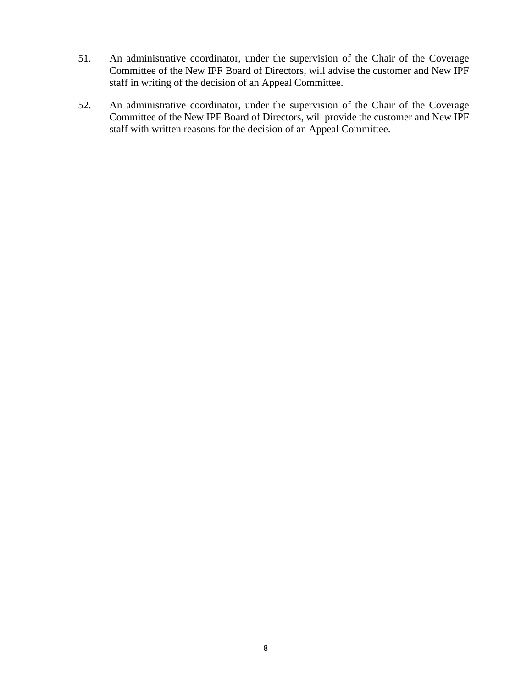- 51. An administrative coordinator, under the supervision of the Chair of the Coverage Committee of the New IPF Board of Directors, will advise the customer and New IPF staff in writing of the decision of an Appeal Committee.
- 52. An administrative coordinator, under the supervision of the Chair of the Coverage Committee of the New IPF Board of Directors, will provide the customer and New IPF staff with written reasons for the decision of an Appeal Committee.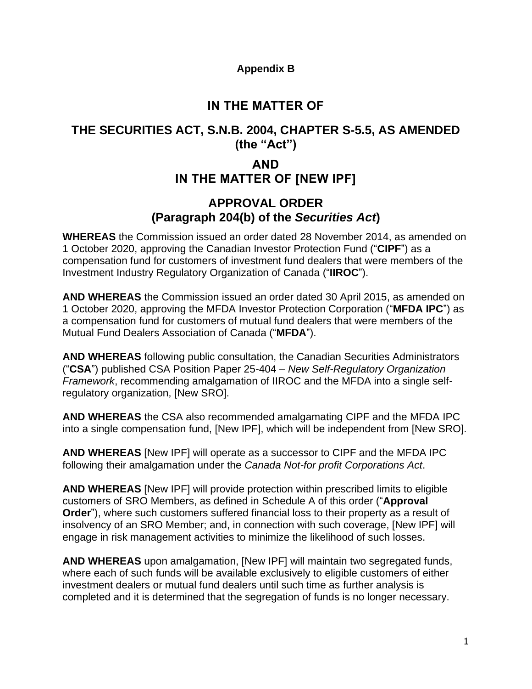### **Appendix B**

# **IN THE MATTER OF**

# **THE SECURITIES ACT, S.N.B. 2004, CHAPTER S-5.5, AS AMENDED (the "Act")**

# **AND IN THE MATTER OF [NEW IPF]**

## **APPROVAL ORDER (Paragraph 204(b) of the** *Securities Act***)**

**WHEREAS** the Commission issued an order dated 28 November 2014, as amended on 1 October 2020, approving the Canadian Investor Protection Fund ("**CIPF**") as a compensation fund for customers of investment fund dealers that were members of the Investment Industry Regulatory Organization of Canada ("**IIROC**").

**AND WHEREAS** the Commission issued an order dated 30 April 2015, as amended on 1 October 2020, approving the MFDA Investor Protection Corporation ("**MFDA IPC**") as a compensation fund for customers of mutual fund dealers that were members of the Mutual Fund Dealers Association of Canada ("**MFDA**").

**AND WHEREAS** following public consultation, the Canadian Securities Administrators ("**CSA**") published CSA Position Paper 25-404 – *New Self-Regulatory Organization Framework*, recommending amalgamation of IIROC and the MFDA into a single selfregulatory organization, [New SRO].

**AND WHEREAS** the CSA also recommended amalgamating CIPF and the MFDA IPC into a single compensation fund, [New IPF], which will be independent from [New SRO].

**AND WHEREAS** [New IPF] will operate as a successor to CIPF and the MFDA IPC following their amalgamation under the *Canada Not-for profit Corporations Act*.

**AND WHEREAS** [New IPF] will provide protection within prescribed limits to eligible customers of SRO Members, as defined in Schedule A of this order ("**Approval Order**"), where such customers suffered financial loss to their property as a result of insolvency of an SRO Member; and, in connection with such coverage, [New IPF] will engage in risk management activities to minimize the likelihood of such losses.

**AND WHEREAS** upon amalgamation, [New IPF] will maintain two segregated funds, where each of such funds will be available exclusively to eligible customers of either investment dealers or mutual fund dealers until such time as further analysis is completed and it is determined that the segregation of funds is no longer necessary.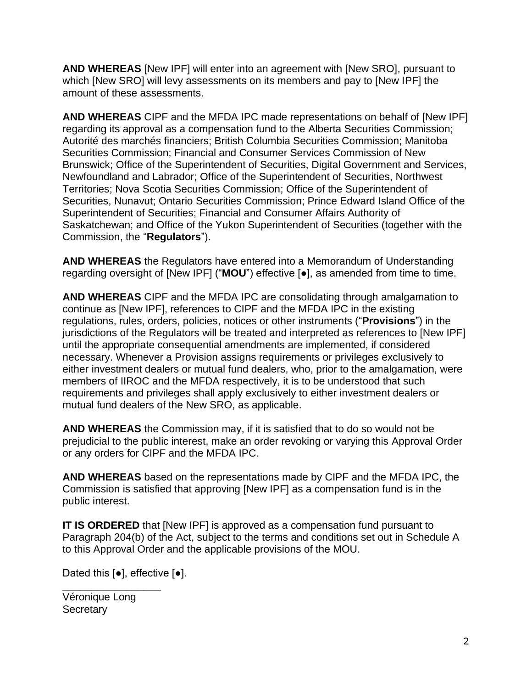**AND WHEREAS** [New IPF] will enter into an agreement with [New SRO], pursuant to which [New SRO] will levy assessments on its members and pay to [New IPF] the amount of these assessments.

**AND WHEREAS** CIPF and the MFDA IPC made representations on behalf of [New IPF] regarding its approval as a compensation fund to the Alberta Securities Commission; Autorité des marchés financiers; British Columbia Securities Commission; Manitoba Securities Commission; Financial and Consumer Services Commission of New Brunswick; Office of the Superintendent of Securities, Digital Government and Services, Newfoundland and Labrador; Office of the Superintendent of Securities, Northwest Territories; Nova Scotia Securities Commission; Office of the Superintendent of Securities, Nunavut; Ontario Securities Commission; Prince Edward Island Office of the Superintendent of Securities; Financial and Consumer Affairs Authority of Saskatchewan; and Office of the Yukon Superintendent of Securities (together with the Commission, the "**Regulators**").

**AND WHEREAS** the Regulators have entered into a Memorandum of Understanding regarding oversight of [New IPF] ("**MOU**") effective [●], as amended from time to time.

**AND WHEREAS** CIPF and the MFDA IPC are consolidating through amalgamation to continue as [New IPF], references to CIPF and the MFDA IPC in the existing regulations, rules, orders, policies, notices or other instruments ("**Provisions**") in the jurisdictions of the Regulators will be treated and interpreted as references to [New IPF] until the appropriate consequential amendments are implemented, if considered necessary. Whenever a Provision assigns requirements or privileges exclusively to either investment dealers or mutual fund dealers, who, prior to the amalgamation, were members of IIROC and the MFDA respectively, it is to be understood that such requirements and privileges shall apply exclusively to either investment dealers or mutual fund dealers of the New SRO, as applicable.

**AND WHEREAS** the Commission may, if it is satisfied that to do so would not be prejudicial to the public interest, make an order revoking or varying this Approval Order or any orders for CIPF and the MFDA IPC.

**AND WHEREAS** based on the representations made by CIPF and the MFDA IPC, the Commission is satisfied that approving [New IPF] as a compensation fund is in the public interest.

**IT IS ORDERED** that [New IPF] is approved as a compensation fund pursuant to Paragraph 204(b) of the Act, subject to the terms and conditions set out in Schedule A to this Approval Order and the applicable provisions of the MOU.

Dated this [●], effective [●].

Véronique Long **Secretary** 

\_\_\_\_\_\_\_\_\_\_\_\_\_\_\_\_\_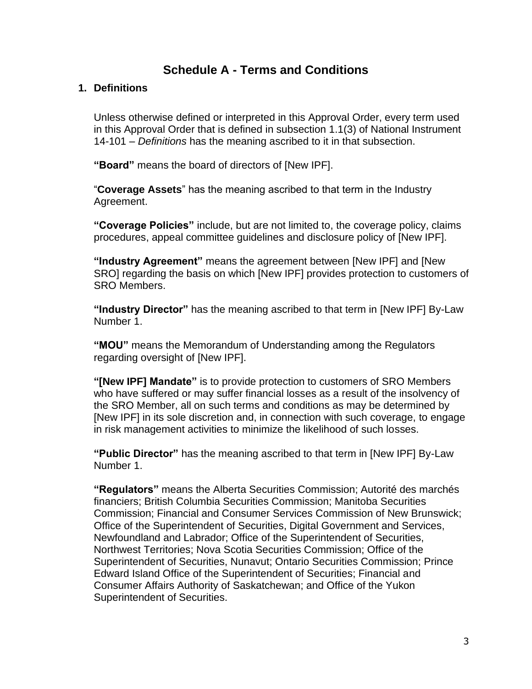# **Schedule A - Terms and Conditions**

#### **1. Definitions**

Unless otherwise defined or interpreted in this Approval Order, every term used in this Approval Order that is defined in subsection 1.1(3) of National Instrument 14-101 – *Definitions* has the meaning ascribed to it in that subsection.

**"Board"** means the board of directors of [New IPF].

"**Coverage Assets**" has the meaning ascribed to that term in the Industry Agreement.

**"Coverage Policies"** include, but are not limited to, the coverage policy, claims procedures, appeal committee guidelines and disclosure policy of [New IPF].

**"Industry Agreement"** means the agreement between [New IPF] and [New SRO] regarding the basis on which [New IPF] provides protection to customers of SRO Members.

**"Industry Director"** has the meaning ascribed to that term in [New IPF] By-Law Number 1.

**"MOU"** means the Memorandum of Understanding among the Regulators regarding oversight of [New IPF].

**"[New IPF] Mandate"** is to provide protection to customers of SRO Members who have suffered or may suffer financial losses as a result of the insolvency of the SRO Member, all on such terms and conditions as may be determined by [New IPF] in its sole discretion and, in connection with such coverage, to engage in risk management activities to minimize the likelihood of such losses.

**"Public Director"** has the meaning ascribed to that term in [New IPF] By-Law Number 1.

**"Regulators"** means the Alberta Securities Commission; Autorité des marchés financiers; British Columbia Securities Commission; Manitoba Securities Commission; Financial and Consumer Services Commission of New Brunswick; Office of the Superintendent of Securities, Digital Government and Services, Newfoundland and Labrador; Office of the Superintendent of Securities, Northwest Territories; Nova Scotia Securities Commission; Office of the Superintendent of Securities, Nunavut; Ontario Securities Commission; Prince Edward Island Office of the Superintendent of Securities; Financial and Consumer Affairs Authority of Saskatchewan; and Office of the Yukon Superintendent of Securities.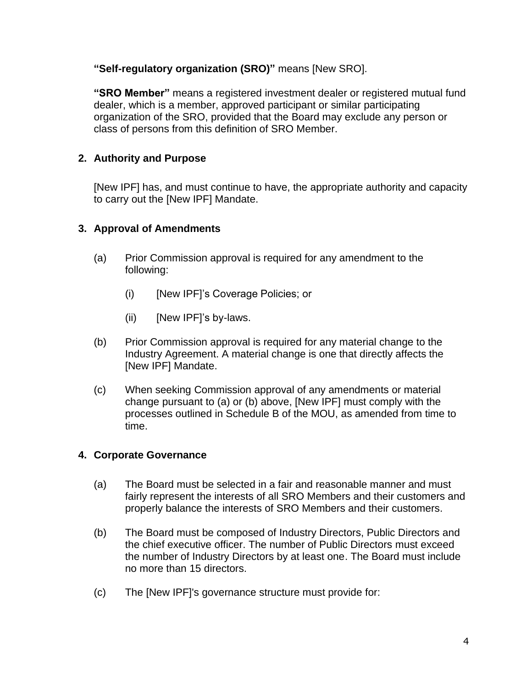**"Self-regulatory organization (SRO)"** means [New SRO].

**"SRO Member"** means a registered investment dealer or registered mutual fund dealer, which is a member, approved participant or similar participating organization of the SRO, provided that the Board may exclude any person or class of persons from this definition of SRO Member.

## **2. Authority and Purpose**

[New IPF] has, and must continue to have, the appropriate authority and capacity to carry out the [New IPF] Mandate.

### **3. Approval of Amendments**

- (a) Prior Commission approval is required for any amendment to the following:
	- (i) [New IPF]'s Coverage Policies; or
	- (ii) [New IPF]'s by-laws.
- (b) Prior Commission approval is required for any material change to the Industry Agreement. A material change is one that directly affects the [New IPF] Mandate.
- (c) When seeking Commission approval of any amendments or material change pursuant to (a) or (b) above, [New IPF] must comply with the processes outlined in Schedule B of the MOU, as amended from time to time.

### **4. Corporate Governance**

- (a) The Board must be selected in a fair and reasonable manner and must fairly represent the interests of all SRO Members and their customers and properly balance the interests of SRO Members and their customers.
- (b) The Board must be composed of Industry Directors, Public Directors and the chief executive officer. The number of Public Directors must exceed the number of Industry Directors by at least one. The Board must include no more than 15 directors.
- (c) The [New IPF]'s governance structure must provide for: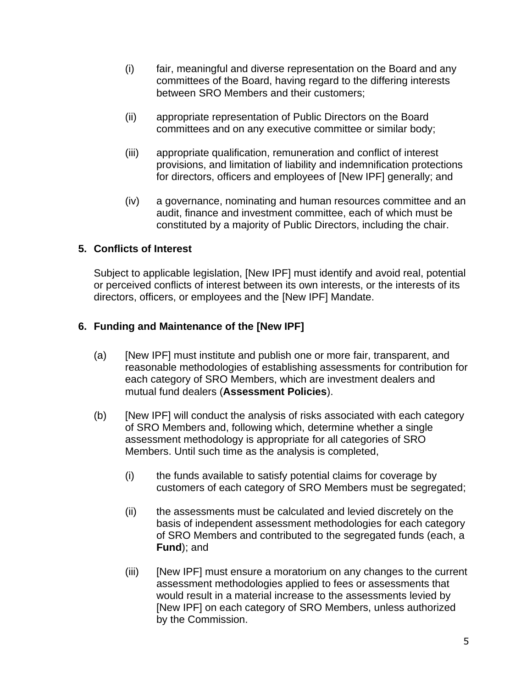- (i) fair, meaningful and diverse representation on the Board and any committees of the Board, having regard to the differing interests between SRO Members and their customers;
- (ii) appropriate representation of Public Directors on the Board committees and on any executive committee or similar body;
- (iii) appropriate qualification, remuneration and conflict of interest provisions, and limitation of liability and indemnification protections for directors, officers and employees of [New IPF] generally; and
- (iv) a governance, nominating and human resources committee and an audit, finance and investment committee, each of which must be constituted by a majority of Public Directors, including the chair.

### **5. Conflicts of Interest**

Subject to applicable legislation, [New IPF] must identify and avoid real, potential or perceived conflicts of interest between its own interests, or the interests of its directors, officers, or employees and the [New IPF] Mandate.

### **6. Funding and Maintenance of the [New IPF]**

- (a) [New IPF] must institute and publish one or more fair, transparent, and reasonable methodologies of establishing assessments for contribution for each category of SRO Members, which are investment dealers and mutual fund dealers (**Assessment Policies**).
- (b) [New IPF] will conduct the analysis of risks associated with each category of SRO Members and, following which, determine whether a single assessment methodology is appropriate for all categories of SRO Members. Until such time as the analysis is completed,
	- (i) the funds available to satisfy potential claims for coverage by customers of each category of SRO Members must be segregated;
	- (ii) the assessments must be calculated and levied discretely on the basis of independent assessment methodologies for each category of SRO Members and contributed to the segregated funds (each, a **Fund**); and
	- (iii) [New IPF] must ensure a moratorium on any changes to the current assessment methodologies applied to fees or assessments that would result in a material increase to the assessments levied by [New IPF] on each category of SRO Members, unless authorized by the Commission.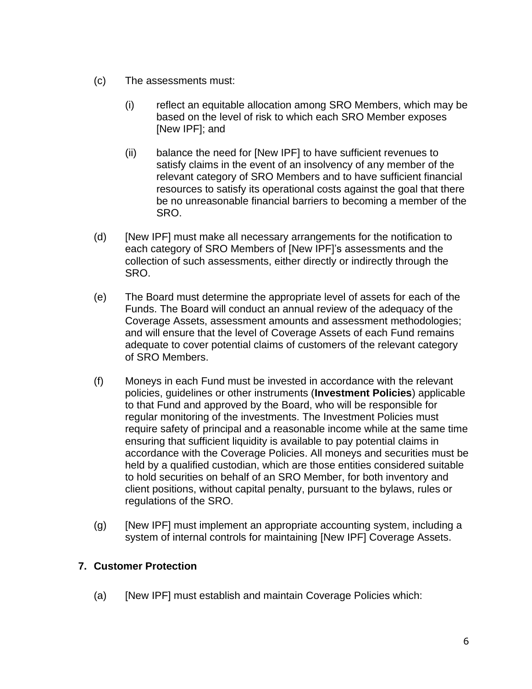- (c) The assessments must:
	- (i) reflect an equitable allocation among SRO Members, which may be based on the level of risk to which each SRO Member exposes [New IPF]; and
	- (ii) balance the need for [New IPF] to have sufficient revenues to satisfy claims in the event of an insolvency of any member of the relevant category of SRO Members and to have sufficient financial resources to satisfy its operational costs against the goal that there be no unreasonable financial barriers to becoming a member of the SRO.
- (d) [New IPF] must make all necessary arrangements for the notification to each category of SRO Members of [New IPF]'s assessments and the collection of such assessments, either directly or indirectly through the SRO.
- (e) The Board must determine the appropriate level of assets for each of the Funds. The Board will conduct an annual review of the adequacy of the Coverage Assets, assessment amounts and assessment methodologies; and will ensure that the level of Coverage Assets of each Fund remains adequate to cover potential claims of customers of the relevant category of SRO Members.
- (f) Moneys in each Fund must be invested in accordance with the relevant policies, guidelines or other instruments (**Investment Policies**) applicable to that Fund and approved by the Board, who will be responsible for regular monitoring of the investments. The Investment Policies must require safety of principal and a reasonable income while at the same time ensuring that sufficient liquidity is available to pay potential claims in accordance with the Coverage Policies. All moneys and securities must be held by a qualified custodian, which are those entities considered suitable to hold securities on behalf of an SRO Member, for both inventory and client positions, without capital penalty, pursuant to the bylaws, rules or regulations of the SRO.
- (g) [New IPF] must implement an appropriate accounting system, including a system of internal controls for maintaining [New IPF] Coverage Assets.

### **7. Customer Protection**

(a) [New IPF] must establish and maintain Coverage Policies which: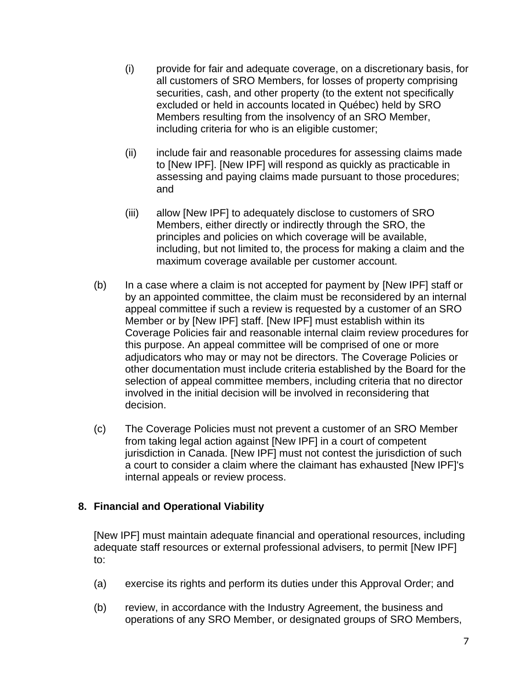- (i) provide for fair and adequate coverage, on a discretionary basis, for all customers of SRO Members, for losses of property comprising securities, cash, and other property (to the extent not specifically excluded or held in accounts located in Québec) held by SRO Members resulting from the insolvency of an SRO Member, including criteria for who is an eligible customer;
- (ii) include fair and reasonable procedures for assessing claims made to [New IPF]. [New IPF] will respond as quickly as practicable in assessing and paying claims made pursuant to those procedures; and
- (iii) allow [New IPF] to adequately disclose to customers of SRO Members, either directly or indirectly through the SRO, the principles and policies on which coverage will be available, including, but not limited to, the process for making a claim and the maximum coverage available per customer account.
- (b) In a case where a claim is not accepted for payment by [New IPF] staff or by an appointed committee, the claim must be reconsidered by an internal appeal committee if such a review is requested by a customer of an SRO Member or by [New IPF] staff. [New IPF] must establish within its Coverage Policies fair and reasonable internal claim review procedures for this purpose. An appeal committee will be comprised of one or more adjudicators who may or may not be directors. The Coverage Policies or other documentation must include criteria established by the Board for the selection of appeal committee members, including criteria that no director involved in the initial decision will be involved in reconsidering that decision.
- (c) The Coverage Policies must not prevent a customer of an SRO Member from taking legal action against [New IPF] in a court of competent jurisdiction in Canada. [New IPF] must not contest the jurisdiction of such a court to consider a claim where the claimant has exhausted [New IPF]'s internal appeals or review process.

### **8. Financial and Operational Viability**

[New IPF] must maintain adequate financial and operational resources, including adequate staff resources or external professional advisers, to permit [New IPF] to:

- (a) exercise its rights and perform its duties under this Approval Order; and
- (b) review, in accordance with the Industry Agreement, the business and operations of any SRO Member, or designated groups of SRO Members,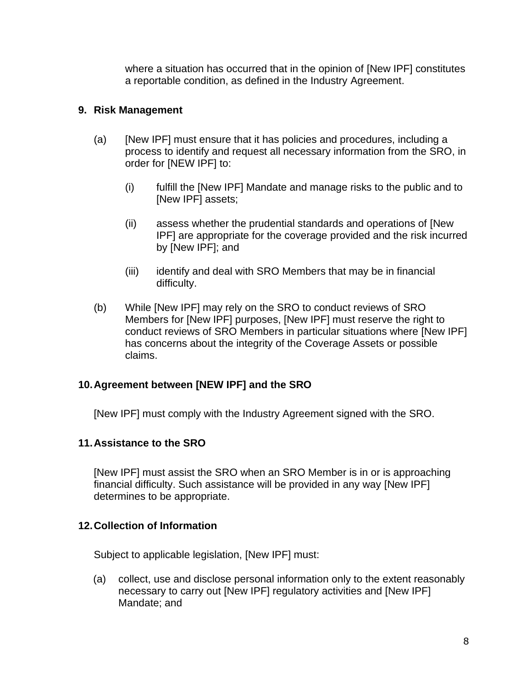where a situation has occurred that in the opinion of [New IPF] constitutes a reportable condition, as defined in the Industry Agreement.

### **9. Risk Management**

- (a) [New IPF] must ensure that it has policies and procedures, including a process to identify and request all necessary information from the SRO, in order for [NEW IPF] to:
	- (i) fulfill the [New IPF] Mandate and manage risks to the public and to [New IPF] assets;
	- (ii) assess whether the prudential standards and operations of [New IPF] are appropriate for the coverage provided and the risk incurred by [New IPF]; and
	- (iii) identify and deal with SRO Members that may be in financial difficulty.
- (b) While [New IPF] may rely on the SRO to conduct reviews of SRO Members for [New IPF] purposes, [New IPF] must reserve the right to conduct reviews of SRO Members in particular situations where [New IPF] has concerns about the integrity of the Coverage Assets or possible claims.

### **10.Agreement between [NEW IPF] and the SRO**

[New IPF] must comply with the Industry Agreement signed with the SRO.

#### **11.Assistance to the SRO**

[New IPF] must assist the SRO when an SRO Member is in or is approaching financial difficulty. Such assistance will be provided in any way [New IPF] determines to be appropriate.

#### **12.Collection of Information**

Subject to applicable legislation, [New IPF] must:

(a) collect, use and disclose personal information only to the extent reasonably necessary to carry out [New IPF] regulatory activities and [New IPF] Mandate; and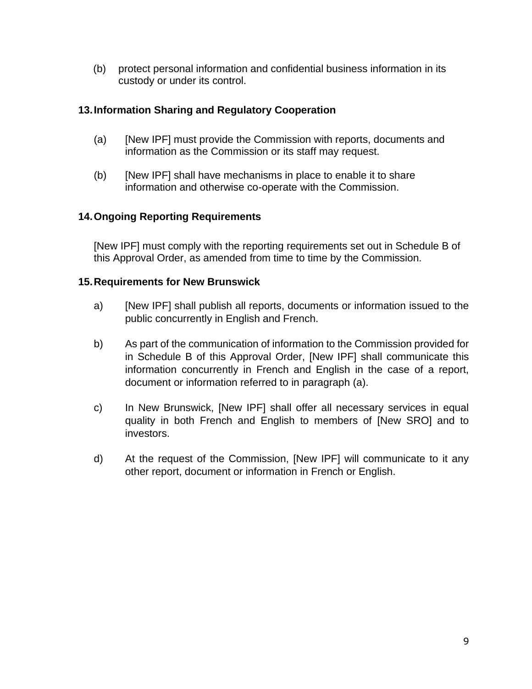(b) protect personal information and confidential business information in its custody or under its control.

### **13.Information Sharing and Regulatory Cooperation**

- (a) [New IPF] must provide the Commission with reports, documents and information as the Commission or its staff may request.
- (b) [New IPF] shall have mechanisms in place to enable it to share information and otherwise co-operate with the Commission.

### **14.Ongoing Reporting Requirements**

[New IPF] must comply with the reporting requirements set out in Schedule B of this Approval Order, as amended from time to time by the Commission.

### **15.Requirements for New Brunswick**

- a) [New IPF] shall publish all reports, documents or information issued to the public concurrently in English and French.
- b) As part of the communication of information to the Commission provided for in Schedule B of this Approval Order, [New IPF] shall communicate this information concurrently in French and English in the case of a report, document or information referred to in paragraph (a).
- c) In New Brunswick, [New IPF] shall offer all necessary services in equal quality in both French and English to members of [New SRO] and to investors.
- d) At the request of the Commission, [New IPF] will communicate to it any other report, document or information in French or English.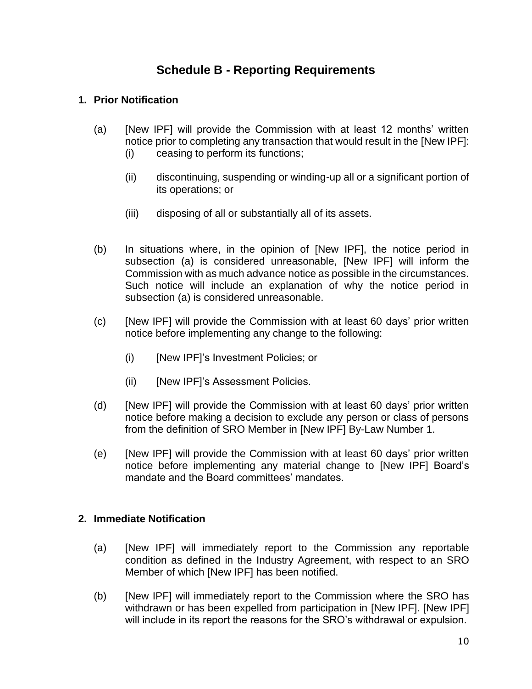# **Schedule B - Reporting Requirements**

### **1. Prior Notification**

- (a) [New IPF] will provide the Commission with at least 12 months' written notice prior to completing any transaction that would result in the [New IPF]: (i) ceasing to perform its functions;
	- (ii) discontinuing, suspending or winding-up all or a significant portion of its operations; or
	- (iii) disposing of all or substantially all of its assets.
- (b) In situations where, in the opinion of [New IPF], the notice period in subsection (a) is considered unreasonable, [New IPF] will inform the Commission with as much advance notice as possible in the circumstances. Such notice will include an explanation of why the notice period in subsection (a) is considered unreasonable.
- (c) [New IPF] will provide the Commission with at least 60 days' prior written notice before implementing any change to the following:
	- (i) [New IPF]'s Investment Policies; or
	- (ii) [New IPF]'s Assessment Policies.
- (d) [New IPF] will provide the Commission with at least 60 days' prior written notice before making a decision to exclude any person or class of persons from the definition of SRO Member in [New IPF] By-Law Number 1.
- (e) [New IPF] will provide the Commission with at least 60 days' prior written notice before implementing any material change to [New IPF] Board's mandate and the Board committees' mandates.

### **2. Immediate Notification**

- (a) [New IPF] will immediately report to the Commission any reportable condition as defined in the Industry Agreement, with respect to an SRO Member of which [New IPF] has been notified.
- (b) [New IPF] will immediately report to the Commission where the SRO has withdrawn or has been expelled from participation in [New IPF]. [New IPF] will include in its report the reasons for the SRO's withdrawal or expulsion.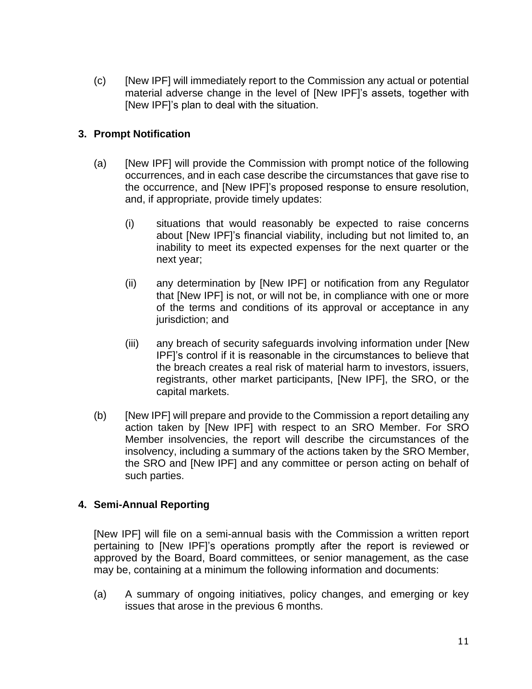(c) [New IPF] will immediately report to the Commission any actual or potential material adverse change in the level of [New IPF]'s assets, together with [New IPF]'s plan to deal with the situation.

### **3. Prompt Notification**

- (a) [New IPF] will provide the Commission with prompt notice of the following occurrences, and in each case describe the circumstances that gave rise to the occurrence, and [New IPF]'s proposed response to ensure resolution, and, if appropriate, provide timely updates:
	- (i) situations that would reasonably be expected to raise concerns about [New IPF]'s financial viability, including but not limited to, an inability to meet its expected expenses for the next quarter or the next year;
	- (ii) any determination by [New IPF] or notification from any Regulator that [New IPF] is not, or will not be, in compliance with one or more of the terms and conditions of its approval or acceptance in any jurisdiction; and
	- (iii) any breach of security safeguards involving information under [New IPF]'s control if it is reasonable in the circumstances to believe that the breach creates a real risk of material harm to investors, issuers, registrants, other market participants, [New IPF], the SRO, or the capital markets.
- (b) [New IPF] will prepare and provide to the Commission a report detailing any action taken by [New IPF] with respect to an SRO Member. For SRO Member insolvencies, the report will describe the circumstances of the insolvency, including a summary of the actions taken by the SRO Member, the SRO and [New IPF] and any committee or person acting on behalf of such parties.

### **4. Semi-Annual Reporting**

[New IPF] will file on a semi-annual basis with the Commission a written report pertaining to [New IPF]'s operations promptly after the report is reviewed or approved by the Board, Board committees, or senior management, as the case may be, containing at a minimum the following information and documents:

(a) A summary of ongoing initiatives, policy changes, and emerging or key issues that arose in the previous 6 months.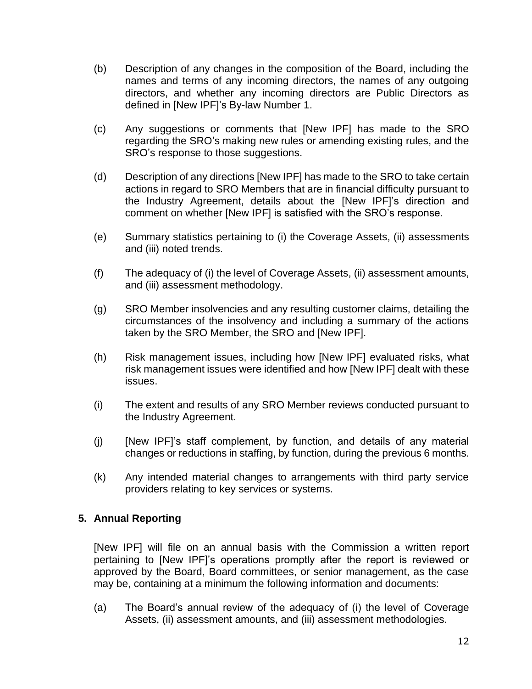- (b) Description of any changes in the composition of the Board, including the names and terms of any incoming directors, the names of any outgoing directors, and whether any incoming directors are Public Directors as defined in [New IPF]'s By-law Number 1.
- (c) Any suggestions or comments that [New IPF] has made to the SRO regarding the SRO's making new rules or amending existing rules, and the SRO's response to those suggestions.
- (d) Description of any directions [New IPF] has made to the SRO to take certain actions in regard to SRO Members that are in financial difficulty pursuant to the Industry Agreement, details about the [New IPF]'s direction and comment on whether [New IPF] is satisfied with the SRO's response.
- (e) Summary statistics pertaining to (i) the Coverage Assets, (ii) assessments and (iii) noted trends.
- (f) The adequacy of (i) the level of Coverage Assets, (ii) assessment amounts, and (iii) assessment methodology.
- (g) SRO Member insolvencies and any resulting customer claims, detailing the circumstances of the insolvency and including a summary of the actions taken by the SRO Member, the SRO and [New IPF].
- (h) Risk management issues, including how [New IPF] evaluated risks, what risk management issues were identified and how [New IPF] dealt with these issues.
- (i) The extent and results of any SRO Member reviews conducted pursuant to the Industry Agreement.
- (j) [New IPF]'s staff complement, by function, and details of any material changes or reductions in staffing, by function, during the previous 6 months.
- (k) Any intended material changes to arrangements with third party service providers relating to key services or systems.

### **5. Annual Reporting**

[New IPF] will file on an annual basis with the Commission a written report pertaining to [New IPF]'s operations promptly after the report is reviewed or approved by the Board, Board committees, or senior management, as the case may be, containing at a minimum the following information and documents:

(a) The Board's annual review of the adequacy of (i) the level of Coverage Assets, (ii) assessment amounts, and (iii) assessment methodologies.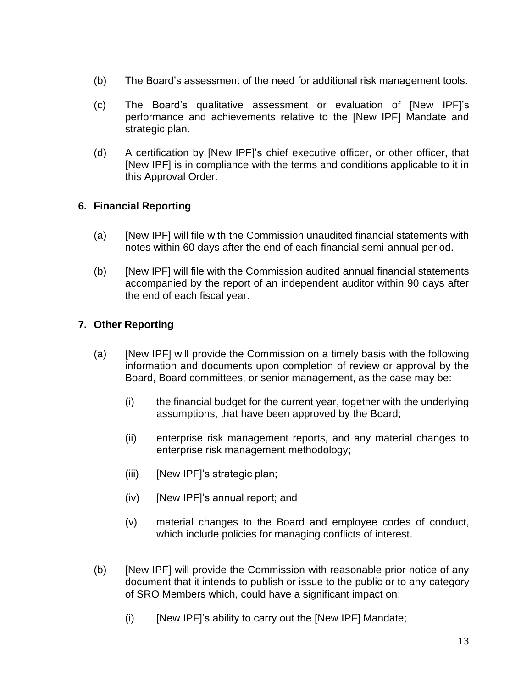- (b) The Board's assessment of the need for additional risk management tools.
- (c) The Board's qualitative assessment or evaluation of [New IPF]'s performance and achievements relative to the [New IPF] Mandate and strategic plan.
- (d) A certification by [New IPF]'s chief executive officer, or other officer, that [New IPF] is in compliance with the terms and conditions applicable to it in this Approval Order.

### **6. Financial Reporting**

- (a) [New IPF] will file with the Commission unaudited financial statements with notes within 60 days after the end of each financial semi-annual period.
- (b) [New IPF] will file with the Commission audited annual financial statements accompanied by the report of an independent auditor within 90 days after the end of each fiscal year.

### **7. Other Reporting**

- (a) [New IPF] will provide the Commission on a timely basis with the following information and documents upon completion of review or approval by the Board, Board committees, or senior management, as the case may be:
	- (i) the financial budget for the current year, together with the underlying assumptions, that have been approved by the Board;
	- (ii) enterprise risk management reports, and any material changes to enterprise risk management methodology;
	- (iii) [New IPF]'s strategic plan;
	- (iv) [New IPF]'s annual report; and
	- (v) material changes to the Board and employee codes of conduct, which include policies for managing conflicts of interest.
- (b) [New IPF] will provide the Commission with reasonable prior notice of any document that it intends to publish or issue to the public or to any category of SRO Members which, could have a significant impact on:
	- $(i)$  [New IPF]'s ability to carry out the [New IPF] Mandate;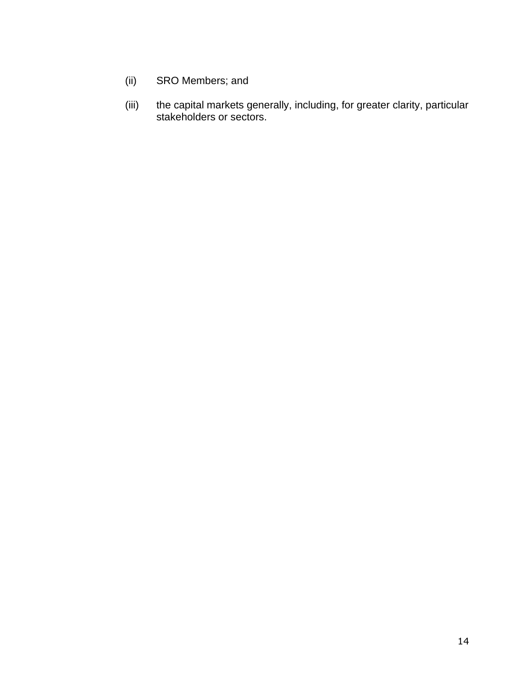- (ii) SRO Members; and
- (iii) the capital markets generally, including, for greater clarity, particular stakeholders or sectors.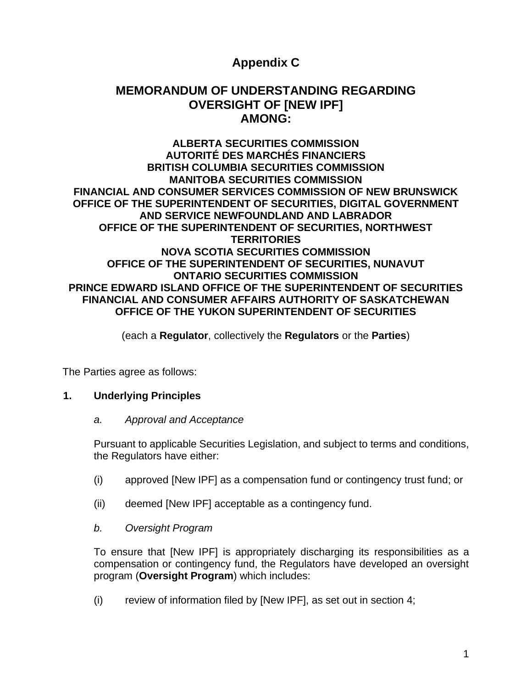# **Appendix C**

# **MEMORANDUM OF UNDERSTANDING REGARDING OVERSIGHT OF [NEW IPF] AMONG:**

#### **ALBERTA SECURITIES COMMISSION AUTORITÉ DES MARCHÉS FINANCIERS BRITISH COLUMBIA SECURITIES COMMISSION MANITOBA SECURITIES COMMISSION FINANCIAL AND CONSUMER SERVICES COMMISSION OF NEW BRUNSWICK OFFICE OF THE SUPERINTENDENT OF SECURITIES, DIGITAL GOVERNMENT AND SERVICE NEWFOUNDLAND AND LABRADOR OFFICE OF THE SUPERINTENDENT OF SECURITIES, NORTHWEST TERRITORIES NOVA SCOTIA SECURITIES COMMISSION OFFICE OF THE SUPERINTENDENT OF SECURITIES, NUNAVUT ONTARIO SECURITIES COMMISSION PRINCE EDWARD ISLAND OFFICE OF THE SUPERINTENDENT OF SECURITIES FINANCIAL AND CONSUMER AFFAIRS AUTHORITY OF SASKATCHEWAN OFFICE OF THE YUKON SUPERINTENDENT OF SECURITIES**

(each a **Regulator**, collectively the **Regulators** or the **Parties**)

The Parties agree as follows:

#### **1. Underlying Principles**

#### *a. Approval and Acceptance*

Pursuant to applicable Securities Legislation, and subject to terms and conditions, the Regulators have either:

- (i) approved [New IPF] as a compensation fund or contingency trust fund; or
- (ii) deemed [New IPF] acceptable as a contingency fund.
- *b. Oversight Program*

To ensure that [New IPF] is appropriately discharging its responsibilities as a compensation or contingency fund, the Regulators have developed an oversight program (**Oversight Program**) which includes:

(i) review of information filed by [New IPF], as set out in section 4;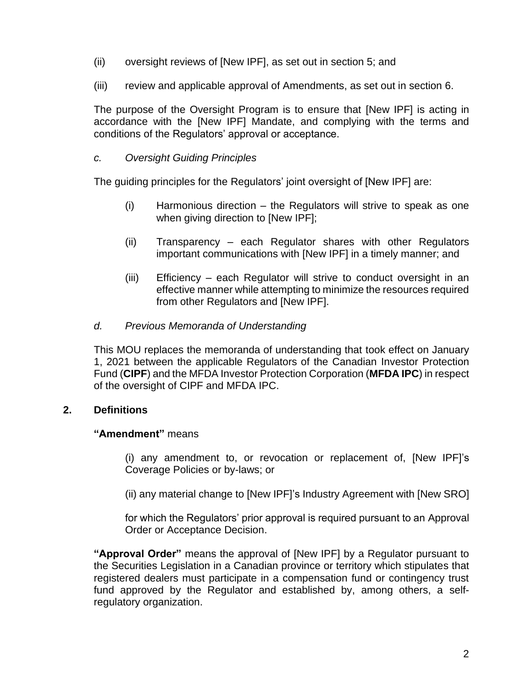- (ii) oversight reviews of [New IPF], as set out in section 5; and
- (iii) review and applicable approval of Amendments, as set out in section 6.

The purpose of the Oversight Program is to ensure that [New IPF] is acting in accordance with the [New IPF] Mandate, and complying with the terms and conditions of the Regulators' approval or acceptance.

#### *c. Oversight Guiding Principles*

The guiding principles for the Regulators' joint oversight of [New IPF] are:

- (i) Harmonious direction the Regulators will strive to speak as one when giving direction to [New IPF];
- (ii) Transparency each Regulator shares with other Regulators important communications with [New IPF] in a timely manner; and
- (iii) Efficiency each Regulator will strive to conduct oversight in an effective manner while attempting to minimize the resources required from other Regulators and [New IPF].
- *d. Previous Memoranda of Understanding*

This MOU replaces the memoranda of understanding that took effect on January 1, 2021 between the applicable Regulators of the Canadian Investor Protection Fund (**CIPF**) and the MFDA Investor Protection Corporation (**MFDA IPC**) in respect of the oversight of CIPF and MFDA IPC.

#### **2. Definitions**

#### **"Amendment"** means

(i) any amendment to, or revocation or replacement of, [New IPF]'s Coverage Policies or by-laws; or

(ii) any material change to [New IPF]'s Industry Agreement with [New SRO]

for which the Regulators' prior approval is required pursuant to an Approval Order or Acceptance Decision.

**"Approval Order"** means the approval of [New IPF] by a Regulator pursuant to the Securities Legislation in a Canadian province or territory which stipulates that registered dealers must participate in a compensation fund or contingency trust fund approved by the Regulator and established by, among others, a selfregulatory organization.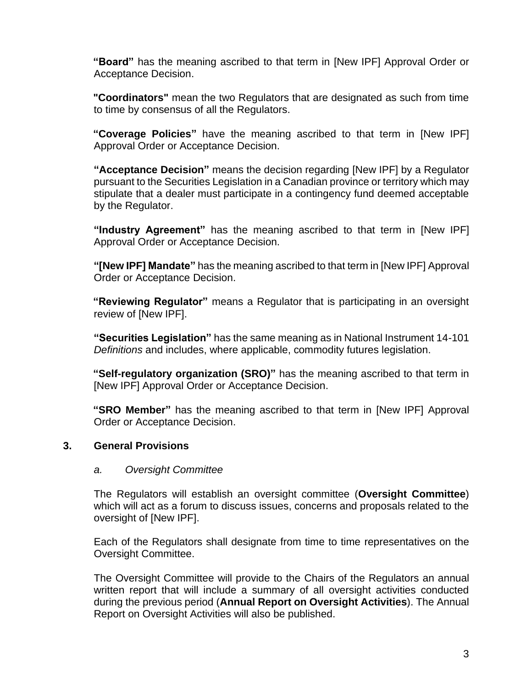**"Board"** has the meaning ascribed to that term in [New IPF] Approval Order or Acceptance Decision.

**"Coordinators"** mean the two Regulators that are designated as such from time to time by consensus of all the Regulators.

**"Coverage Policies"** have the meaning ascribed to that term in [New IPF] Approval Order or Acceptance Decision.

**"Acceptance Decision"** means the decision regarding [New IPF] by a Regulator pursuant to the Securities Legislation in a Canadian province or territory which may stipulate that a dealer must participate in a contingency fund deemed acceptable by the Regulator.

**"Industry Agreement"** has the meaning ascribed to that term in [New IPF] Approval Order or Acceptance Decision.

**"[New IPF] Mandate"** has the meaning ascribed to that term in [New IPF] Approval Order or Acceptance Decision.

**"Reviewing Regulator"** means a Regulator that is participating in an oversight review of [New IPF].

**"Securities Legislation"** has the same meaning as in National Instrument 14-101 *Definitions* and includes, where applicable, commodity futures legislation.

**"Self-regulatory organization (SRO)"** has the meaning ascribed to that term in [New IPF] Approval Order or Acceptance Decision.

**"SRO Member"** has the meaning ascribed to that term in [New IPF] Approval Order or Acceptance Decision.

#### **3. General Provisions**

#### *a. Oversight Committee*

The Regulators will establish an oversight committee (**Oversight Committee**) which will act as a forum to discuss issues, concerns and proposals related to the oversight of [New IPF].

Each of the Regulators shall designate from time to time representatives on the Oversight Committee.

The Oversight Committee will provide to the Chairs of the Regulators an annual written report that will include a summary of all oversight activities conducted during the previous period (**Annual Report on Oversight Activities**). The Annual Report on Oversight Activities will also be published.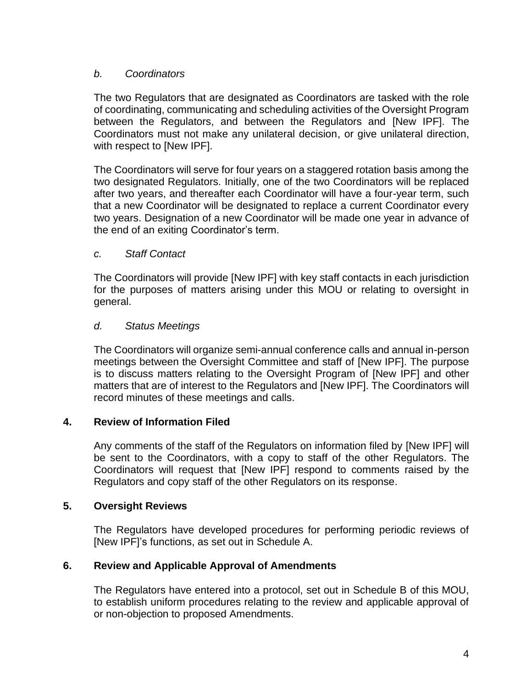### *b. Coordinators*

The two Regulators that are designated as Coordinators are tasked with the role of coordinating, communicating and scheduling activities of the Oversight Program between the Regulators, and between the Regulators and [New IPF]. The Coordinators must not make any unilateral decision, or give unilateral direction, with respect to [New IPF].

The Coordinators will serve for four years on a staggered rotation basis among the two designated Regulators. Initially, one of the two Coordinators will be replaced after two years, and thereafter each Coordinator will have a four-year term, such that a new Coordinator will be designated to replace a current Coordinator every two years. Designation of a new Coordinator will be made one year in advance of the end of an exiting Coordinator's term.

#### *c. Staff Contact*

The Coordinators will provide [New IPF] with key staff contacts in each jurisdiction for the purposes of matters arising under this MOU or relating to oversight in general.

### *d. Status Meetings*

The Coordinators will organize semi-annual conference calls and annual in-person meetings between the Oversight Committee and staff of [New IPF]. The purpose is to discuss matters relating to the Oversight Program of [New IPF] and other matters that are of interest to the Regulators and [New IPF]. The Coordinators will record minutes of these meetings and calls.

#### **4. Review of Information Filed**

Any comments of the staff of the Regulators on information filed by [New IPF] will be sent to the Coordinators, with a copy to staff of the other Regulators. The Coordinators will request that [New IPF] respond to comments raised by the Regulators and copy staff of the other Regulators on its response.

#### **5. Oversight Reviews**

The Regulators have developed procedures for performing periodic reviews of [New IPF]'s functions, as set out in Schedule A.

### **6. Review and Applicable Approval of Amendments**

The Regulators have entered into a protocol, set out in Schedule B of this MOU, to establish uniform procedures relating to the review and applicable approval of or non-objection to proposed Amendments.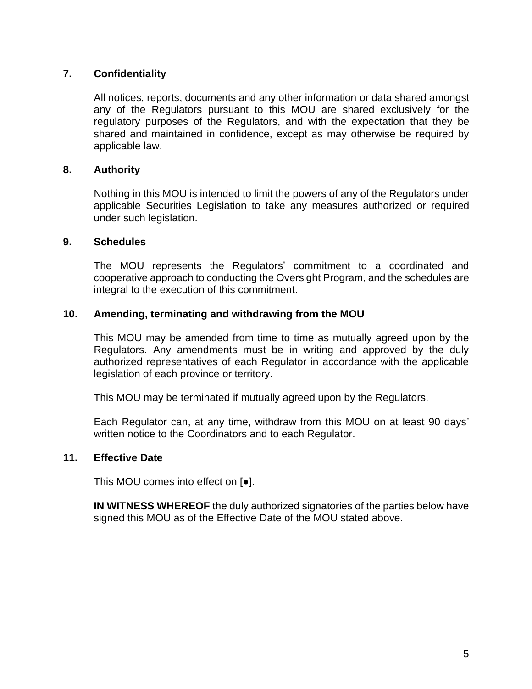### **7. Confidentiality**

All notices, reports, documents and any other information or data shared amongst any of the Regulators pursuant to this MOU are shared exclusively for the regulatory purposes of the Regulators, and with the expectation that they be shared and maintained in confidence, except as may otherwise be required by applicable law.

#### **8. Authority**

Nothing in this MOU is intended to limit the powers of any of the Regulators under applicable Securities Legislation to take any measures authorized or required under such legislation.

#### **9. Schedules**

The MOU represents the Regulators' commitment to a coordinated and cooperative approach to conducting the Oversight Program, and the schedules are integral to the execution of this commitment.

#### **10. Amending, terminating and withdrawing from the MOU**

This MOU may be amended from time to time as mutually agreed upon by the Regulators. Any amendments must be in writing and approved by the duly authorized representatives of each Regulator in accordance with the applicable legislation of each province or territory.

This MOU may be terminated if mutually agreed upon by the Regulators.

Each Regulator can, at any time, withdraw from this MOU on at least 90 days' written notice to the Coordinators and to each Regulator.

#### **11. Effective Date**

This MOU comes into effect on [●].

**IN WITNESS WHEREOF** the duly authorized signatories of the parties below have signed this MOU as of the Effective Date of the MOU stated above.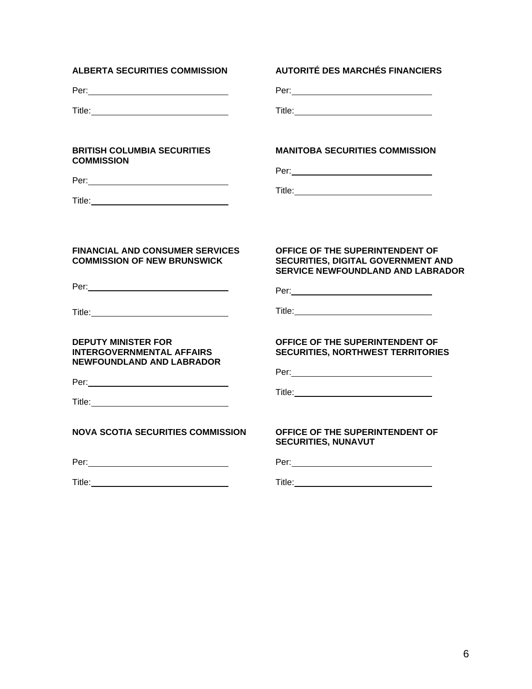| <b>ALBERTA SECURITIES COMMISSION</b>                                                                                                                                                                                                                                                                                                 | <b>AUTORITÉ DES MARCHÉS FINANCIERS</b>                                                                                                                                                                                                                                                                                                                                                                                          |
|--------------------------------------------------------------------------------------------------------------------------------------------------------------------------------------------------------------------------------------------------------------------------------------------------------------------------------------|---------------------------------------------------------------------------------------------------------------------------------------------------------------------------------------------------------------------------------------------------------------------------------------------------------------------------------------------------------------------------------------------------------------------------------|
|                                                                                                                                                                                                                                                                                                                                      |                                                                                                                                                                                                                                                                                                                                                                                                                                 |
|                                                                                                                                                                                                                                                                                                                                      |                                                                                                                                                                                                                                                                                                                                                                                                                                 |
| <b>BRITISH COLUMBIA SECURITIES</b><br><b>COMMISSION</b>                                                                                                                                                                                                                                                                              | <b>MANITOBA SECURITIES COMMISSION</b>                                                                                                                                                                                                                                                                                                                                                                                           |
| <b>FINANCIAL AND CONSUMER SERVICES</b><br><b>COMMISSION OF NEW BRUNSWICK</b><br>Per: 2008 - 2008 - 2008 - 2019 - 2019 - 2019 - 2019 - 2019 - 2019 - 2019 - 2019 - 2019 - 2019 - 2019 - 2019 -                                                                                                                                        | OFFICE OF THE SUPERINTENDENT OF<br>SECURITIES, DIGITAL GOVERNMENT AND<br><b>SERVICE NEWFOUNDLAND AND LABRADOR</b>                                                                                                                                                                                                                                                                                                               |
| <b>DEPUTY MINISTER FOR</b><br><b>INTERGOVERNMENTAL AFFAIRS</b><br><b>NEWFOUNDLAND AND LABRADOR</b><br>Title: Title: Title: The Contract of the Contract of the Contract of the Contract of the Contract of the Contract of the Contract of the Contract of the Contract of the Contract of the Contract of the Contract of the Contr | OFFICE OF THE SUPERINTENDENT OF<br><b>SECURITIES, NORTHWEST TERRITORIES</b><br>Per: 2008 - 2009 - 2009 - 2009 - 2009 - 2009 - 2009 - 2009 - 2009 - 2009 - 2009 - 2009 - 2009 - 2009 - 2009 - 2009 - 2009 - 2009 - 2009 - 2009 - 2009 - 2009 - 2009 - 2009 - 2009 - 2009 - 2009 - 2009 - 2009 - 2009 - 2009 -<br>Title: The Commission of the Commission of the Commission of the Commission of the Commission of the Commission |
| <b>NOVA SCOTIA SECURITIES COMMISSION</b>                                                                                                                                                                                                                                                                                             | OFFICE OF THE SUPERINTENDENT OF<br><b>SECURITIES, NUNAVUT</b>                                                                                                                                                                                                                                                                                                                                                                   |
|                                                                                                                                                                                                                                                                                                                                      |                                                                                                                                                                                                                                                                                                                                                                                                                                 |
| <b>Title:</b> The contract of the contract of the contract of the contract of the contract of the contract of the contract of the contract of the contract of the contract of the contract of the contract of the contract of the c                                                                                                  | <b>Title:</b> The contract of the contract of the contract of the contract of the contract of the contract of the contract of the contract of the contract of the contract of the contract of the contract of the contract of the c                                                                                                                                                                                             |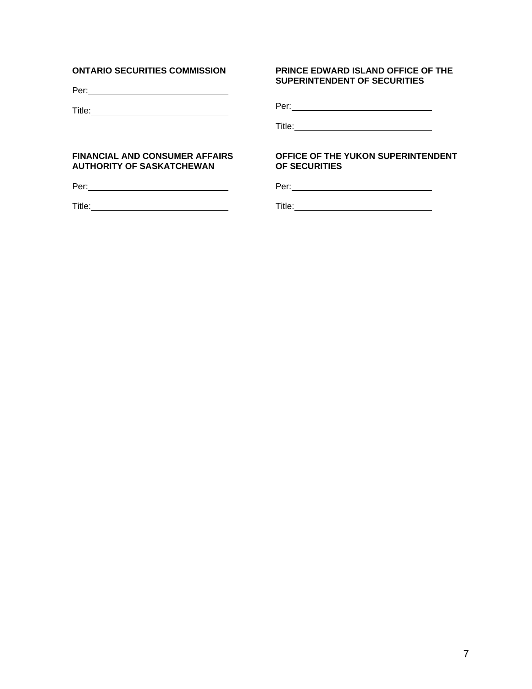#### **ONTARIO SECURITIES COMMISSION**

Per:

Title: Title: The Contract of the Contract of the Contract of the Contract of the Contract of the Contract of the Contract of the Contract of the Contract of the Contract of the Contract of the Contract of the Contract of

#### **PRINCE EDWARD ISLAND OFFICE OF THE SUPERINTENDENT OF SECURITIES**

Per:

Title:

#### **FINANCIAL AND CONSUMER AFFAIRS AUTHORITY OF SASKATCHEWAN**

Per:

Title: **The Community of the Community of the Community of the Community of the Community of the Community of the Community of the Community of the Community of the Community of the Community of the Community of the Commun** 

#### **OFFICE OF THE YUKON SUPERINTENDENT OF SECURITIES**

Per:

Title: **The Community of the Community of the Community of the Community of the Community of the Community of the Community of the Community of the Community of the Community of the Community of the Community of the Commun**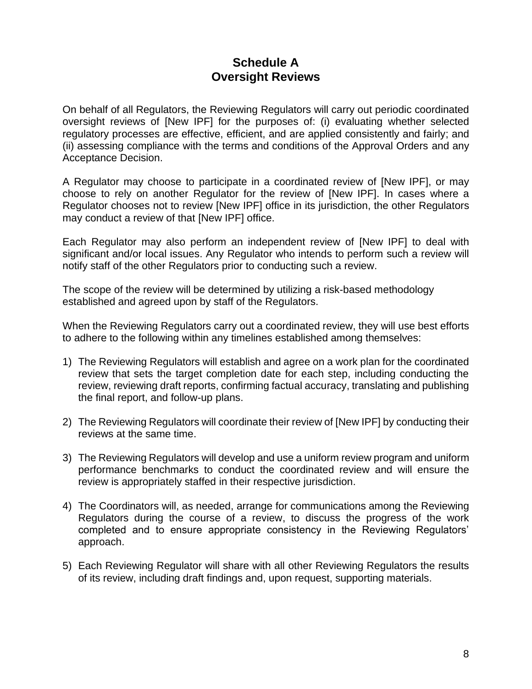# **Schedule A Oversight Reviews**

On behalf of all Regulators, the Reviewing Regulators will carry out periodic coordinated oversight reviews of [New IPF] for the purposes of: (i) evaluating whether selected regulatory processes are effective, efficient, and are applied consistently and fairly; and (ii) assessing compliance with the terms and conditions of the Approval Orders and any Acceptance Decision.

A Regulator may choose to participate in a coordinated review of [New IPF], or may choose to rely on another Regulator for the review of [New IPF]. In cases where a Regulator chooses not to review [New IPF] office in its jurisdiction, the other Regulators may conduct a review of that [New IPF] office.

Each Regulator may also perform an independent review of [New IPF] to deal with significant and/or local issues. Any Regulator who intends to perform such a review will notify staff of the other Regulators prior to conducting such a review.

The scope of the review will be determined by utilizing a risk-based methodology established and agreed upon by staff of the Regulators.

When the Reviewing Regulators carry out a coordinated review, they will use best efforts to adhere to the following within any timelines established among themselves:

- 1) The Reviewing Regulators will establish and agree on a work plan for the coordinated review that sets the target completion date for each step, including conducting the review, reviewing draft reports, confirming factual accuracy, translating and publishing the final report, and follow-up plans.
- 2) The Reviewing Regulators will coordinate their review of [New IPF] by conducting their reviews at the same time.
- 3) The Reviewing Regulators will develop and use a uniform review program and uniform performance benchmarks to conduct the coordinated review and will ensure the review is appropriately staffed in their respective jurisdiction.
- 4) The Coordinators will, as needed, arrange for communications among the Reviewing Regulators during the course of a review, to discuss the progress of the work completed and to ensure appropriate consistency in the Reviewing Regulators' approach.
- 5) Each Reviewing Regulator will share with all other Reviewing Regulators the results of its review, including draft findings and, upon request, supporting materials.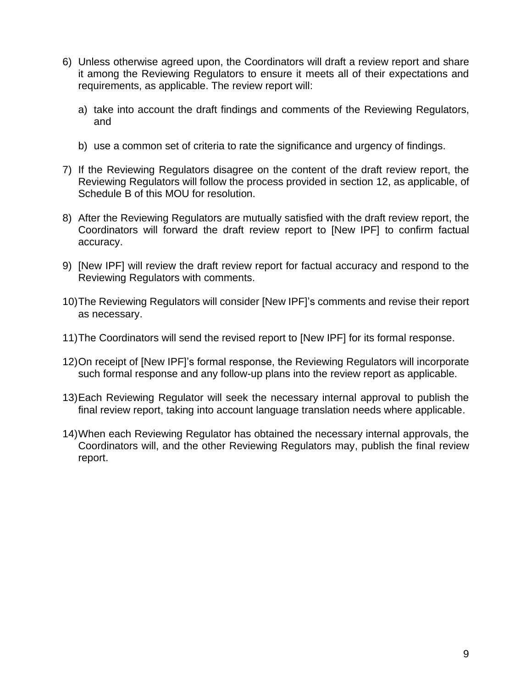- 6) Unless otherwise agreed upon, the Coordinators will draft a review report and share it among the Reviewing Regulators to ensure it meets all of their expectations and requirements, as applicable. The review report will:
	- a) take into account the draft findings and comments of the Reviewing Regulators, and
	- b) use a common set of criteria to rate the significance and urgency of findings.
- 7) If the Reviewing Regulators disagree on the content of the draft review report, the Reviewing Regulators will follow the process provided in section 12, as applicable, of Schedule B of this MOU for resolution.
- 8) After the Reviewing Regulators are mutually satisfied with the draft review report, the Coordinators will forward the draft review report to [New IPF] to confirm factual accuracy.
- 9) [New IPF] will review the draft review report for factual accuracy and respond to the Reviewing Regulators with comments.
- 10)The Reviewing Regulators will consider [New IPF]'s comments and revise their report as necessary.
- 11)The Coordinators will send the revised report to [New IPF] for its formal response.
- 12)On receipt of [New IPF]'s formal response, the Reviewing Regulators will incorporate such formal response and any follow-up plans into the review report as applicable.
- 13)Each Reviewing Regulator will seek the necessary internal approval to publish the final review report, taking into account language translation needs where applicable.
- 14)When each Reviewing Regulator has obtained the necessary internal approvals, the Coordinators will, and the other Reviewing Regulators may, publish the final review report.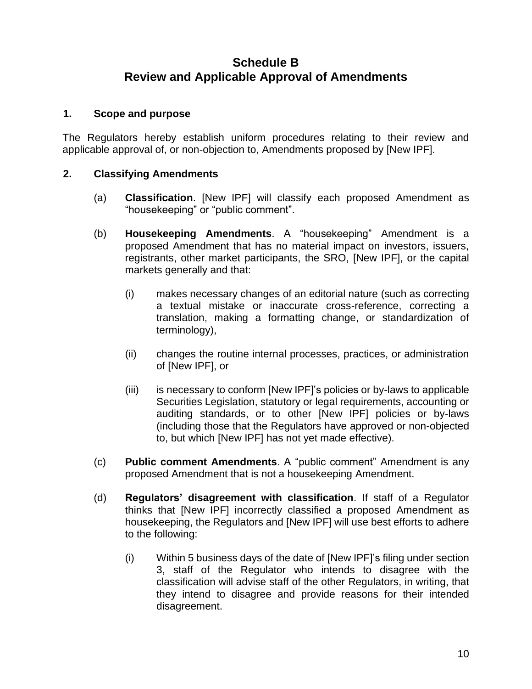# **Schedule B Review and Applicable Approval of Amendments**

#### **1. Scope and purpose**

The Regulators hereby establish uniform procedures relating to their review and applicable approval of, or non-objection to, Amendments proposed by [New IPF].

### **2. Classifying Amendments**

- (a) **Classification**. [New IPF] will classify each proposed Amendment as "housekeeping" or "public comment".
- (b) **Housekeeping Amendments**. A "housekeeping" Amendment is a proposed Amendment that has no material impact on investors, issuers, registrants, other market participants, the SRO, [New IPF], or the capital markets generally and that:
	- (i) makes necessary changes of an editorial nature (such as correcting a textual mistake or inaccurate cross-reference, correcting a translation, making a formatting change, or standardization of terminology),
	- (ii) changes the routine internal processes, practices, or administration of [New IPF], or
	- (iii) is necessary to conform [New IPF]'s policies or by-laws to applicable Securities Legislation, statutory or legal requirements, accounting or auditing standards, or to other [New IPF] policies or by-laws (including those that the Regulators have approved or non-objected to, but which [New IPF] has not yet made effective).
- (c) **Public comment Amendments**. A "public comment" Amendment is any proposed Amendment that is not a housekeeping Amendment.
- (d) **Regulators' disagreement with classification**. If staff of a Regulator thinks that [New IPF] incorrectly classified a proposed Amendment as housekeeping, the Regulators and [New IPF] will use best efforts to adhere to the following:
	- (i) Within 5 business days of the date of [New IPF]'s filing under section 3, staff of the Regulator who intends to disagree with the classification will advise staff of the other Regulators, in writing, that they intend to disagree and provide reasons for their intended disagreement.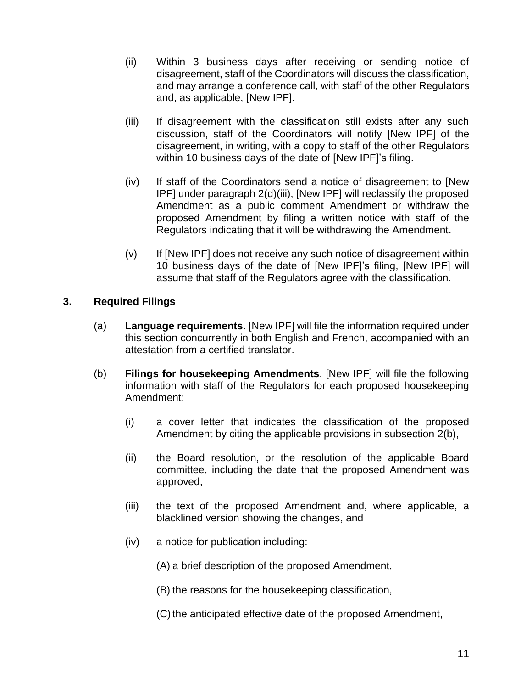- (ii) Within 3 business days after receiving or sending notice of disagreement, staff of the Coordinators will discuss the classification, and may arrange a conference call, with staff of the other Regulators and, as applicable, [New IPF].
- (iii) If disagreement with the classification still exists after any such discussion, staff of the Coordinators will notify [New IPF] of the disagreement, in writing, with a copy to staff of the other Regulators within 10 business days of the date of [New IPF]'s filing.
- (iv) If staff of the Coordinators send a notice of disagreement to [New IPF] under paragraph 2(d)(iii), [New IPF] will reclassify the proposed Amendment as a public comment Amendment or withdraw the proposed Amendment by filing a written notice with staff of the Regulators indicating that it will be withdrawing the Amendment.
- (v) If [New IPF] does not receive any such notice of disagreement within 10 business days of the date of [New IPF]'s filing, [New IPF] will assume that staff of the Regulators agree with the classification.

### **3. Required Filings**

- (a) **Language requirements**. [New IPF] will file the information required under this section concurrently in both English and French, accompanied with an attestation from a certified translator.
- (b) **Filings for housekeeping Amendments**. [New IPF] will file the following information with staff of the Regulators for each proposed housekeeping Amendment:
	- (i) a cover letter that indicates the classification of the proposed Amendment by citing the applicable provisions in subsection 2(b),
	- (ii) the Board resolution, or the resolution of the applicable Board committee, including the date that the proposed Amendment was approved,
	- (iii) the text of the proposed Amendment and, where applicable, a blacklined version showing the changes, and
	- (iv) a notice for publication including:
		- (A) a brief description of the proposed Amendment,
		- (B) the reasons for the housekeeping classification,
		- (C) the anticipated effective date of the proposed Amendment,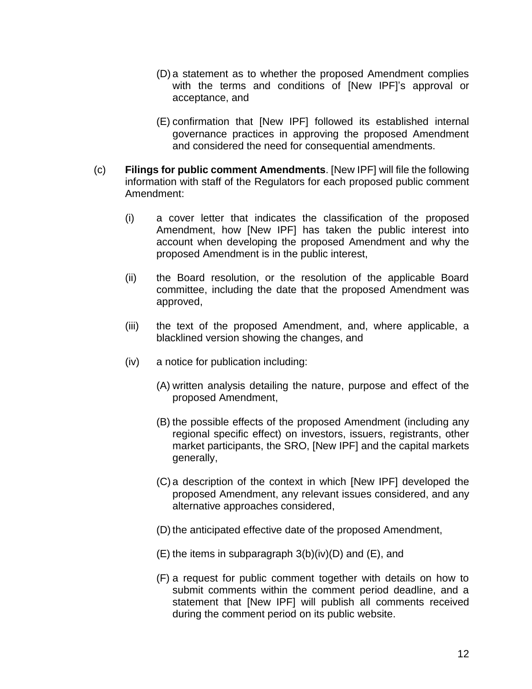- (D) a statement as to whether the proposed Amendment complies with the terms and conditions of [New IPF]'s approval or acceptance, and
- (E) confirmation that [New IPF] followed its established internal governance practices in approving the proposed Amendment and considered the need for consequential amendments.
- (c) **Filings for public comment Amendments**. [New IPF] will file the following information with staff of the Regulators for each proposed public comment Amendment:
	- (i) a cover letter that indicates the classification of the proposed Amendment, how [New IPF] has taken the public interest into account when developing the proposed Amendment and why the proposed Amendment is in the public interest,
	- (ii) the Board resolution, or the resolution of the applicable Board committee, including the date that the proposed Amendment was approved,
	- (iii) the text of the proposed Amendment, and, where applicable, a blacklined version showing the changes, and
	- (iv) a notice for publication including:
		- (A) written analysis detailing the nature, purpose and effect of the proposed Amendment,
		- (B) the possible effects of the proposed Amendment (including any regional specific effect) on investors, issuers, registrants, other market participants, the SRO, [New IPF] and the capital markets generally,
		- (C) a description of the context in which [New IPF] developed the proposed Amendment, any relevant issues considered, and any alternative approaches considered,
		- (D) the anticipated effective date of the proposed Amendment,
		- $(E)$  the items in subparagraph 3(b)(iv)(D) and  $(E)$ , and
		- (F) a request for public comment together with details on how to submit comments within the comment period deadline, and a statement that [New IPF] will publish all comments received during the comment period on its public website.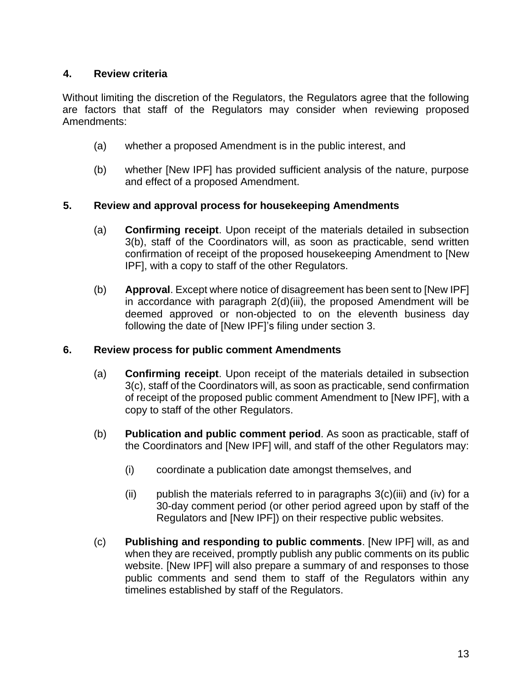### **4. Review criteria**

Without limiting the discretion of the Regulators, the Regulators agree that the following are factors that staff of the Regulators may consider when reviewing proposed Amendments:

- (a) whether a proposed Amendment is in the public interest, and
- (b) whether [New IPF] has provided sufficient analysis of the nature, purpose and effect of a proposed Amendment.

### **5. Review and approval process for housekeeping Amendments**

- (a) **Confirming receipt**. Upon receipt of the materials detailed in subsection 3(b), staff of the Coordinators will, as soon as practicable, send written confirmation of receipt of the proposed housekeeping Amendment to [New IPF], with a copy to staff of the other Regulators.
- (b) **Approval**. Except where notice of disagreement has been sent to [New IPF] in accordance with paragraph 2(d)(iii), the proposed Amendment will be deemed approved or non-objected to on the eleventh business day following the date of [New IPF]'s filing under section 3.

#### **6. Review process for public comment Amendments**

- (a) **Confirming receipt**. Upon receipt of the materials detailed in subsection 3(c), staff of the Coordinators will, as soon as practicable, send confirmation of receipt of the proposed public comment Amendment to [New IPF], with a copy to staff of the other Regulators.
- (b) **Publication and public comment period**. As soon as practicable, staff of the Coordinators and [New IPF] will, and staff of the other Regulators may:
	- (i) coordinate a publication date amongst themselves, and
	- $(i)$  publish the materials referred to in paragraphs  $3(c)(iii)$  and  $(iv)$  for a 30-day comment period (or other period agreed upon by staff of the Regulators and [New IPF]) on their respective public websites.
- (c) **Publishing and responding to public comments**. [New IPF] will, as and when they are received, promptly publish any public comments on its public website. [New IPF] will also prepare a summary of and responses to those public comments and send them to staff of the Regulators within any timelines established by staff of the Regulators.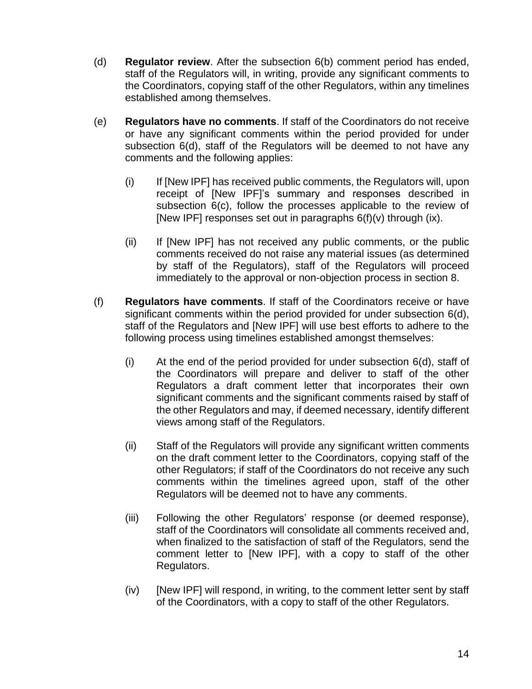- (d) **Regulator review**. After the subsection 6(b) comment period has ended, staff of the Regulators will, in writing, provide any significant comments to the Coordinators, copying staff of the other Regulators, within any timelines established among themselves.
- (e) **Regulators have no comments**. If staff of the Coordinators do not receive or have any significant comments within the period provided for under subsection 6(d), staff of the Regulators will be deemed to not have any comments and the following applies:
	- (i) If [New IPF] has received public comments, the Regulators will, upon receipt of [New IPF]'s summary and responses described in subsection 6(c), follow the processes applicable to the review of [New IPF] responses set out in paragraphs 6(f)(v) through (ix).
	- (ii) If [New IPF] has not received any public comments, or the public comments received do not raise any material issues (as determined by staff of the Regulators), staff of the Regulators will proceed immediately to the approval or non-objection process in section 8.
- (f) **Regulators have comments**. If staff of the Coordinators receive or have significant comments within the period provided for under subsection 6(d), staff of the Regulators and [New IPF] will use best efforts to adhere to the following process using timelines established amongst themselves:
	- (i) At the end of the period provided for under subsection 6(d), staff of the Coordinators will prepare and deliver to staff of the other Regulators a draft comment letter that incorporates their own significant comments and the significant comments raised by staff of the other Regulators and may, if deemed necessary, identify different views among staff of the Regulators.
	- (ii) Staff of the Regulators will provide any significant written comments on the draft comment letter to the Coordinators, copying staff of the other Regulators; if staff of the Coordinators do not receive any such comments within the timelines agreed upon, staff of the other Regulators will be deemed not to have any comments.
	- (iii) Following the other Regulators' response (or deemed response), staff of the Coordinators will consolidate all comments received and, when finalized to the satisfaction of staff of the Regulators, send the comment letter to [New IPF], with a copy to staff of the other Regulators.
	- (iv) [New IPF] will respond, in writing, to the comment letter sent by staff of the Coordinators, with a copy to staff of the other Regulators.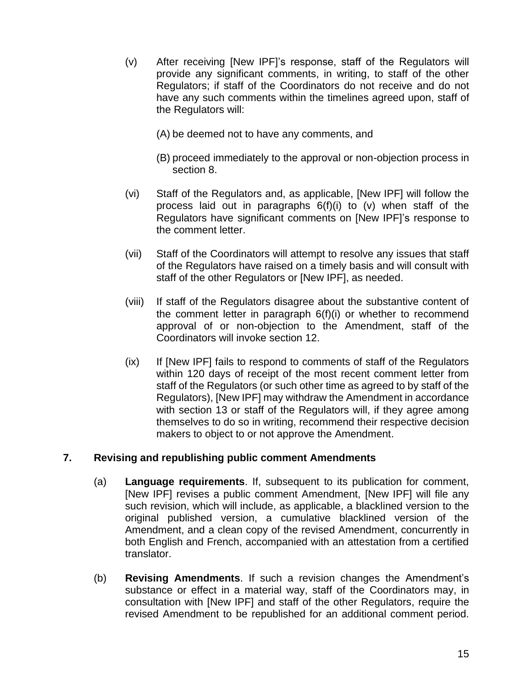- (v) After receiving [New IPF]'s response, staff of the Regulators will provide any significant comments, in writing, to staff of the other Regulators; if staff of the Coordinators do not receive and do not have any such comments within the timelines agreed upon, staff of the Regulators will:
	- (A) be deemed not to have any comments, and
	- (B) proceed immediately to the approval or non-objection process in section 8.
- (vi) Staff of the Regulators and, as applicable, [New IPF] will follow the process laid out in paragraphs 6(f)(i) to (v) when staff of the Regulators have significant comments on [New IPF]'s response to the comment letter.
- (vii) Staff of the Coordinators will attempt to resolve any issues that staff of the Regulators have raised on a timely basis and will consult with staff of the other Regulators or [New IPF], as needed.
- (viii) If staff of the Regulators disagree about the substantive content of the comment letter in paragraph 6(f)(i) or whether to recommend approval of or non-objection to the Amendment, staff of the Coordinators will invoke section 12.
- (ix) If [New IPF] fails to respond to comments of staff of the Regulators within 120 days of receipt of the most recent comment letter from staff of the Regulators (or such other time as agreed to by staff of the Regulators), [New IPF] may withdraw the Amendment in accordance with section 13 or staff of the Regulators will, if they agree among themselves to do so in writing, recommend their respective decision makers to object to or not approve the Amendment.

### **7. Revising and republishing public comment Amendments**

- (a) **Language requirements**. If, subsequent to its publication for comment, [New IPF] revises a public comment Amendment, [New IPF] will file any such revision, which will include, as applicable, a blacklined version to the original published version, a cumulative blacklined version of the Amendment, and a clean copy of the revised Amendment, concurrently in both English and French, accompanied with an attestation from a certified translator.
- (b) **Revising Amendments**. If such a revision changes the Amendment's substance or effect in a material way, staff of the Coordinators may, in consultation with [New IPF] and staff of the other Regulators, require the revised Amendment to be republished for an additional comment period.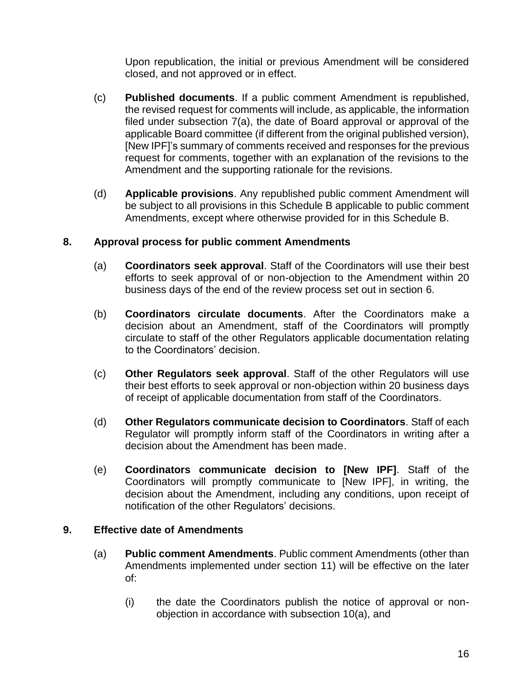Upon republication, the initial or previous Amendment will be considered closed, and not approved or in effect.

- (c) **Published documents**. If a public comment Amendment is republished, the revised request for comments will include, as applicable, the information filed under subsection 7(a), the date of Board approval or approval of the applicable Board committee (if different from the original published version), [New IPF]'s summary of comments received and responses for the previous request for comments, together with an explanation of the revisions to the Amendment and the supporting rationale for the revisions.
- (d) **Applicable provisions**. Any republished public comment Amendment will be subject to all provisions in this Schedule B applicable to public comment Amendments, except where otherwise provided for in this Schedule B.

### **8. Approval process for public comment Amendments**

- (a) **Coordinators seek approval**. Staff of the Coordinators will use their best efforts to seek approval of or non-objection to the Amendment within 20 business days of the end of the review process set out in section 6.
- (b) **Coordinators circulate documents**. After the Coordinators make a decision about an Amendment, staff of the Coordinators will promptly circulate to staff of the other Regulators applicable documentation relating to the Coordinators' decision.
- (c) **Other Regulators seek approval**. Staff of the other Regulators will use their best efforts to seek approval or non-objection within 20 business days of receipt of applicable documentation from staff of the Coordinators.
- (d) **Other Regulators communicate decision to Coordinators**. Staff of each Regulator will promptly inform staff of the Coordinators in writing after a decision about the Amendment has been made.
- (e) **Coordinators communicate decision to [New IPF]**. Staff of the Coordinators will promptly communicate to [New IPF], in writing, the decision about the Amendment, including any conditions, upon receipt of notification of the other Regulators' decisions.

#### **9. Effective date of Amendments**

- (a) **Public comment Amendments**. Public comment Amendments (other than Amendments implemented under section 11) will be effective on the later of:
	- (i) the date the Coordinators publish the notice of approval or nonobjection in accordance with subsection 10(a), and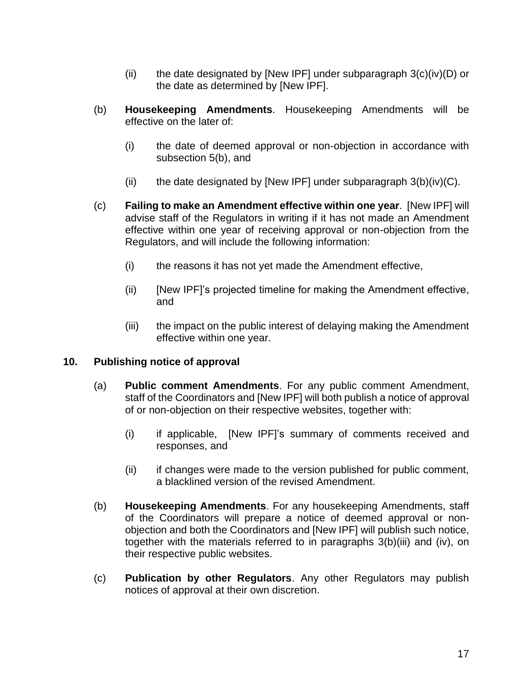- (ii) the date designated by [New IPF] under subparagraph  $3(c)(iv)(D)$  or the date as determined by [New IPF].
- (b) **Housekeeping Amendments**. Housekeeping Amendments will be effective on the later of:
	- (i) the date of deemed approval or non-objection in accordance with subsection 5(b), and
	- (ii) the date designated by [New IPF] under subparagraph  $3(b)(iv)(C)$ .
- (c) **Failing to make an Amendment effective within one year**. [New IPF] will advise staff of the Regulators in writing if it has not made an Amendment effective within one year of receiving approval or non-objection from the Regulators, and will include the following information:
	- (i) the reasons it has not yet made the Amendment effective,
	- (ii) [New IPF]'s projected timeline for making the Amendment effective, and
	- (iii) the impact on the public interest of delaying making the Amendment effective within one year.

#### **10. Publishing notice of approval**

- (a) **Public comment Amendments**. For any public comment Amendment, staff of the Coordinators and [New IPF] will both publish a notice of approval of or non-objection on their respective websites, together with:
	- (i) if applicable, [New IPF]'s summary of comments received and responses, and
	- (ii) if changes were made to the version published for public comment, a blacklined version of the revised Amendment.
- (b) **Housekeeping Amendments**. For any housekeeping Amendments, staff of the Coordinators will prepare a notice of deemed approval or nonobjection and both the Coordinators and [New IPF] will publish such notice, together with the materials referred to in paragraphs 3(b)(iii) and (iv), on their respective public websites.
- (c) **Publication by other Regulators**. Any other Regulators may publish notices of approval at their own discretion.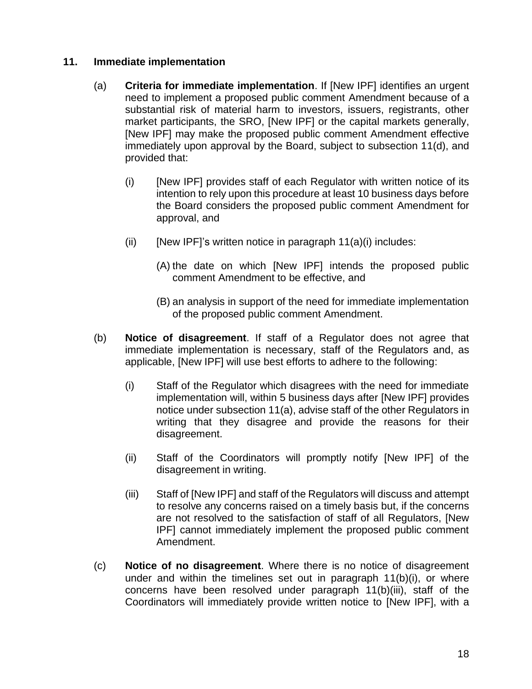#### **11. Immediate implementation**

- (a) **Criteria for immediate implementation**. If [New IPF] identifies an urgent need to implement a proposed public comment Amendment because of a substantial risk of material harm to investors, issuers, registrants, other market participants, the SRO, [New IPF] or the capital markets generally, [New IPF] may make the proposed public comment Amendment effective immediately upon approval by the Board, subject to subsection 11(d), and provided that:
	- (i) [New IPF] provides staff of each Regulator with written notice of its intention to rely upon this procedure at least 10 business days before the Board considers the proposed public comment Amendment for approval, and
	- (ii) [New IPF]'s written notice in paragraph  $11(a)(i)$  includes:
		- (A) the date on which [New IPF] intends the proposed public comment Amendment to be effective, and
		- (B) an analysis in support of the need for immediate implementation of the proposed public comment Amendment.
- (b) **Notice of disagreement**. If staff of a Regulator does not agree that immediate implementation is necessary, staff of the Regulators and, as applicable, [New IPF] will use best efforts to adhere to the following:
	- (i) Staff of the Regulator which disagrees with the need for immediate implementation will, within 5 business days after [New IPF] provides notice under subsection 11(a), advise staff of the other Regulators in writing that they disagree and provide the reasons for their disagreement.
	- (ii) Staff of the Coordinators will promptly notify [New IPF] of the disagreement in writing.
	- (iii) Staff of [New IPF] and staff of the Regulators will discuss and attempt to resolve any concerns raised on a timely basis but, if the concerns are not resolved to the satisfaction of staff of all Regulators, [New IPF] cannot immediately implement the proposed public comment Amendment.
- (c) **Notice of no disagreement**. Where there is no notice of disagreement under and within the timelines set out in paragraph 11(b)(i), or where concerns have been resolved under paragraph 11(b)(iii), staff of the Coordinators will immediately provide written notice to [New IPF], with a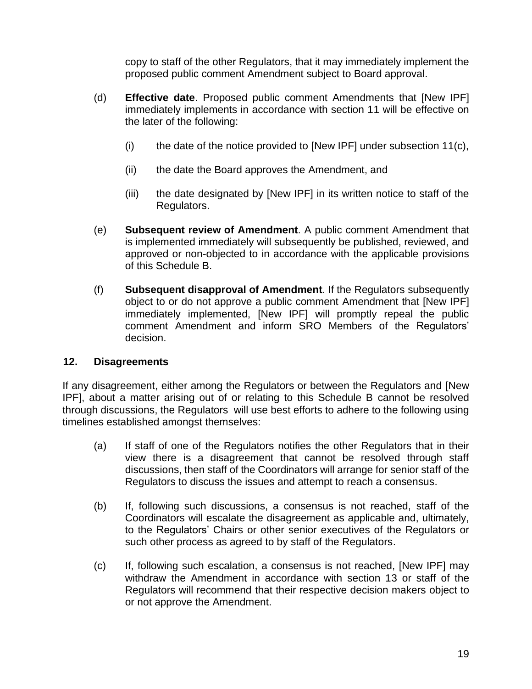copy to staff of the other Regulators, that it may immediately implement the proposed public comment Amendment subject to Board approval.

- (d) **Effective date**. Proposed public comment Amendments that [New IPF] immediately implements in accordance with section 11 will be effective on the later of the following:
	- (i) the date of the notice provided to [New IPF] under subsection  $11(c)$ ,
	- (ii) the date the Board approves the Amendment, and
	- (iii) the date designated by [New IPF] in its written notice to staff of the Regulators.
- (e) **Subsequent review of Amendment**. A public comment Amendment that is implemented immediately will subsequently be published, reviewed, and approved or non-objected to in accordance with the applicable provisions of this Schedule B.
- (f) **Subsequent disapproval of Amendment**. If the Regulators subsequently object to or do not approve a public comment Amendment that [New IPF] immediately implemented, [New IPF] will promptly repeal the public comment Amendment and inform SRO Members of the Regulators' decision.

#### **12. Disagreements**

If any disagreement, either among the Regulators or between the Regulators and [New IPF], about a matter arising out of or relating to this Schedule B cannot be resolved through discussions, the Regulators will use best efforts to adhere to the following using timelines established amongst themselves:

- (a) If staff of one of the Regulators notifies the other Regulators that in their view there is a disagreement that cannot be resolved through staff discussions, then staff of the Coordinators will arrange for senior staff of the Regulators to discuss the issues and attempt to reach a consensus.
- (b) If, following such discussions, a consensus is not reached, staff of the Coordinators will escalate the disagreement as applicable and, ultimately, to the Regulators' Chairs or other senior executives of the Regulators or such other process as agreed to by staff of the Regulators.
- (c) If, following such escalation, a consensus is not reached, [New IPF] may withdraw the Amendment in accordance with section 13 or staff of the Regulators will recommend that their respective decision makers object to or not approve the Amendment.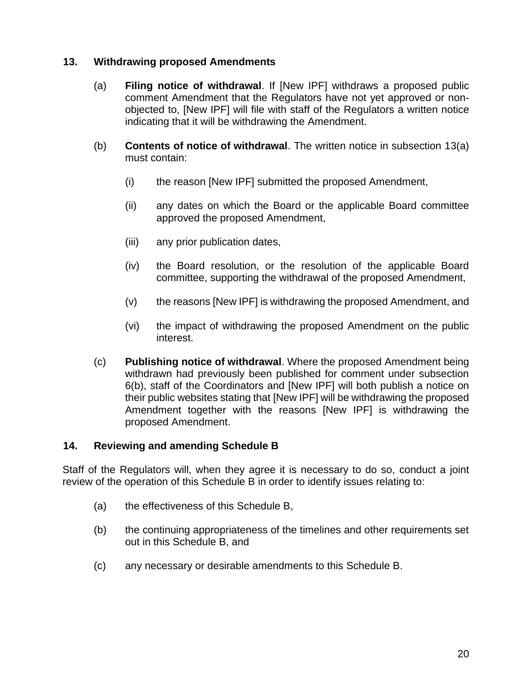#### **13. Withdrawing proposed Amendments**

- (a) **Filing notice of withdrawal**. If [New IPF] withdraws a proposed public comment Amendment that the Regulators have not yet approved or nonobjected to, [New IPF] will file with staff of the Regulators a written notice indicating that it will be withdrawing the Amendment.
- (b) **Contents of notice of withdrawal**. The written notice in subsection 13(a) must contain:
	- (i) the reason [New IPF] submitted the proposed Amendment,
	- (ii) any dates on which the Board or the applicable Board committee approved the proposed Amendment,
	- (iii) any prior publication dates,
	- (iv) the Board resolution, or the resolution of the applicable Board committee, supporting the withdrawal of the proposed Amendment,
	- (v) the reasons [New IPF] is withdrawing the proposed Amendment, and
	- (vi) the impact of withdrawing the proposed Amendment on the public interest.
- (c) **Publishing notice of withdrawal**. Where the proposed Amendment being withdrawn had previously been published for comment under subsection 6(b), staff of the Coordinators and [New IPF] will both publish a notice on their public websites stating that [New IPF] will be withdrawing the proposed Amendment together with the reasons [New IPF] is withdrawing the proposed Amendment.

#### **14. Reviewing and amending Schedule B**

Staff of the Regulators will, when they agree it is necessary to do so, conduct a joint review of the operation of this Schedule B in order to identify issues relating to:

- (a) the effectiveness of this Schedule B,
- (b) the continuing appropriateness of the timelines and other requirements set out in this Schedule B, and
- (c) any necessary or desirable amendments to this Schedule B.